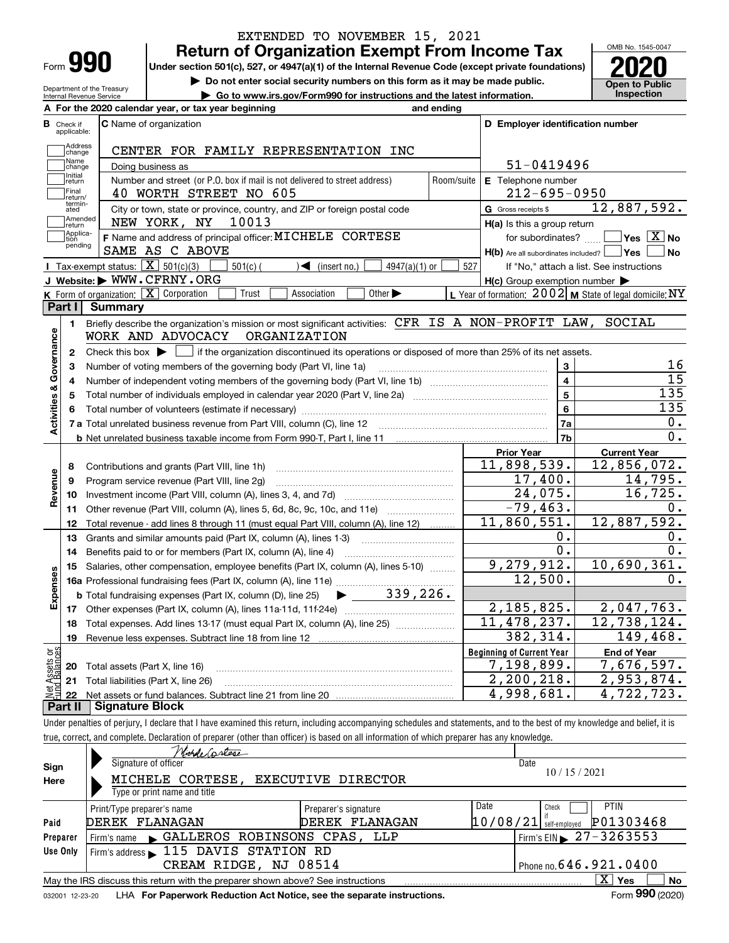| Form |  |
|------|--|

# EXTENDED TO NOVEMBER 15, 2021

**990** Return of Organization Exempt From Income Tax **Department Prom Income Tax** Under section 501(c), 527, or 4947(a)(1) of the Internal Revenue Code (except private foundations) **2020** 

Do not enter social security numbers on this form as it may be made public. Open to Public



Department of the Treasury Internal Revenue Service

|                                    |                                  | Department of the Treasury<br>Internal Revenue Service     | ► Go to www.irs.gov/Form990 for instructions and the latest information.                                                                                                                                    |            |                                                     | Inspection                                                |
|------------------------------------|----------------------------------|------------------------------------------------------------|-------------------------------------------------------------------------------------------------------------------------------------------------------------------------------------------------------------|------------|-----------------------------------------------------|-----------------------------------------------------------|
|                                    |                                  |                                                            | A For the 2020 calendar year, or tax year beginning<br>and ending                                                                                                                                           |            |                                                     |                                                           |
|                                    | <b>B</b> Check if<br>applicable: |                                                            | C Name of organization                                                                                                                                                                                      |            | D Employer identification number                    |                                                           |
|                                    | Address<br> change               |                                                            | CENTER FOR FAMILY REPRESENTATION INC                                                                                                                                                                        |            |                                                     |                                                           |
|                                    | Name<br>change                   |                                                            | Doing business as                                                                                                                                                                                           |            | 51-0419496                                          |                                                           |
|                                    | Initial<br>return                |                                                            | Number and street (or P.O. box if mail is not delivered to street address)                                                                                                                                  | Room/suite | E Telephone number                                  |                                                           |
|                                    | Final<br>return/                 |                                                            | 40 WORTH STREET NO 605                                                                                                                                                                                      |            | $212 - 695 - 0950$                                  |                                                           |
|                                    | termin-<br>ated                  |                                                            | City or town, state or province, country, and ZIP or foreign postal code                                                                                                                                    |            | G Gross receipts \$                                 | 12,887,592.                                               |
|                                    | Amended<br> return               |                                                            | 10013<br>NEW YORK, NY                                                                                                                                                                                       |            | H(a) Is this a group return                         |                                                           |
|                                    | Applica-<br>tion                 |                                                            | F Name and address of principal officer: MICHELE CORTESE                                                                                                                                                    |            | for subordinates?                                   | $\sqrt{}$ Yes $\sqrt{}$ X $\sqrt{}$ No                    |
|                                    | pending                          |                                                            | SAME AS C ABOVE                                                                                                                                                                                             |            | $H(b)$ Are all subordinates included? $\Box$ Yes    | No                                                        |
|                                    |                                  | <b>I</b> Tax-exempt status: $\boxed{\mathbf{X}}$ 501(c)(3) | $\sqrt{\bullet}$ (insert no.)<br>$501(c)$ (<br>$4947(a)(1)$ or                                                                                                                                              | 527        |                                                     | If "No," attach a list. See instructions                  |
|                                    |                                  |                                                            | J Website: WWW.CFRNY.ORG                                                                                                                                                                                    |            | $H(c)$ Group exemption number $\blacktriangleright$ |                                                           |
|                                    |                                  |                                                            | <b>K</b> Form of organization: $\boxed{\mathbf{X}}$ Corporation<br>Trust<br>Other $\blacktriangleright$<br>Association                                                                                      |            |                                                     | L Year of formation: $2002$ M State of legal domicile: NY |
|                                    | Part I                           | <b>Summary</b>                                             |                                                                                                                                                                                                             |            |                                                     |                                                           |
|                                    | 1                                |                                                            | Briefly describe the organization's mission or most significant activities: CFR IS A NON-PROFIT LAW, SOCIAL                                                                                                 |            |                                                     |                                                           |
| <b>Activities &amp; Governance</b> |                                  |                                                            | WORK AND ADVOCACY<br>ORGANIZATION                                                                                                                                                                           |            |                                                     |                                                           |
|                                    | 2<br>з                           |                                                            | Check this box $\blacktriangleright$   if the organization discontinued its operations or disposed of more than 25% of its net assets.<br>Number of voting members of the governing body (Part VI, line 1a) |            | 3                                                   | 16                                                        |
|                                    | 4                                |                                                            |                                                                                                                                                                                                             |            | 4                                                   | 15                                                        |
|                                    | 5                                |                                                            |                                                                                                                                                                                                             |            | 5                                                   | 135                                                       |
|                                    | 6                                |                                                            |                                                                                                                                                                                                             |            | 6                                                   | 135                                                       |
|                                    |                                  |                                                            |                                                                                                                                                                                                             |            | 7a                                                  | 0.                                                        |
|                                    |                                  |                                                            |                                                                                                                                                                                                             |            | 7b                                                  | $0$ .                                                     |
|                                    |                                  |                                                            |                                                                                                                                                                                                             |            | <b>Prior Year</b>                                   | <b>Current Year</b>                                       |
|                                    | 8                                |                                                            | Contributions and grants (Part VIII, line 1h)                                                                                                                                                               |            | 11,898,539.                                         | $\overline{12}$ , 856, 072.                               |
|                                    | 9                                |                                                            | Program service revenue (Part VIII, line 2g)                                                                                                                                                                |            | $17,400$ .                                          | 14,795.                                                   |
| Revenue                            | 10                               |                                                            |                                                                                                                                                                                                             |            | 24,075.                                             | 16, 725.                                                  |
|                                    | 11                               |                                                            | Other revenue (Part VIII, column (A), lines 5, 6d, 8c, 9c, 10c, and 11e)                                                                                                                                    |            | $-79,463.$                                          | $0$ .                                                     |
|                                    | 12                               |                                                            | Total revenue - add lines 8 through 11 (must equal Part VIII, column (A), line 12)                                                                                                                          |            | 11,860,551.                                         | 12,887,592.                                               |
|                                    | 13                               |                                                            | Grants and similar amounts paid (Part IX, column (A), lines 1-3)                                                                                                                                            |            | 0.                                                  | 0.                                                        |
|                                    | 14                               |                                                            | Benefits paid to or for members (Part IX, column (A), line 4)                                                                                                                                               |            | $\overline{0}$ .                                    | 0.                                                        |
|                                    | 15                               |                                                            | Salaries, other compensation, employee benefits (Part IX, column (A), lines 5-10)                                                                                                                           |            | 9,279,912.                                          | 10,690,361.                                               |
| Expenses                           |                                  |                                                            | $\blacktriangleright$ 339,226.                                                                                                                                                                              |            | 12,500.                                             | 0.                                                        |
|                                    |                                  |                                                            | <b>b</b> Total fundraising expenses (Part IX, column (D), line 25)                                                                                                                                          |            | 2, 185, 825.                                        | 2,047,763.                                                |
|                                    |                                  |                                                            | 18 Total expenses. Add lines 13-17 (must equal Part IX, column (A), line 25) [                                                                                                                              |            | 11, 478, 237.                                       | 12,738,124.                                               |
|                                    | 19                               |                                                            |                                                                                                                                                                                                             |            | 382, 314.                                           | 149,468.                                                  |
|                                    |                                  |                                                            |                                                                                                                                                                                                             |            | <b>Beginning of Current Year</b>                    | <b>End of Year</b>                                        |
| Net Assets or<br>Fund Balances     | 20                               |                                                            | Total assets (Part X, line 16)                                                                                                                                                                              |            | 7,198,899.                                          | 7,676,597.                                                |
|                                    | 21                               |                                                            | Total liabilities (Part X, line 26)                                                                                                                                                                         |            | 2, 200, 218.                                        | 2,953,874.                                                |
|                                    | 22                               |                                                            |                                                                                                                                                                                                             |            | 4,998,681.                                          | 4,722,723.                                                |
|                                    | Part II                          | <b>Signature Block</b>                                     |                                                                                                                                                                                                             |            |                                                     |                                                           |
|                                    |                                  |                                                            | Under penalties of perjury, I declare that I have examined this return, including accompanying schedules and statements, and to the best of my knowledge and belief, it is                                  |            |                                                     |                                                           |
|                                    |                                  |                                                            | true, correct, and complete. Declaration of preparer (other than officer) is based on all information of which preparer has any knowledge.                                                                  |            |                                                     |                                                           |
|                                    |                                  |                                                            | Monde Castese                                                                                                                                                                                               |            |                                                     |                                                           |
| Sign                               |                                  |                                                            | Signature of officer                                                                                                                                                                                        |            | Date                                                | 115,000                                                   |

| Sign     | Signature of officer                                                                                         |                      | Date                                     |  |  |  |  |  |
|----------|--------------------------------------------------------------------------------------------------------------|----------------------|------------------------------------------|--|--|--|--|--|
| Here     | MICHELE CORTESE.                                                                                             | EXECUTIVE DIRECTOR   | 10/15/2021                               |  |  |  |  |  |
|          | Type or print name and title                                                                                 |                      |                                          |  |  |  |  |  |
|          | Print/Type preparer's name                                                                                   | Preparer's signature | Date<br><b>PTIN</b><br>Check             |  |  |  |  |  |
| Paid     | DEREK FLANAGAN                                                                                               | FLANAGAN<br>DEREK    | P01303468<br>10/08/21<br>self-emploved   |  |  |  |  |  |
| Preparer | Firm's name GALLEROS ROBINSONS CPAS, LLP                                                                     |                      | Firm's EIN $\triangleright$ 27 - 3263553 |  |  |  |  |  |
| Use Only | Firm's address 115 DAVIS STATION RD                                                                          |                      |                                          |  |  |  |  |  |
|          | Phone no. $646.921.0400$<br>CREAM RIDGE, NJ 08514                                                            |                      |                                          |  |  |  |  |  |
|          | $X \mid Y$ es<br>No<br>May the IRS discuss this return with the preparer shown above? See instructions       |                      |                                          |  |  |  |  |  |
|          | Form 990 (2020)<br>LHA For Paperwork Reduction Act Notice, see the separate instructions.<br>032001 12-23-20 |                      |                                          |  |  |  |  |  |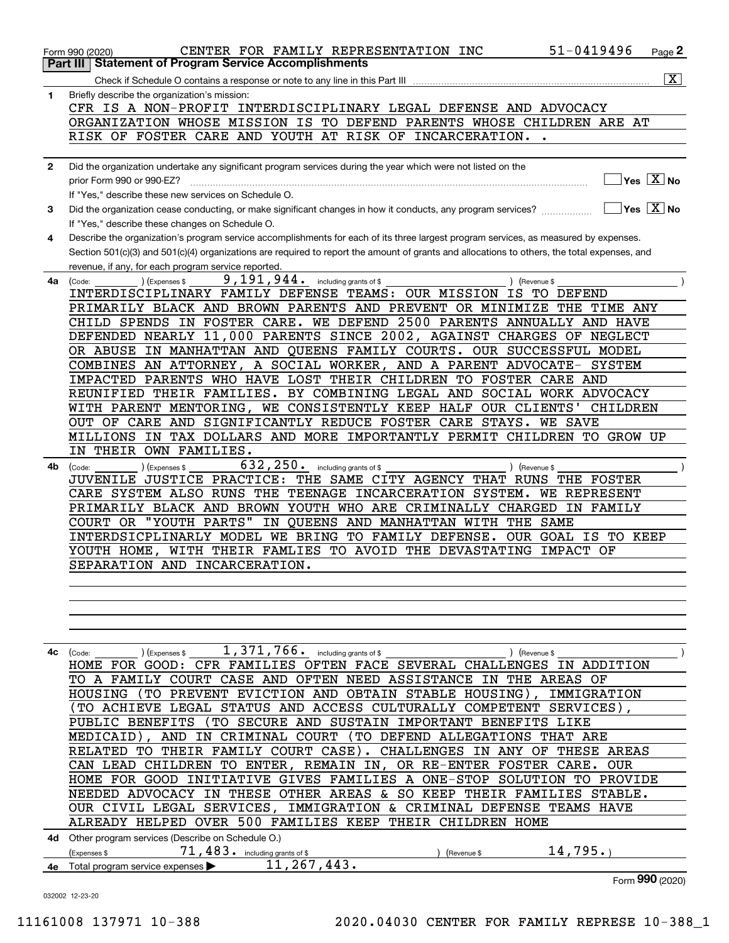|              | 51-0419496<br>CENTER FOR FAMILY REPRESENTATION INC<br>Page 2<br>Form 990 (2020)                                                                     |
|--------------|-----------------------------------------------------------------------------------------------------------------------------------------------------|
|              | <b>Statement of Program Service Accomplishments</b><br>Part III                                                                                     |
|              | $\overline{\mathtt{x}}$                                                                                                                             |
| 1            | Briefly describe the organization's mission:                                                                                                        |
|              | CFR IS A NON-PROFIT INTERDISCIPLINARY LEGAL DEFENSE AND ADVOCACY                                                                                    |
|              | ORGANIZATION WHOSE MISSION IS TO DEFEND PARENTS WHOSE CHILDREN ARE AT                                                                               |
|              | RISK OF FOSTER CARE AND YOUTH AT RISK OF INCARCERATION. .                                                                                           |
|              |                                                                                                                                                     |
|              |                                                                                                                                                     |
| $\mathbf{2}$ | Did the organization undertake any significant program services during the year which were not listed on the                                        |
|              | $\sqrt{\mathsf{Yes}\mathord{\;\mathbb{X}}\,}$ No<br>prior Form 990 or 990-EZ?                                                                       |
|              | If "Yes," describe these new services on Schedule O.                                                                                                |
| 3            | $\overline{Y}$ es $\overline{X}$ No<br>Did the organization cease conducting, or make significant changes in how it conducts, any program services? |
|              | If "Yes," describe these changes on Schedule O.                                                                                                     |
| 4            | Describe the organization's program service accomplishments for each of its three largest program services, as measured by expenses.                |
|              | Section 501(c)(3) and 501(c)(4) organizations are required to report the amount of grants and allocations to others, the total expenses, and        |
|              | revenue, if any, for each program service reported.                                                                                                 |
| 4a           | 9,191,944.<br>(Expenses \$<br>including grants of \$<br>) (Revenue \$<br>(Code:                                                                     |
|              | INTERDISCIPLINARY FAMILY DEFENSE TEAMS: OUR MISSION IS<br>TO DEFEND                                                                                 |
|              | PRIMARILY BLACK AND BROWN PARENTS AND PREVENT OR MINIMIZE THE TIME ANY                                                                              |
|              |                                                                                                                                                     |
|              | CHILD SPENDS IN FOSTER CARE. WE DEFEND 2500 PARENTS ANNUALLY AND HAVE                                                                               |
|              | DEFENDED NEARLY 11,000 PARENTS SINCE 2002, AGAINST CHARGES OF NEGLECT                                                                               |
|              | IN MANHATTAN AND QUEENS FAMILY COURTS. OUR SUCCESSFUL MODEL<br>OR ABUSE                                                                             |
|              | COMBINES AN ATTORNEY, A SOCIAL WORKER, AND A PARENT ADVOCATE- SYSTEM                                                                                |
|              | IMPACTED PARENTS WHO HAVE LOST THEIR CHILDREN TO FOSTER CARE AND                                                                                    |
|              | REUNIFIED THEIR FAMILIES. BY COMBINING LEGAL AND SOCIAL WORK ADVOCACY                                                                               |
|              | WITH PARENT MENTORING, WE CONSISTENTLY KEEP HALF OUR CLIENTS'<br>CHILDREN                                                                           |
|              | OUT OF CARE AND SIGNIFICANTLY REDUCE FOSTER CARE STAYS.<br><b>WE SAVE</b>                                                                           |
|              | MILLIONS IN TAX DOLLARS AND MORE IMPORTANTLY PERMIT CHILDREN TO GROW UP                                                                             |
|              | IN THEIR OWN FAMILIES.                                                                                                                              |
| 4b           | 632, 250. including grants of \$<br>) (Expenses \$<br>) (Revenue \$<br>(Code:                                                                       |
|              | JUVENILE JUSTICE PRACTICE: THE SAME CITY AGENCY THAT RUNS THE FOSTER                                                                                |
|              | CARE SYSTEM ALSO RUNS THE TEENAGE INCARCERATION SYSTEM.<br>WE REPRESENT                                                                             |
|              | PRIMARILY BLACK AND BROWN YOUTH WHO ARE CRIMINALLY CHARGED IN FAMILY                                                                                |
|              | IN QUEENS AND MANHATTAN WITH THE<br>"YOUTH PARTS"<br>COURT OR<br>SAME                                                                               |
|              | INTERDSICPLINARLY MODEL WE BRING TO FAMILY DEFENSE.<br>OUR GOAL IS TO KEEP                                                                          |
|              | YOUTH HOME, WITH THEIR FAMLIES TO AVOID THE DEVASTATING IMPACT OF                                                                                   |
|              | SEPARATION AND INCARCERATION.                                                                                                                       |
|              |                                                                                                                                                     |
|              |                                                                                                                                                     |
|              |                                                                                                                                                     |
|              |                                                                                                                                                     |
|              |                                                                                                                                                     |
|              |                                                                                                                                                     |
|              | $1,371,766$ and $\overline{\phantom{a}}$ including grants of \$<br>4c (Code:<br>) (Expenses \$<br>) (Revenue \$                                     |
|              | HOME FOR GOOD: CFR FAMILIES OFTEN FACE SEVERAL CHALLENGES IN ADDITION                                                                               |
|              | TO A FAMILY COURT CASE AND OFTEN NEED ASSISTANCE IN THE AREAS OF                                                                                    |
|              | HOUSING (TO PREVENT EVICTION AND OBTAIN STABLE HOUSING), IMMIGRATION                                                                                |
|              | (TO ACHIEVE LEGAL STATUS AND ACCESS CULTURALLY COMPETENT SERVICES),                                                                                 |
|              | PUBLIC BENEFITS (TO SECURE AND SUSTAIN IMPORTANT BENEFITS LIKE                                                                                      |
|              | MEDICAID), AND IN CRIMINAL COURT (TO DEFEND ALLEGATIONS THAT ARE                                                                                    |
|              | RELATED TO THEIR FAMILY COURT CASE). CHALLENGES IN ANY OF THESE AREAS                                                                               |
|              | CAN LEAD CHILDREN TO ENTER, REMAIN IN, OR RE-ENTER FOSTER CARE. OUR                                                                                 |
|              |                                                                                                                                                     |
|              | HOME FOR GOOD INITIATIVE GIVES FAMILIES A ONE-STOP SOLUTION TO PROVIDE                                                                              |
|              | NEEDED ADVOCACY IN THESE OTHER AREAS & SO KEEP THEIR FAMILIES STABLE.                                                                               |
|              | OUR CIVIL LEGAL SERVICES, IMMIGRATION & CRIMINAL DEFENSE TEAMS HAVE                                                                                 |
|              | ALREADY HELPED OVER 500 FAMILIES KEEP THEIR CHILDREN HOME                                                                                           |
|              | 4d Other program services (Describe on Schedule O.)                                                                                                 |

|    | __<br><b>coenses</b>                 | ״ ״<br>. .<br>ັ | including grants of \$ | (Revenue |  |
|----|--------------------------------------|-----------------|------------------------|----------|--|
| 4е | service expenses l<br>program<br>ота |                 | .                      |          |  |

Form 990 (2020)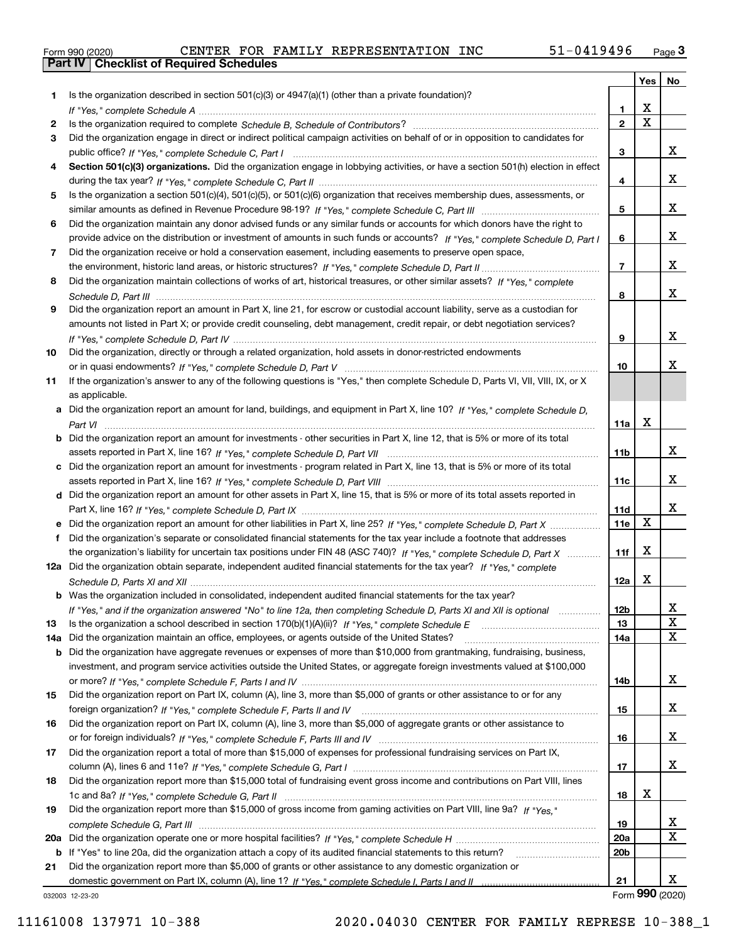|  | Form 990 (2020) |
|--|-----------------|

Part IV | Checklist of Required Schedules

|     |                                                                                                                                  |                 | Yes   No    |                 |
|-----|----------------------------------------------------------------------------------------------------------------------------------|-----------------|-------------|-----------------|
| 1   | Is the organization described in section $501(c)(3)$ or $4947(a)(1)$ (other than a private foundation)?                          |                 |             |                 |
|     |                                                                                                                                  | 1.              | x           |                 |
| 2   |                                                                                                                                  | $\overline{2}$  | $\mathbf X$ |                 |
| 3   | Did the organization engage in direct or indirect political campaign activities on behalf of or in opposition to candidates for  |                 |             |                 |
|     |                                                                                                                                  | 3               |             | x               |
| 4   | Section 501(c)(3) organizations. Did the organization engage in lobbying activities, or have a section 501(h) election in effect |                 |             |                 |
|     |                                                                                                                                  | 4               |             | x               |
| 5   | Is the organization a section 501(c)(4), 501(c)(5), or 501(c)(6) organization that receives membership dues, assessments, or     |                 |             |                 |
|     |                                                                                                                                  | 5               |             | x               |
| 6   | Did the organization maintain any donor advised funds or any similar funds or accounts for which donors have the right to        |                 |             |                 |
|     | provide advice on the distribution or investment of amounts in such funds or accounts? If "Yes," complete Schedule D, Part I     | 6               |             | x               |
| 7   | Did the organization receive or hold a conservation easement, including easements to preserve open space,                        |                 |             |                 |
|     |                                                                                                                                  | $\overline{7}$  |             | x               |
| 8   | Did the organization maintain collections of works of art, historical treasures, or other similar assets? If "Yes," complete     |                 |             |                 |
|     |                                                                                                                                  | 8               |             | x               |
| 9   | Did the organization report an amount in Part X, line 21, for escrow or custodial account liability, serve as a custodian for    |                 |             |                 |
|     | amounts not listed in Part X; or provide credit counseling, debt management, credit repair, or debt negotiation services?        |                 |             |                 |
|     |                                                                                                                                  | 9               |             | x               |
| 10  | Did the organization, directly or through a related organization, hold assets in donor-restricted endowments                     |                 |             |                 |
|     |                                                                                                                                  | 10              |             | x               |
| 11  | If the organization's answer to any of the following questions is "Yes," then complete Schedule D, Parts VI, VII, VIII, IX, or X |                 |             |                 |
|     | as applicable.                                                                                                                   |                 |             |                 |
|     | a Did the organization report an amount for land, buildings, and equipment in Part X, line 10? If "Yes." complete Schedule D.    |                 | X           |                 |
|     |                                                                                                                                  | 11a             |             |                 |
|     | Did the organization report an amount for investments - other securities in Part X, line 12, that is 5% or more of its total     | 11 <sub>b</sub> |             | x               |
|     | c Did the organization report an amount for investments - program related in Part X, line 13, that is 5% or more of its total    |                 |             |                 |
|     |                                                                                                                                  | 11c             |             | x               |
|     | d Did the organization report an amount for other assets in Part X, line 15, that is 5% or more of its total assets reported in  |                 |             |                 |
|     |                                                                                                                                  | 11d             |             | x               |
|     |                                                                                                                                  | 11e             | X           |                 |
| f   | Did the organization's separate or consolidated financial statements for the tax year include a footnote that addresses          |                 |             |                 |
|     | the organization's liability for uncertain tax positions under FIN 48 (ASC 740)? If "Yes," complete Schedule D, Part X           | 11f             | X           |                 |
|     | 12a Did the organization obtain separate, independent audited financial statements for the tax year? If "Yes," complete          |                 |             |                 |
|     |                                                                                                                                  | 12a             | X           |                 |
|     | <b>b</b> Was the organization included in consolidated, independent audited financial statements for the tax year?               |                 |             |                 |
|     | If "Yes," and if the organization answered "No" to line 12a, then completing Schedule D, Parts XI and XII is optional            | 12 <sub>b</sub> |             | 47              |
| 13  |                                                                                                                                  | 13              |             | X               |
| 14a | Did the organization maintain an office, employees, or agents outside of the United States?                                      | 14a             |             | X               |
| b   | Did the organization have aggregate revenues or expenses of more than \$10,000 from grantmaking, fundraising, business,          |                 |             |                 |
|     | investment, and program service activities outside the United States, or aggregate foreign investments valued at \$100,000       |                 |             |                 |
|     |                                                                                                                                  | 14b             |             | x               |
| 15  | Did the organization report on Part IX, column (A), line 3, more than \$5,000 of grants or other assistance to or for any        |                 |             |                 |
|     |                                                                                                                                  | 15              |             | x               |
| 16  | Did the organization report on Part IX, column (A), line 3, more than \$5,000 of aggregate grants or other assistance to         |                 |             |                 |
|     |                                                                                                                                  | 16              |             | x               |
| 17  | Did the organization report a total of more than \$15,000 of expenses for professional fundraising services on Part IX,          |                 |             |                 |
|     |                                                                                                                                  | 17              |             | x               |
| 18  | Did the organization report more than \$15,000 total of fundraising event gross income and contributions on Part VIII, lines     |                 |             |                 |
|     |                                                                                                                                  | 18              | x           |                 |
| 19  | Did the organization report more than \$15,000 of gross income from gaming activities on Part VIII, line 9a? If "Yes."           |                 |             |                 |
|     |                                                                                                                                  | 19              |             | X.              |
| 20a |                                                                                                                                  | <b>20a</b>      |             | X               |
|     | b If "Yes" to line 20a, did the organization attach a copy of its audited financial statements to this return?                   | 20 <sub>b</sub> |             |                 |
| 21  | Did the organization report more than \$5,000 of grants or other assistance to any domestic organization or                      |                 |             |                 |
|     |                                                                                                                                  | 21              |             | x               |
|     | 032003 12-23-20                                                                                                                  |                 |             | Form 990 (2020) |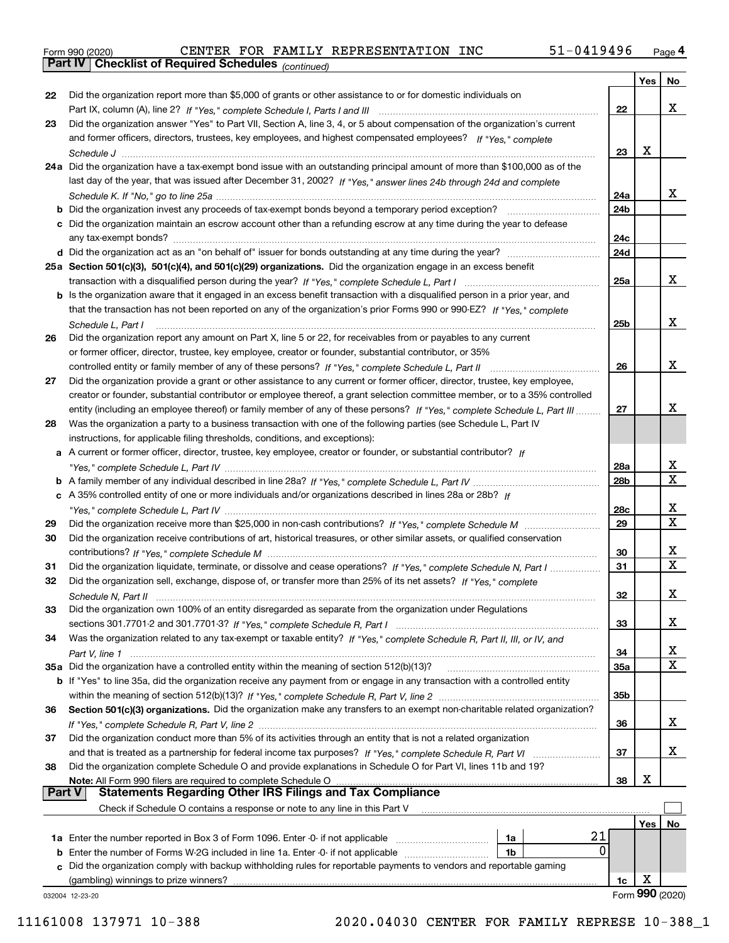|  | Form 990 (2020) |
|--|-----------------|
|  |                 |

Part IV | Checklist of Required Schedules

(continued)

|               |                                                                                                                                       |                 | Yes | No                      |
|---------------|---------------------------------------------------------------------------------------------------------------------------------------|-----------------|-----|-------------------------|
| 22            | Did the organization report more than \$5,000 of grants or other assistance to or for domestic individuals on                         |                 |     |                         |
|               |                                                                                                                                       | 22              |     | x                       |
| 23            | Did the organization answer "Yes" to Part VII, Section A, line 3, 4, or 5 about compensation of the organization's current            |                 |     |                         |
|               | and former officers, directors, trustees, key employees, and highest compensated employees? If "Yes," complete                        |                 |     |                         |
|               |                                                                                                                                       | 23              | х   |                         |
|               | 24a Did the organization have a tax-exempt bond issue with an outstanding principal amount of more than \$100,000 as of the           |                 |     |                         |
|               | last day of the year, that was issued after December 31, 2002? If "Yes," answer lines 24b through 24d and complete                    |                 |     |                         |
|               |                                                                                                                                       | 24a             |     | x                       |
|               | <b>b</b> Did the organization invest any proceeds of tax-exempt bonds beyond a temporary period exception?                            | 24 <sub>b</sub> |     |                         |
|               | c Did the organization maintain an escrow account other than a refunding escrow at any time during the year to defease                |                 |     |                         |
|               |                                                                                                                                       | 24c             |     |                         |
|               |                                                                                                                                       | 24d             |     |                         |
|               | 25a Section 501(c)(3), 501(c)(4), and 501(c)(29) organizations. Did the organization engage in an excess benefit                      |                 |     |                         |
|               |                                                                                                                                       | 25a             |     | x                       |
|               | b Is the organization aware that it engaged in an excess benefit transaction with a disqualified person in a prior year, and          |                 |     |                         |
|               | that the transaction has not been reported on any of the organization's prior Forms 990 or 990-EZ? If "Yes," complete                 |                 |     | x                       |
| 26            | Schedule L, Part I<br>Did the organization report any amount on Part X, line 5 or 22, for receivables from or payables to any current | 25b             |     |                         |
|               | or former officer, director, trustee, key employee, creator or founder, substantial contributor, or 35%                               |                 |     |                         |
|               | controlled entity or family member of any of these persons? If "Yes," complete Schedule L, Part II                                    | 26              |     | x                       |
| 27            | Did the organization provide a grant or other assistance to any current or former officer, director, trustee, key employee,           |                 |     |                         |
|               | creator or founder, substantial contributor or employee thereof, a grant selection committee member, or to a 35% controlled           |                 |     |                         |
|               | entity (including an employee thereof) or family member of any of these persons? If "Yes," complete Schedule L, Part III              | 27              |     | x                       |
| 28            | Was the organization a party to a business transaction with one of the following parties (see Schedule L, Part IV                     |                 |     |                         |
|               | instructions, for applicable filing thresholds, conditions, and exceptions):                                                          |                 |     |                         |
|               | a A current or former officer, director, trustee, key employee, creator or founder, or substantial contributor? If                    |                 |     |                         |
|               |                                                                                                                                       | 28a             |     | х                       |
|               |                                                                                                                                       | 28 <sub>b</sub> |     | $\overline{\mathtt{x}}$ |
|               | c A 35% controlled entity of one or more individuals and/or organizations described in lines 28a or 28b? If                           |                 |     |                         |
|               |                                                                                                                                       | 28c             |     | x                       |
| 29            |                                                                                                                                       | 29              |     | $\overline{\mathbf{x}}$ |
| 30            | Did the organization receive contributions of art, historical treasures, or other similar assets, or qualified conservation           |                 |     |                         |
|               |                                                                                                                                       | 30              |     | X                       |
| 31            | Did the organization liquidate, terminate, or dissolve and cease operations? If "Yes," complete Schedule N, Part I                    | 31              |     | $\overline{\mathbf{x}}$ |
| 32            | Did the organization sell, exchange, dispose of, or transfer more than 25% of its net assets? If "Yes," complete                      |                 |     |                         |
|               |                                                                                                                                       | 32              |     | x                       |
| 33            | Did the organization own 100% of an entity disregarded as separate from the organization under Regulations                            |                 |     |                         |
|               |                                                                                                                                       | 33              |     | x                       |
| 34            | Was the organization related to any tax-exempt or taxable entity? If "Yes," complete Schedule R, Part II, III, or IV, and             |                 |     |                         |
|               |                                                                                                                                       | 34              |     | X                       |
|               | 35a Did the organization have a controlled entity within the meaning of section 512(b)(13)?                                           | 35a             |     | X                       |
|               | b If "Yes" to line 35a, did the organization receive any payment from or engage in any transaction with a controlled entity           |                 |     |                         |
|               |                                                                                                                                       | 35 <sub>b</sub> |     |                         |
| 36            | Section 501(c)(3) organizations. Did the organization make any transfers to an exempt non-charitable related organization?            |                 |     |                         |
|               |                                                                                                                                       | 36              |     | x                       |
| 37            | Did the organization conduct more than 5% of its activities through an entity that is not a related organization                      |                 |     | x                       |
| 38            | Did the organization complete Schedule O and provide explanations in Schedule O for Part VI, lines 11b and 19?                        | 37              |     |                         |
|               | Note: All Form 990 filers are required to complete Schedule O                                                                         | 38              | x   |                         |
| <b>Part V</b> | <b>Statements Regarding Other IRS Filings and Tax Compliance</b>                                                                      |                 |     |                         |
|               | Check if Schedule O contains a response or note to any line in this Part V                                                            |                 |     |                         |
|               |                                                                                                                                       |                 | Yes | No                      |
|               | 21<br>1a                                                                                                                              |                 |     |                         |
| b             | 0<br>Enter the number of Forms W-2G included in line 1a. Enter -0- if not applicable<br>1b                                            |                 |     |                         |
| c             | Did the organization comply with backup withholding rules for reportable payments to vendors and reportable gaming                    |                 |     |                         |
|               | (gambling) winnings to prize winners?                                                                                                 | 1c              | х   |                         |
|               | 032004 12-23-20                                                                                                                       |                 |     | Form 990 (2020)         |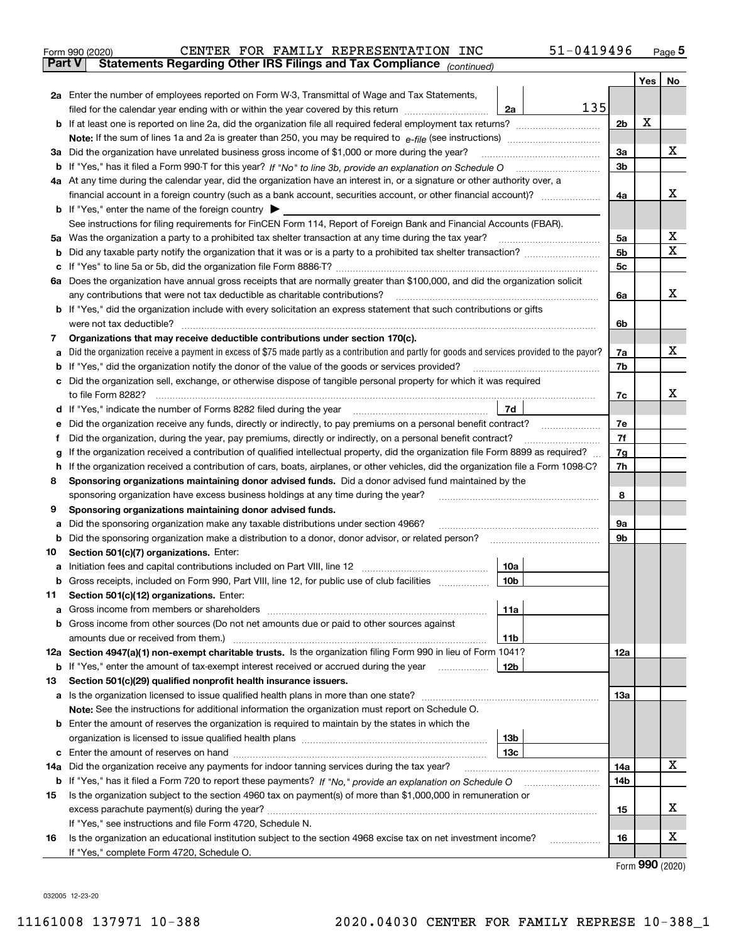|               | 51-0419496<br>CENTER FOR FAMILY REPRESENTATION INC<br>Form 990 (2020)                                                                           |                |     | $_{\text{Page}}$ 5 |
|---------------|-------------------------------------------------------------------------------------------------------------------------------------------------|----------------|-----|--------------------|
| <b>Part V</b> | Statements Regarding Other IRS Filings and Tax Compliance (continued)                                                                           |                |     |                    |
|               |                                                                                                                                                 |                | Yes | No                 |
|               | 2a Enter the number of employees reported on Form W-3, Transmittal of Wage and Tax Statements,                                                  |                |     |                    |
|               | 135<br>filed for the calendar year ending with or within the year covered by this return<br>2a                                                  |                |     |                    |
| b             |                                                                                                                                                 | 2b             | X   |                    |
|               |                                                                                                                                                 |                |     |                    |
|               | 3a Did the organization have unrelated business gross income of \$1,000 or more during the year?                                                | 3a             |     | х                  |
| b             |                                                                                                                                                 | 3 <sub>b</sub> |     |                    |
|               | 4a At any time during the calendar year, did the organization have an interest in, or a signature or other authority over, a                    |                |     |                    |
|               |                                                                                                                                                 | 4a             |     | х                  |
|               | <b>b</b> If "Yes," enter the name of the foreign country $\triangleright$                                                                       |                |     |                    |
|               | See instructions for filing requirements for FinCEN Form 114, Report of Foreign Bank and Financial Accounts (FBAR).                             |                |     |                    |
|               |                                                                                                                                                 | 5a             |     | х                  |
| b             |                                                                                                                                                 | 5b             |     | X                  |
| с             |                                                                                                                                                 | 5 <sub>c</sub> |     |                    |
|               | 6a Does the organization have annual gross receipts that are normally greater than \$100,000, and did the organization solicit                  |                |     |                    |
|               | any contributions that were not tax deductible as charitable contributions?                                                                     | 6a             |     | x                  |
| b             | If "Yes," did the organization include with every solicitation an express statement that such contributions or gifts                            |                |     |                    |
|               | were not tax deductible?                                                                                                                        | 6b             |     |                    |
| 7             | Organizations that may receive deductible contributions under section 170(c).                                                                   |                |     |                    |
| а             | Did the organization receive a payment in excess of \$75 made partly as a contribution and partly for goods and services provided to the payor? | 7a             |     | х                  |
| b             | If "Yes," did the organization notify the donor of the value of the goods or services provided?                                                 | 7b             |     |                    |
| с             | Did the organization sell, exchange, or otherwise dispose of tangible personal property for which it was required                               |                |     |                    |
|               |                                                                                                                                                 | 7c             |     | x                  |
| d             | 7d                                                                                                                                              |                |     |                    |
| е             | Did the organization receive any funds, directly or indirectly, to pay premiums on a personal benefit contract?                                 | 7e             |     |                    |
| f             | Did the organization, during the year, pay premiums, directly or indirectly, on a personal benefit contract?                                    | 7f             |     |                    |
| g             | If the organization received a contribution of qualified intellectual property, did the organization file Form 8899 as required?                | 7g             |     |                    |
| h             | If the organization received a contribution of cars, boats, airplanes, or other vehicles, did the organization file a Form 1098-C?              | 7h             |     |                    |
| 8             | Sponsoring organizations maintaining donor advised funds. Did a donor advised fund maintained by the                                            |                |     |                    |
|               | sponsoring organization have excess business holdings at any time during the year?                                                              | 8              |     |                    |
| 9             | Sponsoring organizations maintaining donor advised funds.                                                                                       |                |     |                    |
| а             | Did the sponsoring organization make any taxable distributions under section 4966?                                                              | 9а             |     |                    |
| b             |                                                                                                                                                 | 9b             |     |                    |
| 10            | Section 501(c)(7) organizations. Enter:                                                                                                         |                |     |                    |
| а             | 10a<br> 10b <br>Gross receipts, included on Form 990, Part VIII, line 12, for public use of club facilities                                     |                |     |                    |
|               |                                                                                                                                                 |                |     |                    |
| 11            | Section 501(c)(12) organizations. Enter:<br>11a                                                                                                 |                |     |                    |
| а<br>b        | Gross income from members or shareholders<br>Gross income from other sources (Do not net amounts due or paid to other sources against           |                |     |                    |
|               | 11 <sub>b</sub><br>amounts due or received from them.)                                                                                          |                |     |                    |
|               | 12a Section 4947(a)(1) non-exempt charitable trusts. Is the organization filing Form 990 in lieu of Form 1041?                                  | 12a            |     |                    |
|               | 12 <sub>b</sub><br><b>b</b> If "Yes," enter the amount of tax-exempt interest received or accrued during the year <i>manument</i>               |                |     |                    |
| 13            | Section 501(c)(29) qualified nonprofit health insurance issuers.                                                                                |                |     |                    |
| a             | Is the organization licensed to issue qualified health plans in more than one state?                                                            | 13a            |     |                    |
|               | Note: See the instructions for additional information the organization must report on Schedule O.                                               |                |     |                    |
| b             | Enter the amount of reserves the organization is required to maintain by the states in which the                                                |                |     |                    |
|               | 13 <sub>b</sub>                                                                                                                                 |                |     |                    |
| c             | 13 <sub>c</sub>                                                                                                                                 |                |     |                    |
| 14a           | Did the organization receive any payments for indoor tanning services during the tax year?                                                      | 14a            |     | х                  |
|               | <b>b</b> If "Yes," has it filed a Form 720 to report these payments? If "No," provide an explanation on Schedule O                              | 14b            |     |                    |
| 15            | Is the organization subject to the section 4960 tax on payment(s) of more than \$1,000,000 in remuneration or                                   |                |     |                    |
|               | excess parachute payment(s) during the year?                                                                                                    | 15             |     | х                  |
|               | If "Yes," see instructions and file Form 4720, Schedule N.                                                                                      |                |     |                    |
| 16            | Is the organization an educational institution subject to the section 4968 excise tax on net investment income?                                 | 16             |     | х                  |
|               | If "Yes," complete Form 4720, Schedule O.                                                                                                       |                |     |                    |
|               |                                                                                                                                                 |                | ההה |                    |

Form 990 (2020)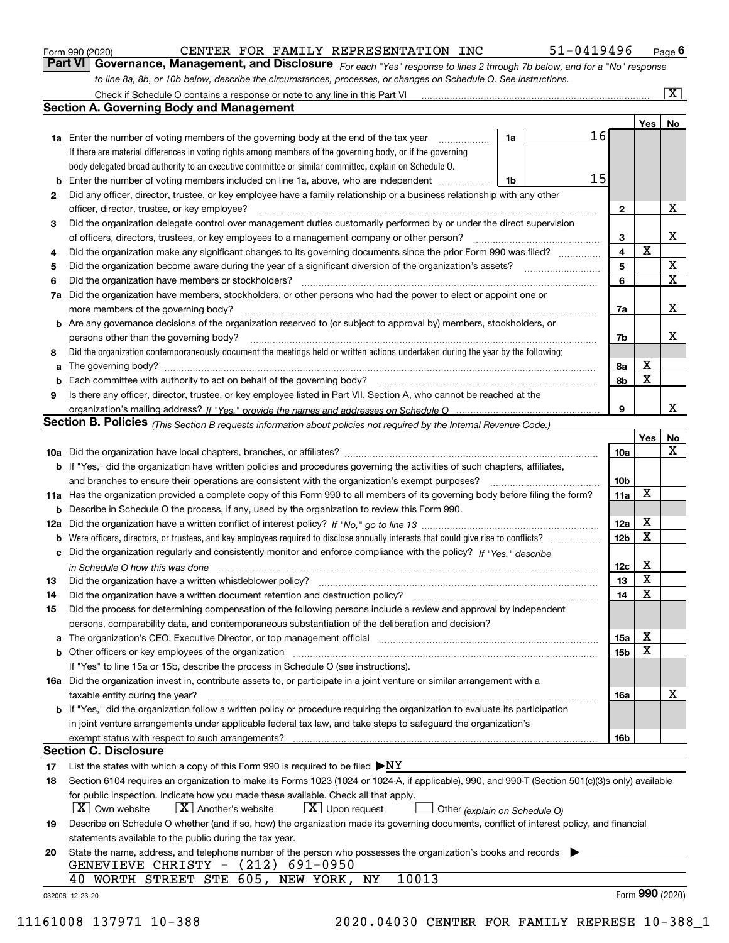|  | Form 990 (2020) |
|--|-----------------|
|  |                 |

#### Form 990 (2020) CENTER FOR FAMILY REPRESENTATION INC 51-0419496 Page CENTER FOR FAMILY REPRESENTATION INC 51-0419496

 $51 - 0419496$  Page 6

|  | <b>Part VI</b> Governance, Management, and Disclosure For each "Yes" response to lines 2 through 7b below, and for a "No" respons |  |
|--|-----------------------------------------------------------------------------------------------------------------------------------|--|
|  | to line 8a, 8b, or 10b below, describe the circumstances, processes, or changes on Schedule O. See instructions.                  |  |

|     | Check if Schedule O contains a response or note to any line in this Part VI                                                                                           |    |    |                         |     | $ {\bf X} $     |
|-----|-----------------------------------------------------------------------------------------------------------------------------------------------------------------------|----|----|-------------------------|-----|-----------------|
|     | <b>Section A. Governing Body and Management</b>                                                                                                                       |    |    |                         |     |                 |
|     |                                                                                                                                                                       |    |    |                         | Yes | No              |
|     | 1a Enter the number of voting members of the governing body at the end of the tax year                                                                                | 1a | 16 |                         |     |                 |
|     | If there are material differences in voting rights among members of the governing body, or if the governing                                                           |    |    |                         |     |                 |
|     | body delegated broad authority to an executive committee or similar committee, explain on Schedule O.                                                                 |    |    |                         |     |                 |
| b   | Enter the number of voting members included on line 1a, above, who are independent                                                                                    | 1b | 15 |                         |     |                 |
| 2   | Did any officer, director, trustee, or key employee have a family relationship or a business relationship with any other                                              |    |    |                         |     |                 |
|     | officer, director, trustee, or key employee?                                                                                                                          |    |    | 2                       |     | X               |
| 3   | Did the organization delegate control over management duties customarily performed by or under the direct supervision                                                 |    |    |                         |     |                 |
|     | of officers, directors, trustees, or key employees to a management company or other person?                                                                           |    |    | 3                       |     | x               |
| 4   | Did the organization make any significant changes to its governing documents since the prior Form 990 was filed?                                                      |    |    | $\overline{\mathbf{4}}$ | X   |                 |
| 5   |                                                                                                                                                                       |    |    | 5                       |     | X               |
| 6   | Did the organization have members or stockholders?                                                                                                                    |    |    | 6                       |     | X               |
| 7a  | Did the organization have members, stockholders, or other persons who had the power to elect or appoint one or                                                        |    |    |                         |     |                 |
|     | more members of the governing body?                                                                                                                                   |    |    | 7a                      |     | X               |
| b   | Are any governance decisions of the organization reserved to (or subject to approval by) members, stockholders, or                                                    |    |    |                         |     |                 |
|     | persons other than the governing body?                                                                                                                                |    |    | 7b                      |     | х               |
| 8   | Did the organization contemporaneously document the meetings held or written actions undertaken during the year by the following:                                     |    |    |                         |     |                 |
| a   |                                                                                                                                                                       |    |    | 8a                      | х   |                 |
| b   | Each committee with authority to act on behalf of the governing body?                                                                                                 |    |    | 8b                      | X   |                 |
| 9   | Is there any officer, director, trustee, or key employee listed in Part VII, Section A, who cannot be reached at the                                                  |    |    |                         |     |                 |
|     |                                                                                                                                                                       |    |    | 9                       |     | x               |
|     | <b>Section B. Policies</b> (This Section B requests information about policies not required by the Internal Revenue Code.)                                            |    |    |                         |     |                 |
|     |                                                                                                                                                                       |    |    |                         |     | No              |
|     |                                                                                                                                                                       |    |    |                         | Yes | x               |
|     |                                                                                                                                                                       |    |    | 10a                     |     |                 |
|     | <b>b</b> If "Yes," did the organization have written policies and procedures governing the activities of such chapters, affiliates,                                   |    |    | 10 <sub>b</sub>         |     |                 |
|     | and branches to ensure their operations are consistent with the organization's exempt purposes?                                                                       |    |    |                         | X   |                 |
|     | 11a Has the organization provided a complete copy of this Form 990 to all members of its governing body before filing the form?                                       |    |    | 11a                     |     |                 |
| b   | Describe in Schedule O the process, if any, used by the organization to review this Form 990.                                                                         |    |    |                         | X   |                 |
| 12a |                                                                                                                                                                       |    |    | 12a                     | X   |                 |
| b   | Were officers, directors, or trustees, and key employees required to disclose annually interests that could give rise to conflicts?                                   |    |    | 12 <sub>b</sub>         |     |                 |
| c   | Did the organization regularly and consistently monitor and enforce compliance with the policy? If "Yes." describe                                                    |    |    |                         |     |                 |
|     | in Schedule O how this was done measured and the control of the control of the state of the control of the cont                                                       |    |    | 12c                     | х   |                 |
| 13  | Did the organization have a written whistleblower policy?                                                                                                             |    |    | 13                      | X   |                 |
| 14  | Did the organization have a written document retention and destruction policy?                                                                                        |    |    | 14                      | X   |                 |
| 15  | Did the process for determining compensation of the following persons include a review and approval by independent                                                    |    |    |                         |     |                 |
|     | persons, comparability data, and contemporaneous substantiation of the deliberation and decision?                                                                     |    |    |                         |     |                 |
| а   | The organization's CEO, Executive Director, or top management official manufactured content of the organization's CEO, Executive Director, or top management official |    |    | 15a                     | Χ   |                 |
| b   | Other officers or key employees of the organization                                                                                                                   |    |    | 15b                     | x   |                 |
|     | If "Yes" to line 15a or 15b, describe the process in Schedule O (see instructions).                                                                                   |    |    |                         |     |                 |
|     | 16a Did the organization invest in, contribute assets to, or participate in a joint venture or similar arrangement with a                                             |    |    |                         |     |                 |
|     | taxable entity during the year?                                                                                                                                       |    |    | 16a                     |     | X               |
|     | b If "Yes," did the organization follow a written policy or procedure requiring the organization to evaluate its participation                                        |    |    |                         |     |                 |
|     | in joint venture arrangements under applicable federal tax law, and take steps to safeguard the organization's                                                        |    |    |                         |     |                 |
|     | exempt status with respect to such arrangements?                                                                                                                      |    |    | 16b                     |     |                 |
|     | <b>Section C. Disclosure</b>                                                                                                                                          |    |    |                         |     |                 |
| 17  | List the states with which a copy of this Form 990 is required to be filed $\blacktriangleright$ NY                                                                   |    |    |                         |     |                 |
| 18  | Section 6104 requires an organization to make its Forms 1023 (1024 or 1024-A, if applicable), 990, and 990-T (Section 501(c)(3)s only) available                      |    |    |                         |     |                 |
|     | for public inspection. Indicate how you made these available. Check all that apply.                                                                                   |    |    |                         |     |                 |
|     | $\lfloor X \rfloor$ Own website<br>$X$ Another's website<br>$X$ Upon request<br>Other (explain on Schedule O)                                                         |    |    |                         |     |                 |
| 19  | Describe on Schedule O whether (and if so, how) the organization made its governing documents, conflict of interest policy, and financial                             |    |    |                         |     |                 |
|     | statements available to the public during the tax year.                                                                                                               |    |    |                         |     |                 |
| 20  | State the name, address, and telephone number of the person who possesses the organization's books and records                                                        |    |    |                         |     |                 |
|     | GENEVIEVE CHRISTY - (212) 691-0950                                                                                                                                    |    |    |                         |     |                 |
|     | 10013<br>WORTH STREET STE 605, NEW YORK,<br>ΝY<br>40                                                                                                                  |    |    |                         |     |                 |
|     | 032006 12-23-20                                                                                                                                                       |    |    |                         |     | Form 990 (2020) |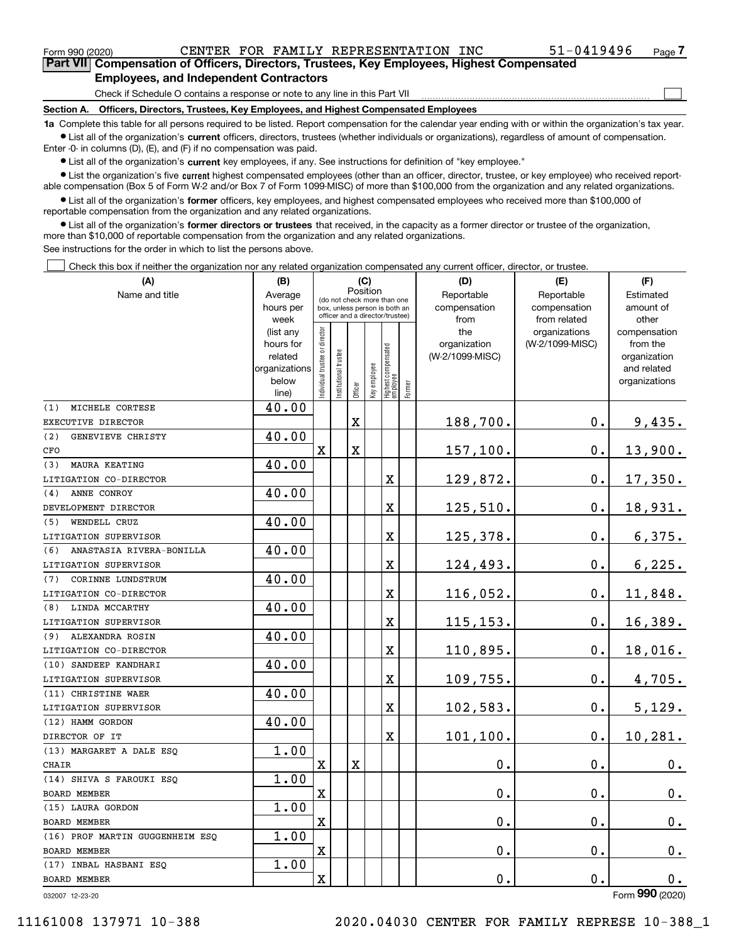$_{\rm Form}$   $_{990}$   $_{(2020)}$   $_{\rm CENTER}$  FOR FAMILY REPRESENTATION INC  $_{\rm 51-0419496}$   $_{\rm Page}$ 

 $\begin{array}{c} \hline \end{array}$ 

Part VII Compensation of Officers, Directors, Trustees, Key Employees, Highest Compensated

#### Employees, and Independent Contractors

Check if Schedule O contains a response or note to any line in this Part VII

Section A. Officers, Directors, Trustees, Key Employees, and Highest Compensated Employees

1a Complete this table for all persons required to be listed. Report compensation for the calendar year ending with or within the organization's tax year. Ist all of the organization's current officers, directors, trustees (whether individuals or organizations), regardless of amount of compensation.

Enter -0- in columns (D), (E), and (F) if no compensation was paid.

**•** List all of the organization's current key employees, if any. See instructions for definition of "key employee."

● List the organization's five current highest compensated employees (other than an officer, director, trustee, or key employee) who received reportable compensation (Box 5 of Form W-2 and/or Box 7 of Form 1099-MISC) of more than \$100,000 from the organization and any related organizations.

List all of the organization's former officers, key employees, and highest compensated employees who received more than \$100,000 of reportable compensation from the organization and any related organizations.

• List all of the organization's former directors or trustees that received, in the capacity as a former director or trustee of the organization, more than \$10,000 of reportable compensation from the organization and any related organizations.

See instructions for the order in which to list the persons above.

Check this box if neither the organization nor any related organization compensated any current officer, director, or trustee.  $\Box$ 

| (A)                             | (B)                    | (C)                                     |                      |                         |              |                                                                  |        | (D)             | (E)                              | (F)                      |  |  |
|---------------------------------|------------------------|-----------------------------------------|----------------------|-------------------------|--------------|------------------------------------------------------------------|--------|-----------------|----------------------------------|--------------------------|--|--|
| Name and title                  | Average                | Position<br>(do not check more than one |                      |                         |              |                                                                  |        | Reportable      | Reportable                       | Estimated                |  |  |
|                                 | hours per              |                                         |                      |                         |              | box, unless person is both an<br>officer and a director/trustee) |        | compensation    | compensation                     | amount of                |  |  |
|                                 | week                   |                                         |                      |                         |              |                                                                  |        | from<br>the     | from related                     | other                    |  |  |
|                                 | (list any<br>hours for |                                         |                      |                         |              |                                                                  |        | organization    | organizations<br>(W-2/1099-MISC) | compensation<br>from the |  |  |
|                                 | related                |                                         |                      |                         |              |                                                                  |        | (W-2/1099-MISC) |                                  | organization             |  |  |
|                                 | organizations          |                                         |                      |                         |              |                                                                  |        |                 |                                  | and related              |  |  |
|                                 | below                  | ndividual trustee or director           | nstitutional trustee |                         | Key employee |                                                                  |        |                 |                                  | organizations            |  |  |
|                                 | line)                  |                                         |                      | Officer                 |              | Highest compensated<br> employee                                 | Former |                 |                                  |                          |  |  |
| MICHELE CORTESE<br>(1)          | 40.00                  |                                         |                      |                         |              |                                                                  |        |                 |                                  |                          |  |  |
| EXECUTIVE DIRECTOR              |                        |                                         |                      | $\mathbf X$             |              |                                                                  |        | 188,700.        | $\mathbf 0$ .                    | 9,435.                   |  |  |
| (2)<br>GENEVIEVE CHRISTY        | 40.00                  |                                         |                      |                         |              |                                                                  |        |                 |                                  |                          |  |  |
| CFO                             |                        | $\overline{\text{X}}$                   |                      | $\overline{\mathbf{X}}$ |              |                                                                  |        | 157,100.        | 0.                               | 13,900.                  |  |  |
| <b>MAURA KEATING</b><br>(3)     | 40.00                  |                                         |                      |                         |              |                                                                  |        |                 |                                  |                          |  |  |
| LITIGATION CO-DIRECTOR          |                        |                                         |                      |                         |              | X                                                                |        | 129,872.        | $\mathbf 0$ .                    | 17,350.                  |  |  |
| ANNE CONROY<br>(4)              | 40.00                  |                                         |                      |                         |              |                                                                  |        |                 |                                  |                          |  |  |
| DEVELOPMENT DIRECTOR            |                        |                                         |                      |                         |              | X                                                                |        | 125,510.        | $\mathbf{0}$ .                   | 18,931.                  |  |  |
| WENDELL CRUZ<br>(5)             | 40.00                  |                                         |                      |                         |              |                                                                  |        |                 |                                  |                          |  |  |
| LITIGATION SUPERVISOR           |                        |                                         |                      |                         |              | X                                                                |        | 125,378.        | $\mathbf{0}$ .                   | 6,375.                   |  |  |
| ANASTASIA RIVERA-BONILLA<br>(6) | 40.00                  |                                         |                      |                         |              |                                                                  |        |                 |                                  |                          |  |  |
| LITIGATION SUPERVISOR           |                        |                                         |                      |                         |              | X                                                                |        | 124,493.        | $\mathbf 0$ .                    | 6,225.                   |  |  |
| CORINNE LUNDSTRUM<br>(7)        | 40.00                  |                                         |                      |                         |              |                                                                  |        |                 |                                  |                          |  |  |
| LITIGATION CO-DIRECTOR          |                        |                                         |                      |                         |              | X                                                                |        | 116,052.        | $\mathbf 0$ .                    | 11,848.                  |  |  |
| LINDA MCCARTHY<br>(8)           | 40.00                  |                                         |                      |                         |              |                                                                  |        |                 |                                  |                          |  |  |
| LITIGATION SUPERVISOR           |                        |                                         |                      |                         |              | X                                                                |        | 115, 153.       | $\mathbf 0$ .                    | 16,389.                  |  |  |
| ALEXANDRA ROSIN<br>(9)          | 40.00                  |                                         |                      |                         |              |                                                                  |        |                 |                                  |                          |  |  |
| LITIGATION CO-DIRECTOR          |                        |                                         |                      |                         |              | X                                                                |        | 110,895.        | $\mathbf 0$ .                    | 18,016.                  |  |  |
| (10) SANDEEP KANDHARI           | 40.00                  |                                         |                      |                         |              |                                                                  |        |                 |                                  |                          |  |  |
| LITIGATION SUPERVISOR           |                        |                                         |                      |                         |              | X                                                                |        | 109,755.        | $\mathbf 0$ .                    | 4,705.                   |  |  |
| (11) CHRISTINE WAER             | 40.00                  |                                         |                      |                         |              |                                                                  |        |                 |                                  |                          |  |  |
| LITIGATION SUPERVISOR           |                        |                                         |                      |                         |              | X                                                                |        | 102,583.        | $\mathbf 0$ .                    | 5,129.                   |  |  |
| (12) HAMM GORDON                | 40.00                  |                                         |                      |                         |              |                                                                  |        |                 |                                  |                          |  |  |
| DIRECTOR OF IT                  |                        |                                         |                      |                         |              | X                                                                |        | 101,100.        | 0.                               | 10,281.                  |  |  |
| (13) MARGARET A DALE ESQ        | 1.00                   |                                         |                      |                         |              |                                                                  |        |                 |                                  |                          |  |  |
| <b>CHAIR</b>                    |                        | $\mathbf X$                             |                      | X                       |              |                                                                  |        | 0.              | $\mathbf 0$ .                    | 0.                       |  |  |
| (14) SHIVA S FAROUKI ESQ        | 1.00                   |                                         |                      |                         |              |                                                                  |        |                 |                                  |                          |  |  |
| <b>BOARD MEMBER</b>             |                        | $\rm X$                                 |                      |                         |              |                                                                  |        | 0.              | $\mathbf 0$ .                    | $\mathbf 0$ .            |  |  |
| (15) LAURA GORDON               | 1.00                   |                                         |                      |                         |              |                                                                  |        |                 |                                  |                          |  |  |
| <b>BOARD MEMBER</b>             |                        | X                                       |                      |                         |              |                                                                  |        | 0.              | 0.                               | 0.                       |  |  |
| (16) PROF MARTIN GUGGENHEIM ESO | 1.00                   |                                         |                      |                         |              |                                                                  |        |                 |                                  |                          |  |  |
| <b>BOARD MEMBER</b>             |                        | $\rm X$                                 |                      |                         |              |                                                                  |        | 0.              | $\mathbf 0$ .                    | $\mathbf 0$ .            |  |  |
| (17) INBAL HASBANI ESQ          | 1.00                   |                                         |                      |                         |              |                                                                  |        |                 |                                  |                          |  |  |
| <b>BOARD MEMBER</b>             |                        | $\rm X$                                 |                      |                         |              |                                                                  |        | 0.              | $\mathbf 0$ .                    | 0.                       |  |  |
|                                 |                        |                                         |                      |                         |              |                                                                  |        |                 |                                  |                          |  |  |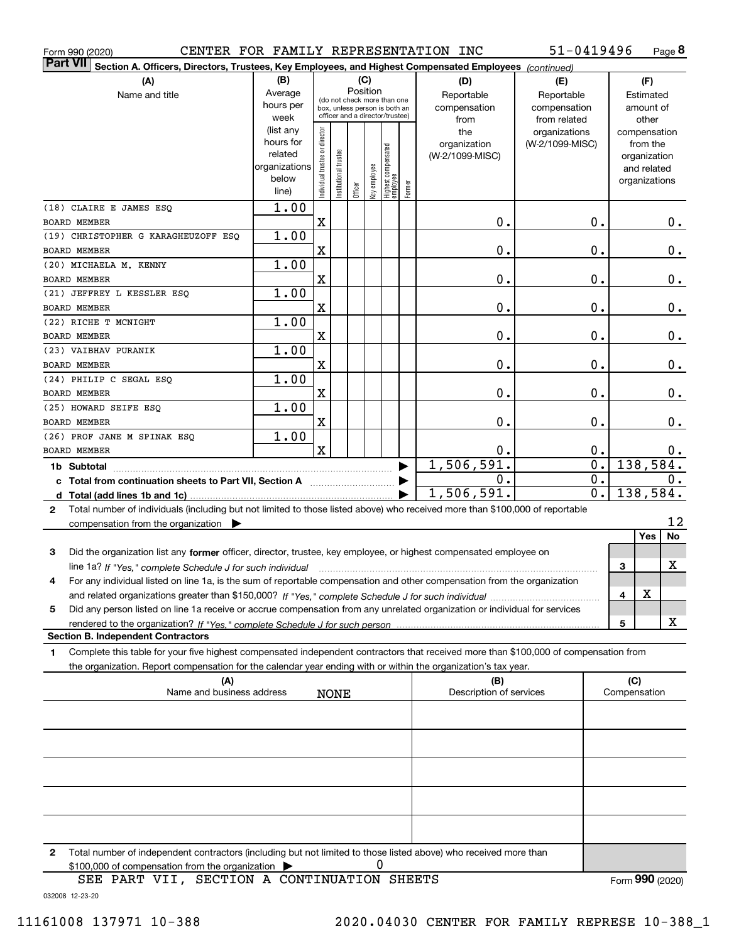| CENTER FOR FAMILY REPRESENTATION INC<br>Form 990 (2020)                                                                                   |                          |                                |                        |         |              |                                                              |        |                         | 51-0419496       |              |                              | Page 8   |
|-------------------------------------------------------------------------------------------------------------------------------------------|--------------------------|--------------------------------|------------------------|---------|--------------|--------------------------------------------------------------|--------|-------------------------|------------------|--------------|------------------------------|----------|
| <b>Part VII</b><br>Section A. Officers, Directors, Trustees, Key Employees, and Highest Compensated Employees (continued)                 |                          |                                |                        |         |              |                                                              |        |                         |                  |              |                              |          |
| (A)                                                                                                                                       | (B)                      |                                |                        |         | (C)          |                                                              |        | (D)                     | (E)              |              | (F)                          |          |
| Name and title                                                                                                                            | Average                  |                                |                        |         | Position     |                                                              |        | Reportable              | Reportable       |              | Estimated                    |          |
|                                                                                                                                           | hours per                |                                |                        |         |              | (do not check more than one<br>box, unless person is both an |        | compensation            | compensation     |              | amount of                    |          |
|                                                                                                                                           | week                     |                                |                        |         |              | officer and a director/trustee)                              |        | from                    | from related     |              | other                        |          |
|                                                                                                                                           | (list any                |                                |                        |         |              |                                                              |        | the                     | organizations    |              | compensation                 |          |
|                                                                                                                                           | hours for                |                                |                        |         |              |                                                              |        | organization            | (W-2/1099-MISC)  |              | from the                     |          |
|                                                                                                                                           | related<br>organizations |                                |                        |         |              |                                                              |        | (W-2/1099-MISC)         |                  |              | organization                 |          |
|                                                                                                                                           | below                    |                                |                        |         |              |                                                              |        |                         |                  |              | and related<br>organizations |          |
|                                                                                                                                           | line)                    | Individual trustee or director | In stitutional trustee | Officer | Key employee | Highest compensated<br>employee                              | Former |                         |                  |              |                              |          |
| (18) CLAIRE E JAMES ESQ                                                                                                                   | 1.00                     |                                |                        |         |              |                                                              |        |                         |                  |              |                              |          |
| <b>BOARD MEMBER</b>                                                                                                                       |                          | $\mathbf X$                    |                        |         |              |                                                              |        | 0.                      | 0.               |              |                              | 0.       |
| (19) CHRISTOPHER G KARAGHEUZOFF ESQ                                                                                                       | 1.00                     |                                |                        |         |              |                                                              |        |                         |                  |              |                              |          |
| <b>BOARD MEMBER</b>                                                                                                                       |                          | $\mathbf X$                    |                        |         |              |                                                              |        | $0$ .                   | 0.               |              |                              | $0_{.}$  |
| (20) MICHAELA M. KENNY                                                                                                                    | 1.00                     |                                |                        |         |              |                                                              |        |                         |                  |              |                              |          |
| BOARD MEMBER                                                                                                                              |                          | $\mathbf X$                    |                        |         |              |                                                              |        | $\mathbf 0$ .           | 0.               |              |                              | $0_{.}$  |
| (21) JEFFREY L KESSLER ESQ                                                                                                                | 1.00                     |                                |                        |         |              |                                                              |        |                         |                  |              |                              |          |
| BOARD MEMBER                                                                                                                              |                          | $\mathbf X$                    |                        |         |              |                                                              |        | $\mathbf 0$ .           | 0.               |              |                              | $0_{.}$  |
| (22) RICHE T MCNIGHT                                                                                                                      | 1.00                     |                                |                        |         |              |                                                              |        |                         |                  |              |                              |          |
| <b>BOARD MEMBER</b>                                                                                                                       |                          | $\mathbf X$                    |                        |         |              |                                                              |        | $\mathbf 0$ .           | 0.               |              |                              | $0_{.}$  |
| (23) VAIBHAV PURANIK                                                                                                                      | 1.00                     |                                |                        |         |              |                                                              |        |                         |                  |              |                              |          |
| <b>BOARD MEMBER</b>                                                                                                                       |                          | $\mathbf X$                    |                        |         |              |                                                              |        | $\mathbf 0$ .           | 0.               |              |                              | $0_{.}$  |
| (24) PHILIP C SEGAL ESQ                                                                                                                   | 1.00                     |                                |                        |         |              |                                                              |        |                         |                  |              |                              |          |
| BOARD MEMBER                                                                                                                              |                          | $\mathbf X$                    |                        |         |              |                                                              |        | $\mathbf 0$ .           | 0.               |              |                              | $0$ .    |
| (25) HOWARD SEIFE ESQ                                                                                                                     | 1.00                     |                                |                        |         |              |                                                              |        |                         |                  |              |                              |          |
| BOARD MEMBER                                                                                                                              |                          | $\overline{\mathbf{X}}$        |                        |         |              |                                                              |        | $\mathbf 0$ .           | $\mathbf 0$ .    |              |                              | 0.       |
| (26) PROF JANE M SPINAK ESQ                                                                                                               | 1.00                     |                                |                        |         |              |                                                              |        |                         |                  |              |                              |          |
| BOARD MEMBER                                                                                                                              |                          | $\mathbf x$                    |                        |         |              |                                                              |        | 0.                      | 0.               |              |                              | $0\cdot$ |
| 1b Subtotal                                                                                                                               |                          |                                |                        |         |              |                                                              |        | 1,506,591.              | $\overline{0}$ . |              | 138, 584.                    |          |
| c Total from continuation sheets to Part VII, Section A                                                                                   |                          |                                |                        |         |              |                                                              |        | 0.                      | 0.               |              |                              | 0.       |
| d Total (add lines 1b and 1c)                                                                                                             |                          |                                |                        |         |              |                                                              |        | 1,506,591.              | $\overline{0}$ . |              | 138,584.                     |          |
| Total number of individuals (including but not limited to those listed above) who received more than \$100,000 of reportable<br>2         |                          |                                |                        |         |              |                                                              |        |                         |                  |              |                              |          |
| compensation from the organization                                                                                                        |                          |                                |                        |         |              |                                                              |        |                         |                  |              | <b>Yes</b>                   | 12<br>No |
|                                                                                                                                           |                          |                                |                        |         |              |                                                              |        |                         |                  |              |                              |          |
| 3<br>Did the organization list any former officer, director, trustee, key employee, or highest compensated employee on                    |                          |                                |                        |         |              |                                                              |        |                         |                  |              |                              |          |
| line 1a? If "Yes," complete Schedule J for such individual manufactured contained and the Ves," complete Schedule J for such individual   |                          |                                |                        |         |              |                                                              |        |                         |                  | 3            |                              | х        |
| 4<br>For any individual listed on line 1a, is the sum of reportable compensation and other compensation from the organization             |                          |                                |                        |         |              |                                                              |        |                         |                  |              | х                            |          |
| Did any person listed on line 1a receive or accrue compensation from any unrelated organization or individual for services<br>5           |                          |                                |                        |         |              |                                                              |        |                         |                  | 4            |                              |          |
|                                                                                                                                           |                          |                                |                        |         |              |                                                              |        |                         |                  | 5            |                              | х        |
| <b>Section B. Independent Contractors</b>                                                                                                 |                          |                                |                        |         |              |                                                              |        |                         |                  |              |                              |          |
| Complete this table for your five highest compensated independent contractors that received more than \$100,000 of compensation from<br>1 |                          |                                |                        |         |              |                                                              |        |                         |                  |              |                              |          |
| the organization. Report compensation for the calendar year ending with or within the organization's tax year.                            |                          |                                |                        |         |              |                                                              |        |                         |                  |              |                              |          |
| (A)                                                                                                                                       |                          |                                |                        |         |              |                                                              |        | (B)                     |                  | (C)          |                              |          |
| Name and business address                                                                                                                 |                          |                                | <b>NONE</b>            |         |              |                                                              |        | Description of services |                  | Compensation |                              |          |
|                                                                                                                                           |                          |                                |                        |         |              |                                                              |        |                         |                  |              |                              |          |
|                                                                                                                                           |                          |                                |                        |         |              |                                                              |        |                         |                  |              |                              |          |
|                                                                                                                                           |                          |                                |                        |         |              |                                                              |        |                         |                  |              |                              |          |
|                                                                                                                                           |                          |                                |                        |         |              |                                                              |        |                         |                  |              |                              |          |
|                                                                                                                                           |                          |                                |                        |         |              |                                                              |        |                         |                  |              |                              |          |
|                                                                                                                                           |                          |                                |                        |         |              |                                                              |        |                         |                  |              |                              |          |
|                                                                                                                                           |                          |                                |                        |         |              |                                                              |        |                         |                  |              |                              |          |
|                                                                                                                                           |                          |                                |                        |         |              |                                                              |        |                         |                  |              |                              |          |
|                                                                                                                                           |                          |                                |                        |         |              |                                                              |        |                         |                  |              |                              |          |
|                                                                                                                                           |                          |                                |                        |         |              |                                                              |        |                         |                  |              |                              |          |
| Total number of independent contractors (including but not limited to those listed above) who received more than<br>2                     |                          |                                |                        |         |              |                                                              |        |                         |                  |              |                              |          |

\$100,000 of compensation from the organization | 0

\$100,000 of compensation from the organization  $\overline{\triangleright}$  0<br>SEE PART VII, SECTION A CONTINUATION SHEETS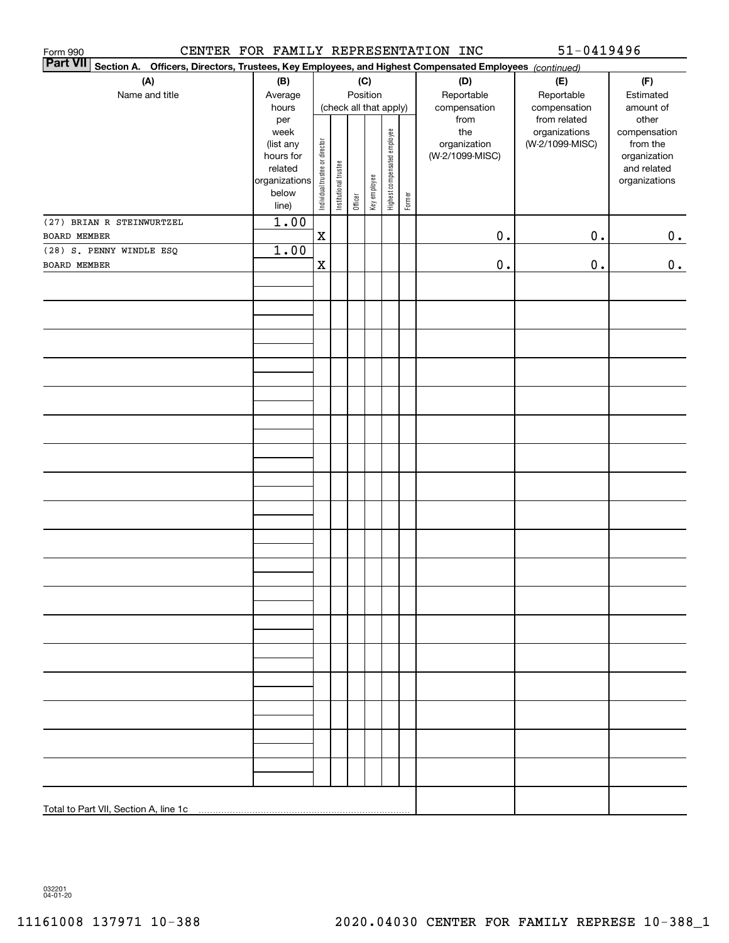| CENTER FOR FAMILY REPRESENTATION INC<br>Form 990                                                                             |                          |                                |                                    |         |              |                              |            |                 | $51 - 0419496$  |                              |
|------------------------------------------------------------------------------------------------------------------------------|--------------------------|--------------------------------|------------------------------------|---------|--------------|------------------------------|------------|-----------------|-----------------|------------------------------|
| <b>Part VII</b><br>Section A.<br>Officers, Directors, Trustees, Key Employees, and Highest Compensated Employees (continued) |                          |                                |                                    |         |              |                              |            |                 |                 |                              |
| (A)                                                                                                                          | (B)<br>(C)               |                                |                                    |         |              |                              | (D)        | (E)             | (F)             |                              |
| Name and title                                                                                                               | Average                  |                                | Position<br>(check all that apply) |         |              |                              | Reportable | Reportable      | Estimated       |                              |
|                                                                                                                              | hours                    |                                |                                    |         |              |                              |            | compensation    | compensation    | amount of                    |
|                                                                                                                              | per                      |                                |                                    |         |              |                              |            | from            | from related    | other                        |
|                                                                                                                              | week                     |                                |                                    |         |              |                              |            | the             | organizations   | compensation                 |
|                                                                                                                              | (list any                |                                |                                    |         |              |                              |            | organization    | (W-2/1099-MISC) | from the                     |
|                                                                                                                              | hours for                |                                |                                    |         |              |                              |            | (W-2/1099-MISC) |                 | organization                 |
|                                                                                                                              | related<br>organizations |                                |                                    |         |              |                              |            |                 |                 | and related<br>organizations |
|                                                                                                                              | below                    |                                |                                    |         |              |                              |            |                 |                 |                              |
|                                                                                                                              | line)                    | Individual trustee or director | Institutional trustee              | Officer | Key employee | Highest compensated employee | Former     |                 |                 |                              |
| (27) BRIAN R STEINWURTZEL                                                                                                    | 1.00                     |                                |                                    |         |              |                              |            |                 |                 |                              |
| BOARD MEMBER                                                                                                                 |                          | $\mathbf x$                    |                                    |         |              |                              |            | $\mathbf 0$ .   | $0$ .           | 0.                           |
| (28) S. PENNY WINDLE ESQ                                                                                                     | 1.00                     |                                |                                    |         |              |                              |            |                 |                 |                              |
| BOARD MEMBER                                                                                                                 |                          | $\mathbf x$                    |                                    |         |              |                              |            | $\mathbf 0$ .   | $\mathbf 0$ .   | 0.                           |
|                                                                                                                              |                          |                                |                                    |         |              |                              |            |                 |                 |                              |
|                                                                                                                              |                          |                                |                                    |         |              |                              |            |                 |                 |                              |
|                                                                                                                              |                          |                                |                                    |         |              |                              |            |                 |                 |                              |
|                                                                                                                              |                          |                                |                                    |         |              |                              |            |                 |                 |                              |
|                                                                                                                              |                          |                                |                                    |         |              |                              |            |                 |                 |                              |
|                                                                                                                              |                          |                                |                                    |         |              |                              |            |                 |                 |                              |
|                                                                                                                              |                          |                                |                                    |         |              |                              |            |                 |                 |                              |
|                                                                                                                              |                          |                                |                                    |         |              |                              |            |                 |                 |                              |
|                                                                                                                              |                          |                                |                                    |         |              |                              |            |                 |                 |                              |
|                                                                                                                              |                          |                                |                                    |         |              |                              |            |                 |                 |                              |
|                                                                                                                              |                          |                                |                                    |         |              |                              |            |                 |                 |                              |
|                                                                                                                              |                          |                                |                                    |         |              |                              |            |                 |                 |                              |
|                                                                                                                              |                          |                                |                                    |         |              |                              |            |                 |                 |                              |
|                                                                                                                              |                          |                                |                                    |         |              |                              |            |                 |                 |                              |
|                                                                                                                              |                          |                                |                                    |         |              |                              |            |                 |                 |                              |
|                                                                                                                              |                          |                                |                                    |         |              |                              |            |                 |                 |                              |
|                                                                                                                              |                          |                                |                                    |         |              |                              |            |                 |                 |                              |
|                                                                                                                              |                          |                                |                                    |         |              |                              |            |                 |                 |                              |
|                                                                                                                              |                          |                                |                                    |         |              |                              |            |                 |                 |                              |
|                                                                                                                              |                          |                                |                                    |         |              |                              |            |                 |                 |                              |
|                                                                                                                              |                          |                                |                                    |         |              |                              |            |                 |                 |                              |
|                                                                                                                              |                          |                                |                                    |         |              |                              |            |                 |                 |                              |
|                                                                                                                              |                          |                                |                                    |         |              |                              |            |                 |                 |                              |
|                                                                                                                              |                          |                                |                                    |         |              |                              |            |                 |                 |                              |
|                                                                                                                              |                          |                                |                                    |         |              |                              |            |                 |                 |                              |
|                                                                                                                              |                          |                                |                                    |         |              |                              |            |                 |                 |                              |
|                                                                                                                              |                          |                                |                                    |         |              |                              |            |                 |                 |                              |
|                                                                                                                              |                          |                                |                                    |         |              |                              |            |                 |                 |                              |
|                                                                                                                              |                          |                                |                                    |         |              |                              |            |                 |                 |                              |
|                                                                                                                              |                          |                                |                                    |         |              |                              |            |                 |                 |                              |
|                                                                                                                              |                          |                                |                                    |         |              |                              |            |                 |                 |                              |
|                                                                                                                              |                          |                                |                                    |         |              |                              |            |                 |                 |                              |
|                                                                                                                              |                          |                                |                                    |         |              |                              |            |                 |                 |                              |
|                                                                                                                              |                          |                                |                                    |         |              |                              |            |                 |                 |                              |
|                                                                                                                              |                          |                                |                                    |         |              |                              |            |                 |                 |                              |
|                                                                                                                              |                          |                                |                                    |         |              |                              |            |                 |                 |                              |
|                                                                                                                              |                          |                                |                                    |         |              |                              |            |                 |                 |                              |
|                                                                                                                              |                          |                                |                                    |         |              |                              |            |                 |                 |                              |
|                                                                                                                              |                          |                                |                                    |         |              |                              |            |                 |                 |                              |

032201 04-01-20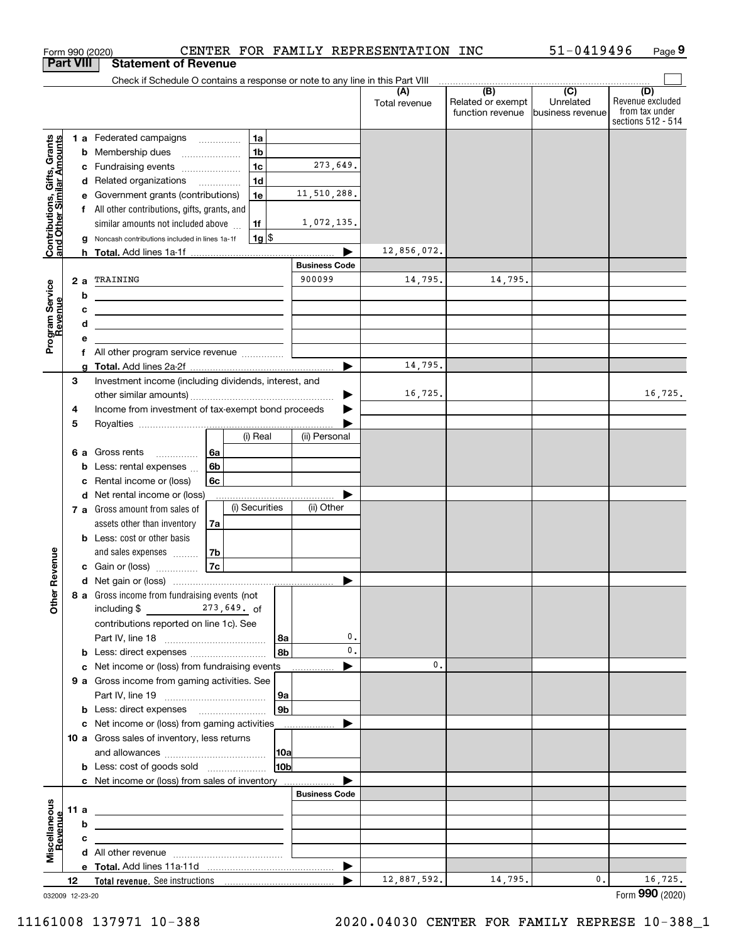|                                                           |      |    | Form 990 (2020)                                                                                                                                                                           |                                            |                 |                       | CENTER FOR FAMILY REPRESENTATION INC |                                       | 51-0419496                    | Page 9                                                          |
|-----------------------------------------------------------|------|----|-------------------------------------------------------------------------------------------------------------------------------------------------------------------------------------------|--------------------------------------------|-----------------|-----------------------|--------------------------------------|---------------------------------------|-------------------------------|-----------------------------------------------------------------|
| <b>Part VIII</b>                                          |      |    | <b>Statement of Revenue</b>                                                                                                                                                               |                                            |                 |                       |                                      |                                       |                               |                                                                 |
|                                                           |      |    | Check if Schedule O contains a response or note to any line in this Part VIII                                                                                                             |                                            |                 |                       |                                      | $\overline{(B)}$                      | $\overline{(\overline{C})}$   |                                                                 |
|                                                           |      |    |                                                                                                                                                                                           |                                            |                 |                       | (A<br>Total revenue                  | Related or exempt<br>function revenue | Unrelated<br>business revenue | (D)<br>Revenue excluded<br>from tax under<br>sections 512 - 514 |
|                                                           |      |    | <b>1 a</b> Federated campaigns                                                                                                                                                            | 1a<br>$\cdots$                             |                 |                       |                                      |                                       |                               |                                                                 |
| Contributions, Gifts, Grants<br>and Other Similar Amounts |      | b  | Membership dues                                                                                                                                                                           | 1 <sub>b</sub>                             |                 |                       |                                      |                                       |                               |                                                                 |
|                                                           |      | с  | Fundraising events                                                                                                                                                                        | 1 <sub>c</sub>                             |                 | 273,649.              |                                      |                                       |                               |                                                                 |
|                                                           |      | d  | Related organizations                                                                                                                                                                     | 1 <sub>d</sub><br>$\overline{\phantom{a}}$ |                 |                       |                                      |                                       |                               |                                                                 |
|                                                           |      |    | Government grants (contributions)                                                                                                                                                         | 1e                                         |                 | 11,510,288.           |                                      |                                       |                               |                                                                 |
|                                                           |      | f  | All other contributions, gifts, grants, and                                                                                                                                               |                                            |                 |                       |                                      |                                       |                               |                                                                 |
|                                                           |      |    | similar amounts not included above                                                                                                                                                        | 1f                                         |                 | 1,072,135.            |                                      |                                       |                               |                                                                 |
|                                                           |      |    | Noncash contributions included in lines 1a-1f                                                                                                                                             | $1g$ \$                                    |                 |                       |                                      |                                       |                               |                                                                 |
|                                                           |      | h. |                                                                                                                                                                                           |                                            |                 | <b>Business Code</b>  | 12,856,072.                          |                                       |                               |                                                                 |
|                                                           | 2a   |    | TRAINING                                                                                                                                                                                  |                                            |                 | 900099                | 14,795.                              | 14,795.                               |                               |                                                                 |
|                                                           |      | b  |                                                                                                                                                                                           |                                            |                 |                       |                                      |                                       |                               |                                                                 |
|                                                           |      | с  | <u> 1989 - Johann Stein, mars an t-Amerikaansk kommunister (</u><br><u> 1989 - Johann Barn, mars and de Branch Barn, mars and de Branch Barn, mars and de Branch Barn, mars and de Br</u> |                                            |                 |                       |                                      |                                       |                               |                                                                 |
|                                                           |      | d  | <u> 1989 - Johann Stein, mars an deus an deus Amerikaanse komme</u>                                                                                                                       |                                            |                 |                       |                                      |                                       |                               |                                                                 |
| Program Service<br>Revenue                                |      | е  |                                                                                                                                                                                           |                                            |                 |                       |                                      |                                       |                               |                                                                 |
|                                                           |      | f  |                                                                                                                                                                                           |                                            |                 |                       |                                      |                                       |                               |                                                                 |
|                                                           |      |    |                                                                                                                                                                                           |                                            |                 | $\blacktriangleright$ | 14,795.                              |                                       |                               |                                                                 |
|                                                           | 3    |    | Investment income (including dividends, interest, and                                                                                                                                     |                                            |                 |                       |                                      |                                       |                               |                                                                 |
|                                                           |      |    |                                                                                                                                                                                           |                                            |                 |                       | 16,725.                              |                                       |                               | 16,725.                                                         |
|                                                           | 4    |    | Income from investment of tax-exempt bond proceeds                                                                                                                                        |                                            |                 |                       |                                      |                                       |                               |                                                                 |
|                                                           | 5    |    |                                                                                                                                                                                           | (i) Real                                   |                 | (ii) Personal         |                                      |                                       |                               |                                                                 |
|                                                           |      |    |                                                                                                                                                                                           |                                            |                 |                       |                                      |                                       |                               |                                                                 |
|                                                           | 6а   | b  | Gross rents<br>Less: rental expenses                                                                                                                                                      | 6а<br>6b                                   |                 |                       |                                      |                                       |                               |                                                                 |
|                                                           |      | с  | Rental income or (loss)                                                                                                                                                                   | 6c                                         |                 |                       |                                      |                                       |                               |                                                                 |
|                                                           |      | d  | Net rental income or (loss)                                                                                                                                                               |                                            |                 |                       |                                      |                                       |                               |                                                                 |
|                                                           |      |    | 7 a Gross amount from sales of                                                                                                                                                            | (i) Securities                             |                 | (ii) Other            |                                      |                                       |                               |                                                                 |
|                                                           |      |    | assets other than inventory                                                                                                                                                               | 7a                                         |                 |                       |                                      |                                       |                               |                                                                 |
|                                                           |      |    | <b>b</b> Less: cost or other basis                                                                                                                                                        |                                            |                 |                       |                                      |                                       |                               |                                                                 |
|                                                           |      |    | and sales expenses                                                                                                                                                                        | 7b                                         |                 |                       |                                      |                                       |                               |                                                                 |
| evenue                                                    |      |    | c Gain or (loss)                                                                                                                                                                          | 7c                                         |                 |                       |                                      |                                       |                               |                                                                 |
|                                                           |      |    |                                                                                                                                                                                           |                                            |                 |                       |                                      |                                       |                               |                                                                 |
| Other <sub>R</sub>                                        |      |    | 8 a Gross income from fundraising events (not                                                                                                                                             |                                            |                 |                       |                                      |                                       |                               |                                                                 |
|                                                           |      |    | including \$<br>$273,649$ . of<br>contributions reported on line 1c). See                                                                                                                 |                                            |                 |                       |                                      |                                       |                               |                                                                 |
|                                                           |      |    |                                                                                                                                                                                           |                                            | 8a              | 0.                    |                                      |                                       |                               |                                                                 |
|                                                           |      | b  | Less: direct expenses                                                                                                                                                                     |                                            | 8b              | 0.                    |                                      |                                       |                               |                                                                 |
|                                                           |      | с  | Net income or (loss) from fundraising events                                                                                                                                              |                                            |                 |                       | 0.                                   |                                       |                               |                                                                 |
|                                                           |      |    | 9 a Gross income from gaming activities. See                                                                                                                                              |                                            |                 |                       |                                      |                                       |                               |                                                                 |
|                                                           |      |    |                                                                                                                                                                                           |                                            | 9a              |                       |                                      |                                       |                               |                                                                 |
|                                                           |      |    | <b>b</b> Less: direct expenses <b>manually</b>                                                                                                                                            |                                            | 9 <sub>b</sub>  |                       |                                      |                                       |                               |                                                                 |
|                                                           |      | с  | Net income or (loss) from gaming activities                                                                                                                                               |                                            |                 |                       |                                      |                                       |                               |                                                                 |
|                                                           |      |    | 10 a Gross sales of inventory, less returns                                                                                                                                               |                                            |                 |                       |                                      |                                       |                               |                                                                 |
|                                                           |      |    |                                                                                                                                                                                           |                                            | 10a             |                       |                                      |                                       |                               |                                                                 |
|                                                           |      |    | <b>b</b> Less: cost of goods sold                                                                                                                                                         |                                            | 10 <sub>b</sub> |                       |                                      |                                       |                               |                                                                 |
|                                                           |      |    |                                                                                                                                                                                           |                                            |                 | <b>Business Code</b>  |                                      |                                       |                               |                                                                 |
|                                                           | 11 a |    |                                                                                                                                                                                           |                                            |                 |                       |                                      |                                       |                               |                                                                 |
| Miscellaneous<br>Revenue                                  |      | b  | <u> 1989 - Johann Barn, mars ann an t-Amhain ann an t-Amhain an t-Amhain an t-Amhain an t-Amhain an t-Amhain an t-</u>                                                                    |                                            |                 |                       |                                      |                                       |                               |                                                                 |
|                                                           |      | с  |                                                                                                                                                                                           |                                            |                 |                       |                                      |                                       |                               |                                                                 |
|                                                           |      |    |                                                                                                                                                                                           |                                            |                 |                       |                                      |                                       |                               |                                                                 |
|                                                           |      |    |                                                                                                                                                                                           |                                            |                 | ▶                     |                                      |                                       |                               |                                                                 |
|                                                           | 12   |    |                                                                                                                                                                                           |                                            |                 |                       | 12,887,592.                          | 14,795.                               | $\mathbf{0}$ .                | 16, 725.                                                        |
| 032009 12-23-20                                           |      |    |                                                                                                                                                                                           |                                            |                 |                       |                                      |                                       |                               | Form 990 (2020)                                                 |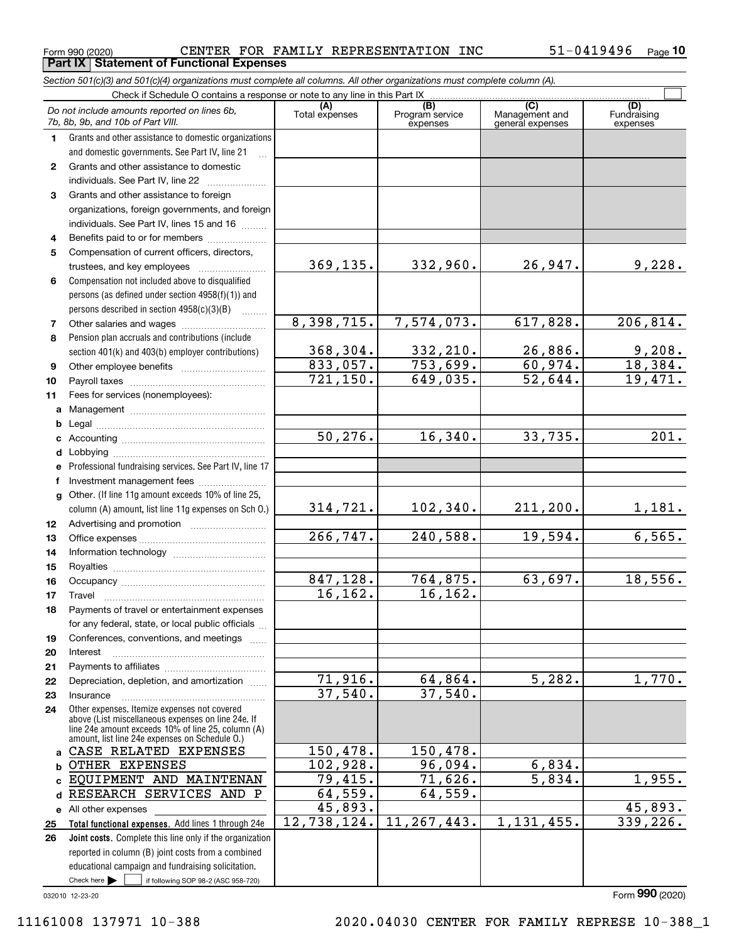Form 990 (2020) CENTER FOR FAMILY REPRESENTATION INC 51-0419496 Page<br>| **Part IX | Statement of Functional Expenses** CENTER FOR FAMILY REPRESENTATION INC 51-0419496

Section 501(c)(3) and 501(c)(4) organizations must complete all columns. All other organizations must complete column (A).

|                  | Do not include amounts reported on lines 6b,<br>7b, 8b, 9b, and 10b of Part VIII.                                             | (A)<br>Total expenses   | (B)<br>Program service<br>expenses | $\overline{C}$<br>Management and<br>general expenses | (D)<br>Fundraising<br>expenses |
|------------------|-------------------------------------------------------------------------------------------------------------------------------|-------------------------|------------------------------------|------------------------------------------------------|--------------------------------|
| 1.               | Grants and other assistance to domestic organizations                                                                         |                         |                                    |                                                      |                                |
|                  | and domestic governments. See Part IV, line 21                                                                                |                         |                                    |                                                      |                                |
| $\mathbf{2}$     | Grants and other assistance to domestic                                                                                       |                         |                                    |                                                      |                                |
|                  | individuals. See Part IV, line 22                                                                                             |                         |                                    |                                                      |                                |
| 3                | Grants and other assistance to foreign                                                                                        |                         |                                    |                                                      |                                |
|                  | organizations, foreign governments, and foreign                                                                               |                         |                                    |                                                      |                                |
|                  | individuals. See Part IV, lines 15 and 16                                                                                     |                         |                                    |                                                      |                                |
| 4                | Benefits paid to or for members                                                                                               |                         |                                    |                                                      |                                |
| 5                | Compensation of current officers, directors,                                                                                  |                         |                                    |                                                      |                                |
|                  | trustees, and key employees                                                                                                   | 369, 135.               | 332,960.                           | 26,947.                                              | 9,228.                         |
| 6                | Compensation not included above to disqualified                                                                               |                         |                                    |                                                      |                                |
|                  | persons (as defined under section 4958(f)(1)) and                                                                             |                         |                                    |                                                      |                                |
|                  | persons described in section 4958(c)(3)(B)<br>1.1.1.1.1.1.1                                                                   |                         |                                    |                                                      |                                |
| 7                |                                                                                                                               | 8,398,715.              | 7,574,073.                         | $\overline{617,828}$ .                               | 206, 814.                      |
| 8                | Pension plan accruals and contributions (include                                                                              |                         |                                    |                                                      |                                |
|                  | section 401(k) and 403(b) employer contributions)                                                                             | 368,304.                | 332,210.                           | 26,886.                                              | $\frac{9,208}{18,384}$         |
| 9                |                                                                                                                               | 833,057.                | 753,699.                           | 60,974.                                              |                                |
| 10               |                                                                                                                               | 721, 150.               | 649,035.                           | 52,644.                                              | 19,471.                        |
| 11               | Fees for services (nonemployees):                                                                                             |                         |                                    |                                                      |                                |
| a                |                                                                                                                               |                         |                                    |                                                      |                                |
| b                |                                                                                                                               | 50, 276.                | 16,340.                            | 33,735.                                              | $\overline{201}$ .             |
| c                |                                                                                                                               |                         |                                    |                                                      |                                |
| d                |                                                                                                                               |                         |                                    |                                                      |                                |
| е                | Professional fundraising services. See Part IV, line 17                                                                       |                         |                                    |                                                      |                                |
| f                | Investment management fees<br>Other. (If line 11g amount exceeds 10% of line 25,                                              |                         |                                    |                                                      |                                |
| g                | column (A) amount, list line 11g expenses on Sch 0.)                                                                          | 314,721.                | 102, 340.                          | 211, 200.                                            | <u>1,181.</u>                  |
| 12 <sup>12</sup> |                                                                                                                               |                         |                                    |                                                      |                                |
| 13               |                                                                                                                               | $\overline{266, 747}$ . | 240,588.                           | 19,594.                                              | 6,565.                         |
| 14               |                                                                                                                               |                         |                                    |                                                      |                                |
| 15               |                                                                                                                               |                         |                                    |                                                      |                                |
| 16               |                                                                                                                               | 847,128.                | 764,875.                           | 63,697.                                              | 18,556.                        |
| 17               | Travel                                                                                                                        | 16, 162.                | 16, 162.                           |                                                      |                                |
| 18               | Payments of travel or entertainment expenses                                                                                  |                         |                                    |                                                      |                                |
|                  | for any federal, state, or local public officials                                                                             |                         |                                    |                                                      |                                |
| 19               | Conferences, conventions, and meetings                                                                                        |                         |                                    |                                                      |                                |
| 20               | Interest                                                                                                                      |                         |                                    |                                                      |                                |
| 21               |                                                                                                                               |                         |                                    |                                                      |                                |
| 22               | Depreciation, depletion, and amortization                                                                                     | $\overline{71,916}$ .   | 64,864.                            | 5,282.                                               | 1,770.                         |
| 23               | Insurance                                                                                                                     | 37,540.                 | 37,540.                            |                                                      |                                |
| 24               | Other expenses. Itemize expenses not covered                                                                                  |                         |                                    |                                                      |                                |
|                  | above (List miscellaneous expenses on line 24e. If<br>line 24e amount exceeds 10% of line 25, column (A)                      |                         |                                    |                                                      |                                |
|                  | amount, list line 24e expenses on Schedule O.)                                                                                |                         |                                    |                                                      |                                |
| a                | CASE RELATED EXPENSES                                                                                                         | 150,478.                | 150,478.                           |                                                      |                                |
| b                | OTHER EXPENSES                                                                                                                | 102,928.                | 96,094.                            | 6,834.                                               |                                |
| c                | EQUIPMENT AND MAINTENAN                                                                                                       | 79,415.                 | 71,626.                            | $\overline{5,834}$ .                                 | 1,955.                         |
| d                | RESEARCH SERVICES AND P                                                                                                       | 64,559.                 | 64,559.                            |                                                      |                                |
|                  | e All other expenses                                                                                                          | 45,893.                 |                                    |                                                      | 45,893.                        |
| 25               | Total functional expenses. Add lines 1 through 24e                                                                            | 12,738,124.             | 11, 267, 443.                      | 1, 131, 455.                                         | 339,226.                       |
| 26               | Joint costs. Complete this line only if the organization                                                                      |                         |                                    |                                                      |                                |
|                  | reported in column (B) joint costs from a combined                                                                            |                         |                                    |                                                      |                                |
|                  | educational campaign and fundraising solicitation.<br>Check here $\blacktriangleright$<br>if following SOP 98-2 (ASC 958-720) |                         |                                    |                                                      |                                |
|                  |                                                                                                                               |                         |                                    |                                                      |                                |

032010 12-23-20

Form 990 (2020)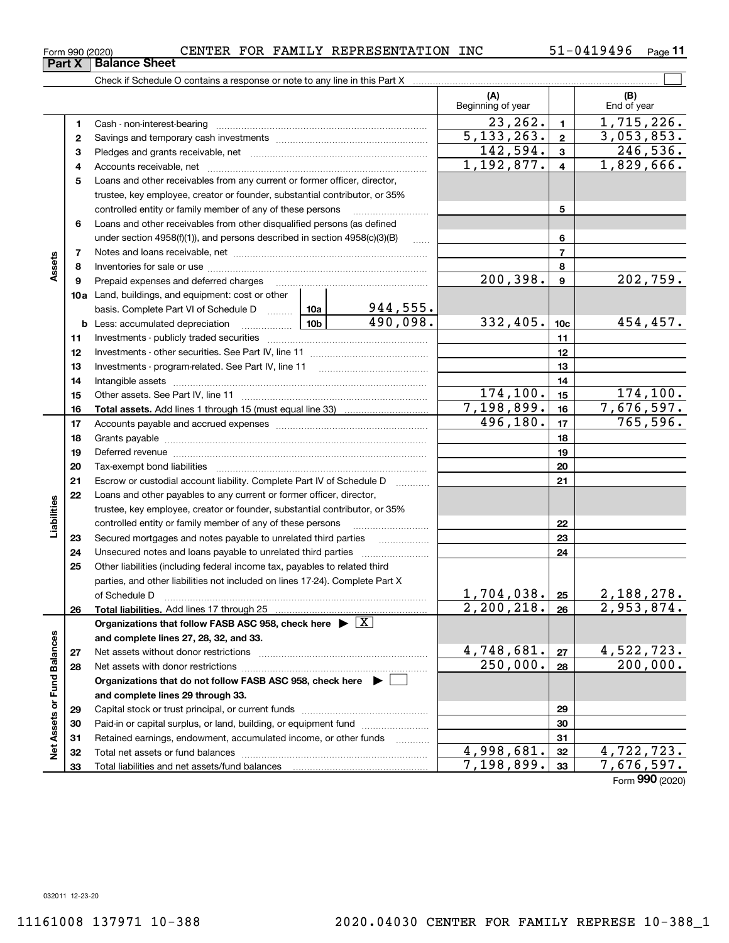Form 990 (2020)<br>**Part X | Balance Sheet** 

 $_{\rm Form}$   $_{990}$  (2020)  $\hbox{CENTER}$   $\hbox{FOR}$   $\hbox{FAMILY}$   $\hbox{REPRESENTATION}$   $\hbox{INC}$   $\hbox{51-0419496}$   $\hbox{Page}$ 

 $51 - 0419496$  Page 11

|                             |    |                                                                                                                                  |                 |                             | (A)<br>Beginning of year |                         | (B)<br>End of year       |
|-----------------------------|----|----------------------------------------------------------------------------------------------------------------------------------|-----------------|-----------------------------|--------------------------|-------------------------|--------------------------|
|                             | 1  |                                                                                                                                  |                 |                             | $\overline{2}3, 262.$    | $\mathbf{1}$            | $\overline{1,715},226.$  |
|                             | 2  |                                                                                                                                  |                 |                             | 5, 133, 263.             | $\mathbf 2$             | 3,053,853.               |
|                             | 3  |                                                                                                                                  |                 |                             | 142,594.                 | 3                       | 246,536.                 |
|                             | 4  |                                                                                                                                  |                 |                             | 1,192,877.               | $\overline{\mathbf{4}}$ | $\overline{1,829,666}$ . |
|                             | 5  | Loans and other receivables from any current or former officer, director,                                                        |                 |                             |                          |                         |                          |
|                             |    | trustee, key employee, creator or founder, substantial contributor, or 35%                                                       |                 |                             |                          |                         |                          |
|                             |    | controlled entity or family member of any of these persons                                                                       |                 |                             |                          | 5                       |                          |
|                             | 6  | Loans and other receivables from other disqualified persons (as defined                                                          |                 |                             |                          |                         |                          |
|                             |    | under section 4958(f)(1)), and persons described in section 4958(c)(3)(B)                                                        |                 | 1.1.1.1                     |                          | 6                       |                          |
|                             | 7  |                                                                                                                                  |                 |                             | $\overline{\phantom{a}}$ |                         |                          |
| Assets                      | 8  |                                                                                                                                  |                 |                             |                          | 8                       |                          |
|                             | 9  | Prepaid expenses and deferred charges                                                                                            |                 | 200,398.                    | 9                        | 202,759.                |                          |
|                             |    | <b>10a</b> Land, buildings, and equipment: cost or other                                                                         |                 |                             |                          |                         |                          |
|                             |    | basis. Complete Part VI of Schedule D                                                                                            | 10a             | $\frac{944,555}{490,098}$ . |                          |                         |                          |
|                             |    | <b>b</b> Less: accumulated depreciation<br>. 1                                                                                   | 10 <sub>b</sub> |                             | 332,405.                 | 10 <sub>c</sub>         | 454,457.                 |
|                             | 11 |                                                                                                                                  |                 | 11                          |                          |                         |                          |
|                             | 12 |                                                                                                                                  |                 | 12                          |                          |                         |                          |
|                             | 13 |                                                                                                                                  |                 | 13                          |                          |                         |                          |
|                             | 14 |                                                                                                                                  |                 | 14                          |                          |                         |                          |
|                             | 15 |                                                                                                                                  | 174, 100.       | 15                          | 174, 100.                |                         |                          |
|                             | 16 |                                                                                                                                  |                 |                             | 7,198,899.               | 16                      | 7,676,597.               |
|                             | 17 |                                                                                                                                  | 496,180.        | 17                          | 765, 596.                |                         |                          |
|                             | 18 |                                                                                                                                  |                 | 18                          |                          |                         |                          |
|                             | 19 |                                                                                                                                  |                 | 19                          |                          |                         |                          |
|                             | 20 |                                                                                                                                  |                 |                             |                          | 20                      |                          |
|                             | 21 | Escrow or custodial account liability. Complete Part IV of Schedule D                                                            |                 | 1.1.1.1.1.1.1.1.1.1         |                          | 21                      |                          |
|                             | 22 | Loans and other payables to any current or former officer, director,                                                             |                 |                             |                          |                         |                          |
| Liabilities                 |    | trustee, key employee, creator or founder, substantial contributor, or 35%                                                       |                 |                             |                          |                         |                          |
|                             |    | controlled entity or family member of any of these persons                                                                       |                 |                             |                          | 22                      |                          |
|                             | 23 | Secured mortgages and notes payable to unrelated third parties                                                                   |                 |                             |                          | 23                      |                          |
|                             | 24 |                                                                                                                                  |                 |                             |                          | 24                      |                          |
|                             | 25 | Other liabilities (including federal income tax, payables to related third                                                       |                 |                             |                          |                         |                          |
|                             |    | parties, and other liabilities not included on lines 17-24). Complete Part X                                                     |                 |                             | 1,704,038.               |                         | 2,188,278.               |
|                             |    | of Schedule D                                                                                                                    |                 |                             | 2,200,218.               | 25<br>26                | $\overline{2,953,874.}$  |
|                             | 26 | Total liabilities. Add lines 17 through 25<br>Organizations that follow FASB ASC 958, check here $\blacktriangleright \boxed{X}$ |                 |                             |                          |                         |                          |
|                             |    | and complete lines 27, 28, 32, and 33.                                                                                           |                 |                             |                          |                         |                          |
|                             | 27 |                                                                                                                                  |                 |                             | 4,748,681.               | 27                      | 4,522,723.               |
|                             | 28 |                                                                                                                                  |                 |                             | 250,000.                 | 28                      | 200,000.                 |
|                             |    | Organizations that do not follow FASB ASC 958, check here ▶ [                                                                    |                 |                             |                          |                         |                          |
|                             |    | and complete lines 29 through 33.                                                                                                |                 |                             |                          |                         |                          |
|                             | 29 |                                                                                                                                  |                 |                             | 29                       |                         |                          |
|                             | 30 | Paid-in or capital surplus, or land, building, or equipment fund                                                                 |                 |                             | 30                       |                         |                          |
|                             | 31 | Retained earnings, endowment, accumulated income, or other funds                                                                 |                 | 31                          |                          |                         |                          |
| Net Assets or Fund Balances | 32 |                                                                                                                                  |                 |                             | $\overline{4,998},681.$  | 32                      | 4,722,723.               |
|                             | 33 |                                                                                                                                  |                 |                             | 7,198,899.               | 33                      | 7,676,597.               |
|                             |    |                                                                                                                                  |                 |                             |                          |                         |                          |

Form 990 (2020)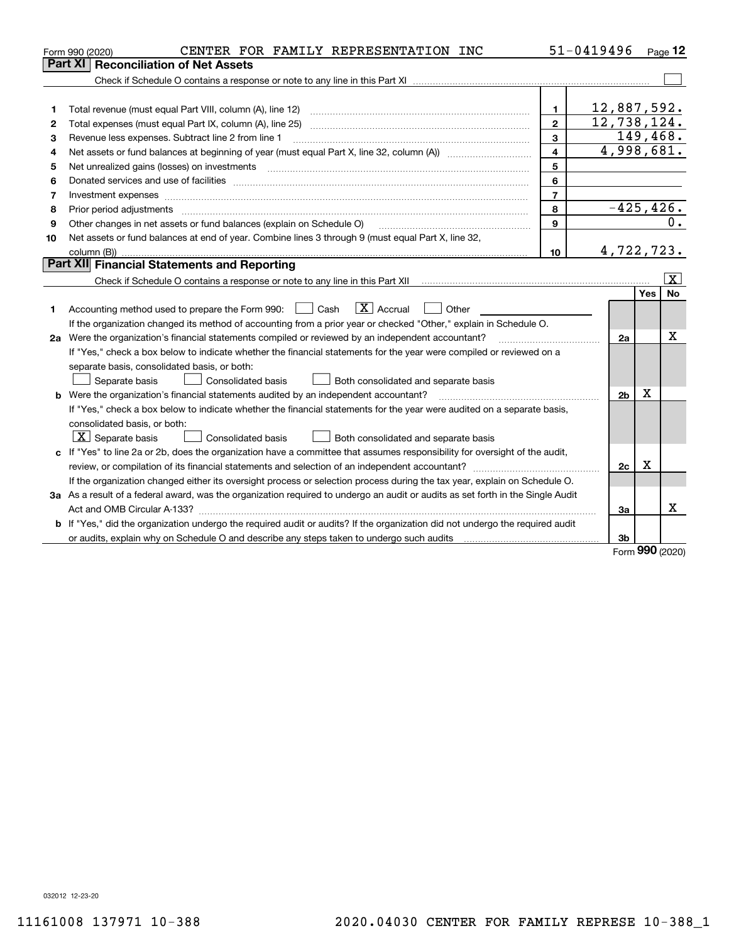|                | CENTER FOR FAMILY REPRESENTATION INC<br>Form 990 (2020)                                                                                                                                                                        |                | 51-0419496     |            | Page 12                 |
|----------------|--------------------------------------------------------------------------------------------------------------------------------------------------------------------------------------------------------------------------------|----------------|----------------|------------|-------------------------|
|                | <b>Reconciliation of Net Assets</b><br>Part XI                                                                                                                                                                                 |                |                |            |                         |
|                |                                                                                                                                                                                                                                |                |                |            |                         |
|                |                                                                                                                                                                                                                                |                |                |            |                         |
| 1              |                                                                                                                                                                                                                                | $\mathbf{1}$   | 12,887,592.    |            |                         |
| $\overline{2}$ |                                                                                                                                                                                                                                | $\mathbf{2}$   | 12,738,124.    |            |                         |
| 3              | Revenue less expenses. Subtract line 2 from line 1                                                                                                                                                                             | 3              |                |            | 149,468.                |
| 4              | Net assets or fund balances at beginning of year (must equal Part X, line 32, column (A)) <i>massets</i> or fund balances at beginning of year (must equal Part X, line 32, column (A))                                        | $\overline{4}$ | 4,998,681.     |            |                         |
| 5              |                                                                                                                                                                                                                                | 5              |                |            |                         |
| 6              | Donated services and use of facilities [111] matter contracts and the service of facilities [11] matter contracts and use of facilities [11] matter contracts and the service of facilities [11] matter contracts and the serv | 6              |                |            |                         |
| 7              | Investment expenses www.communication.com/www.communication.com/www.communication.com/www.com                                                                                                                                  | $\overline{7}$ |                |            |                         |
| 8              | Prior period adjustments                                                                                                                                                                                                       | 8              | $-425, 426.$   |            |                         |
| 9              | Other changes in net assets or fund balances (explain on Schedule O)                                                                                                                                                           | 9              |                |            | 0.                      |
| 10             | Net assets or fund balances at end of year. Combine lines 3 through 9 (must equal Part X, line 32,                                                                                                                             |                |                |            |                         |
|                |                                                                                                                                                                                                                                | 10             | 4,722,723.     |            |                         |
|                | Part XII Financial Statements and Reporting                                                                                                                                                                                    |                |                |            |                         |
|                | Check if Schedule O contains a response or note to any line in this Part XII [11] [12] Check if Schedule O contains a response or note to any line in this Part XII                                                            |                |                |            | $\overline{\mathbf{x}}$ |
|                |                                                                                                                                                                                                                                |                |                | <b>Yes</b> | <b>No</b>               |
| 1              | $\mathbf{X}$ Accrual<br>Accounting method used to prepare the Form 990: <u>June</u> Cash<br>Other<br>$\mathbf{1}$                                                                                                              |                |                |            |                         |
|                | If the organization changed its method of accounting from a prior year or checked "Other," explain in Schedule O.                                                                                                              |                |                |            |                         |
|                | 2a Were the organization's financial statements compiled or reviewed by an independent accountant?                                                                                                                             |                | 2a             |            | х                       |
|                | If "Yes," check a box below to indicate whether the financial statements for the year were compiled or reviewed on a                                                                                                           |                |                |            |                         |
|                | separate basis, consolidated basis, or both:                                                                                                                                                                                   |                |                |            |                         |
|                | Both consolidated and separate basis<br>Separate basis<br><b>Consolidated basis</b>                                                                                                                                            |                |                |            |                         |
|                | <b>b</b> Were the organization's financial statements audited by an independent accountant?                                                                                                                                    |                | 2 <sub>b</sub> | X          |                         |
|                | If "Yes," check a box below to indicate whether the financial statements for the year were audited on a separate basis,                                                                                                        |                |                |            |                         |
|                | consolidated basis, or both:                                                                                                                                                                                                   |                |                |            |                         |
|                | $X$ Separate basis<br><b>Consolidated basis</b><br>Both consolidated and separate basis                                                                                                                                        |                |                |            |                         |
|                | c If "Yes" to line 2a or 2b, does the organization have a committee that assumes responsibility for oversight of the audit,                                                                                                    |                |                |            |                         |
|                |                                                                                                                                                                                                                                |                | 2c             | Χ          |                         |
|                | If the organization changed either its oversight process or selection process during the tax year, explain on Schedule O.                                                                                                      |                |                |            |                         |
|                | 3a As a result of a federal award, was the organization required to undergo an audit or audits as set forth in the Single Audit                                                                                                |                |                |            |                         |
|                |                                                                                                                                                                                                                                |                | 3a             |            | x                       |
|                | b If "Yes," did the organization undergo the required audit or audits? If the organization did not undergo the required audit                                                                                                  |                |                |            |                         |
|                | or audits, explain why on Schedule O and describe any steps taken to undergo such audits matured contains the successive or and the successive or and the successive or and the successive or and the successive or and the su |                | 3b             | 000        |                         |

Form 990 (2020)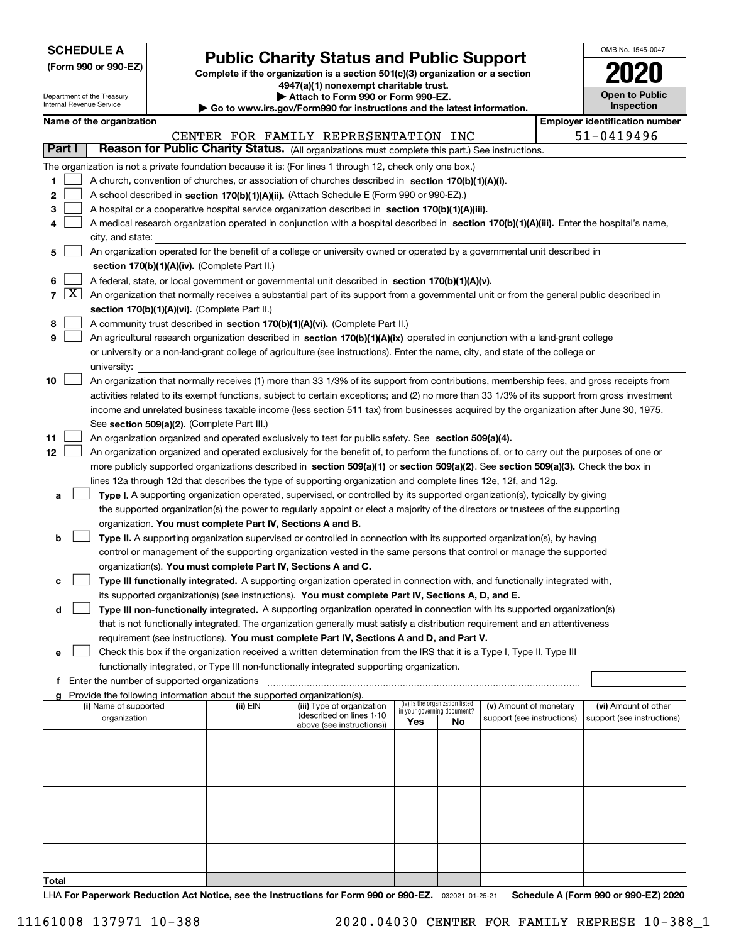| <b>SCHEDULE A</b> |  |
|-------------------|--|
|-------------------|--|

| (Form 990 or 990-EZ) |  |  |  |  |
|----------------------|--|--|--|--|
|----------------------|--|--|--|--|

## **Public Charity Status and Public Support**

Complete if the organization is a section 501(c)(3) organization or a section 4947(a)(1) nonexempt charitable trust. | Attach to Form 990 or Form 990-EZ.

| OMB No. 1545-0047                   |
|-------------------------------------|
| 2020                                |
| <b>Open to Public</b><br>Inspection |

|        | Department of the Treasury<br>Attach to Form 990 or Form 990-EZ.<br>Internal Revenue Service<br>$\blacktriangleright$ Go to www.irs.gov/Form990 for instructions and the latest information. |  |                                                                        |                                                                                                                                              |     |                                                                |                            | <b>Open to Public</b><br>Inspection |                                       |  |  |
|--------|----------------------------------------------------------------------------------------------------------------------------------------------------------------------------------------------|--|------------------------------------------------------------------------|----------------------------------------------------------------------------------------------------------------------------------------------|-----|----------------------------------------------------------------|----------------------------|-------------------------------------|---------------------------------------|--|--|
|        | Name of the organization                                                                                                                                                                     |  |                                                                        |                                                                                                                                              |     |                                                                |                            |                                     | <b>Employer identification number</b> |  |  |
|        |                                                                                                                                                                                              |  |                                                                        | CENTER FOR FAMILY REPRESENTATION INC                                                                                                         |     |                                                                |                            |                                     | 51-0419496                            |  |  |
| Part I |                                                                                                                                                                                              |  |                                                                        | Reason for Public Charity Status. (All organizations must complete this part.) See instructions.                                             |     |                                                                |                            |                                     |                                       |  |  |
|        |                                                                                                                                                                                              |  |                                                                        | The organization is not a private foundation because it is: (For lines 1 through 12, check only one box.)                                    |     |                                                                |                            |                                     |                                       |  |  |
| 1      |                                                                                                                                                                                              |  |                                                                        | A church, convention of churches, or association of churches described in section 170(b)(1)(A)(i).                                           |     |                                                                |                            |                                     |                                       |  |  |
| 2      |                                                                                                                                                                                              |  |                                                                        | A school described in section 170(b)(1)(A)(ii). (Attach Schedule E (Form 990 or 990-EZ).)                                                    |     |                                                                |                            |                                     |                                       |  |  |
| з      |                                                                                                                                                                                              |  |                                                                        | A hospital or a cooperative hospital service organization described in section 170(b)(1)(A)(iii).                                            |     |                                                                |                            |                                     |                                       |  |  |
| 4      |                                                                                                                                                                                              |  |                                                                        | A medical research organization operated in conjunction with a hospital described in section 170(b)(1)(A)(iii). Enter the hospital's name,   |     |                                                                |                            |                                     |                                       |  |  |
|        | city, and state:                                                                                                                                                                             |  |                                                                        |                                                                                                                                              |     |                                                                |                            |                                     |                                       |  |  |
| 5      |                                                                                                                                                                                              |  |                                                                        |                                                                                                                                              |     |                                                                |                            |                                     |                                       |  |  |
|        | An organization operated for the benefit of a college or university owned or operated by a governmental unit described in<br>section 170(b)(1)(A)(iv). (Complete Part II.)                   |  |                                                                        |                                                                                                                                              |     |                                                                |                            |                                     |                                       |  |  |
| 6      |                                                                                                                                                                                              |  |                                                                        | A federal, state, or local government or governmental unit described in section 170(b)(1)(A)(v).                                             |     |                                                                |                            |                                     |                                       |  |  |
| 7   X  |                                                                                                                                                                                              |  |                                                                        | An organization that normally receives a substantial part of its support from a governmental unit or from the general public described in    |     |                                                                |                            |                                     |                                       |  |  |
|        |                                                                                                                                                                                              |  | section 170(b)(1)(A)(vi). (Complete Part II.)                          |                                                                                                                                              |     |                                                                |                            |                                     |                                       |  |  |
| 8      |                                                                                                                                                                                              |  |                                                                        | A community trust described in section 170(b)(1)(A)(vi). (Complete Part II.)                                                                 |     |                                                                |                            |                                     |                                       |  |  |
| 9      |                                                                                                                                                                                              |  |                                                                        | An agricultural research organization described in section 170(b)(1)(A)(ix) operated in conjunction with a land-grant college                |     |                                                                |                            |                                     |                                       |  |  |
|        |                                                                                                                                                                                              |  |                                                                        | or university or a non-land-grant college of agriculture (see instructions). Enter the name, city, and state of the college or               |     |                                                                |                            |                                     |                                       |  |  |
|        | university:                                                                                                                                                                                  |  |                                                                        |                                                                                                                                              |     |                                                                |                            |                                     |                                       |  |  |
| 10     |                                                                                                                                                                                              |  |                                                                        | An organization that normally receives (1) more than 33 1/3% of its support from contributions, membership fees, and gross receipts from     |     |                                                                |                            |                                     |                                       |  |  |
|        |                                                                                                                                                                                              |  |                                                                        | activities related to its exempt functions, subject to certain exceptions; and (2) no more than 33 1/3% of its support from gross investment |     |                                                                |                            |                                     |                                       |  |  |
|        |                                                                                                                                                                                              |  |                                                                        | income and unrelated business taxable income (less section 511 tax) from businesses acquired by the organization after June 30, 1975.        |     |                                                                |                            |                                     |                                       |  |  |
|        |                                                                                                                                                                                              |  | See section 509(a)(2). (Complete Part III.)                            |                                                                                                                                              |     |                                                                |                            |                                     |                                       |  |  |
| 11     |                                                                                                                                                                                              |  |                                                                        | An organization organized and operated exclusively to test for public safety. See section 509(a)(4).                                         |     |                                                                |                            |                                     |                                       |  |  |
| 12     |                                                                                                                                                                                              |  |                                                                        | An organization organized and operated exclusively for the benefit of, to perform the functions of, or to carry out the purposes of one or   |     |                                                                |                            |                                     |                                       |  |  |
|        |                                                                                                                                                                                              |  |                                                                        | more publicly supported organizations described in section 509(a)(1) or section 509(a)(2). See section 509(a)(3). Check the box in           |     |                                                                |                            |                                     |                                       |  |  |
|        |                                                                                                                                                                                              |  |                                                                        | lines 12a through 12d that describes the type of supporting organization and complete lines 12e, 12f, and 12g.                               |     |                                                                |                            |                                     |                                       |  |  |
| а      |                                                                                                                                                                                              |  |                                                                        | Type I. A supporting organization operated, supervised, or controlled by its supported organization(s), typically by giving                  |     |                                                                |                            |                                     |                                       |  |  |
|        |                                                                                                                                                                                              |  |                                                                        | the supported organization(s) the power to regularly appoint or elect a majority of the directors or trustees of the supporting              |     |                                                                |                            |                                     |                                       |  |  |
|        |                                                                                                                                                                                              |  | organization. You must complete Part IV, Sections A and B.             |                                                                                                                                              |     |                                                                |                            |                                     |                                       |  |  |
| b      |                                                                                                                                                                                              |  |                                                                        | Type II. A supporting organization supervised or controlled in connection with its supported organization(s), by having                      |     |                                                                |                            |                                     |                                       |  |  |
|        |                                                                                                                                                                                              |  |                                                                        | control or management of the supporting organization vested in the same persons that control or manage the supported                         |     |                                                                |                            |                                     |                                       |  |  |
|        |                                                                                                                                                                                              |  |                                                                        | organization(s). You must complete Part IV, Sections A and C.                                                                                |     |                                                                |                            |                                     |                                       |  |  |
| с      |                                                                                                                                                                                              |  |                                                                        | Type III functionally integrated. A supporting organization operated in connection with, and functionally integrated with,                   |     |                                                                |                            |                                     |                                       |  |  |
|        |                                                                                                                                                                                              |  |                                                                        | its supported organization(s) (see instructions). You must complete Part IV, Sections A, D, and E.                                           |     |                                                                |                            |                                     |                                       |  |  |
| d      |                                                                                                                                                                                              |  |                                                                        | Type III non-functionally integrated. A supporting organization operated in connection with its supported organization(s)                    |     |                                                                |                            |                                     |                                       |  |  |
|        |                                                                                                                                                                                              |  |                                                                        | that is not functionally integrated. The organization generally must satisfy a distribution requirement and an attentiveness                 |     |                                                                |                            |                                     |                                       |  |  |
|        |                                                                                                                                                                                              |  |                                                                        | requirement (see instructions). You must complete Part IV, Sections A and D, and Part V.                                                     |     |                                                                |                            |                                     |                                       |  |  |
| е      |                                                                                                                                                                                              |  |                                                                        | Check this box if the organization received a written determination from the IRS that it is a Type I, Type II, Type III                      |     |                                                                |                            |                                     |                                       |  |  |
|        |                                                                                                                                                                                              |  |                                                                        | functionally integrated, or Type III non-functionally integrated supporting organization.                                                    |     |                                                                |                            |                                     |                                       |  |  |
|        | f Enter the number of supported organizations                                                                                                                                                |  |                                                                        |                                                                                                                                              |     |                                                                |                            |                                     |                                       |  |  |
| a      |                                                                                                                                                                                              |  | Provide the following information about the supported organization(s). |                                                                                                                                              |     |                                                                |                            |                                     |                                       |  |  |
|        | (i) Name of supported                                                                                                                                                                        |  | (ii) EIN                                                               | (iii) Type of organization                                                                                                                   |     | (iv) Is the organization listed<br>in your governing document? | (v) Amount of monetary     |                                     | (vi) Amount of other                  |  |  |
|        | organization                                                                                                                                                                                 |  |                                                                        | (described on lines 1-10<br>above (see instructions))                                                                                        | Yes | No                                                             | support (see instructions) |                                     | support (see instructions)            |  |  |
|        |                                                                                                                                                                                              |  |                                                                        |                                                                                                                                              |     |                                                                |                            |                                     |                                       |  |  |
|        |                                                                                                                                                                                              |  |                                                                        |                                                                                                                                              |     |                                                                |                            |                                     |                                       |  |  |
|        |                                                                                                                                                                                              |  |                                                                        |                                                                                                                                              |     |                                                                |                            |                                     |                                       |  |  |
|        |                                                                                                                                                                                              |  |                                                                        |                                                                                                                                              |     |                                                                |                            |                                     |                                       |  |  |
|        |                                                                                                                                                                                              |  |                                                                        |                                                                                                                                              |     |                                                                |                            |                                     |                                       |  |  |
|        |                                                                                                                                                                                              |  |                                                                        |                                                                                                                                              |     |                                                                |                            |                                     |                                       |  |  |
|        |                                                                                                                                                                                              |  |                                                                        |                                                                                                                                              |     |                                                                |                            |                                     |                                       |  |  |
|        |                                                                                                                                                                                              |  |                                                                        |                                                                                                                                              |     |                                                                |                            |                                     |                                       |  |  |
|        |                                                                                                                                                                                              |  |                                                                        |                                                                                                                                              |     |                                                                |                            |                                     |                                       |  |  |
|        |                                                                                                                                                                                              |  |                                                                        |                                                                                                                                              |     |                                                                |                            |                                     |                                       |  |  |
|        |                                                                                                                                                                                              |  |                                                                        |                                                                                                                                              |     |                                                                |                            |                                     |                                       |  |  |

Total

LHA For Paperwork Reduction Act Notice, see the Instructions for Form 990 or 990-EZ. 032021 01-25-21 Schedule A (Form 990 or 990-EZ) 2020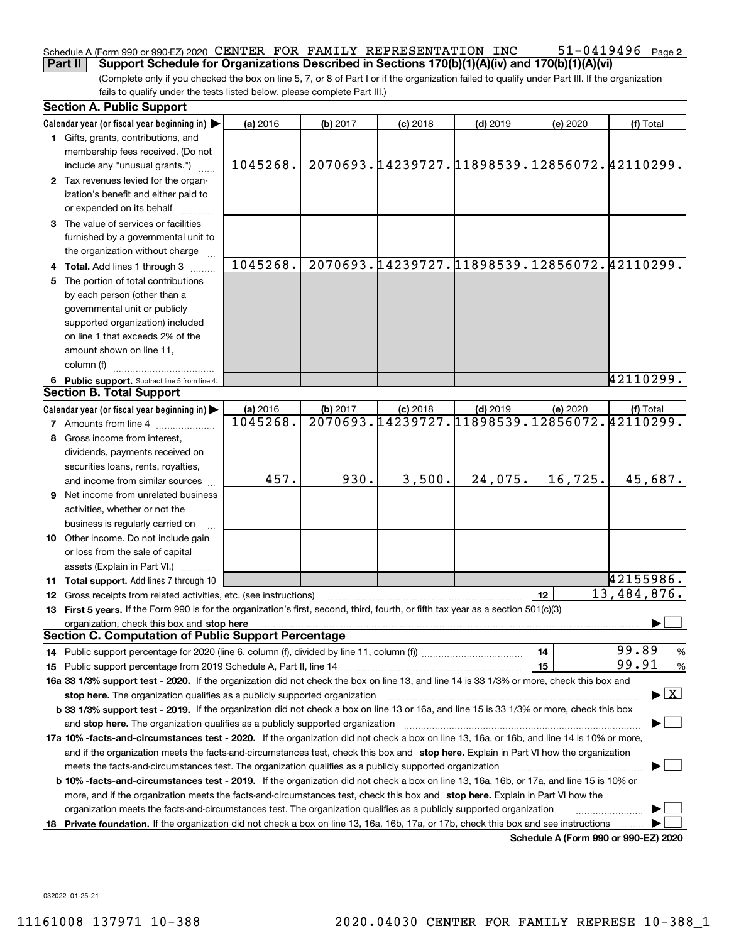#### $51 - 0419496$  Page 2 Schedule A (Form 990 or 990-EZ) 2020 CENTER FOR FAMILY REPRESENTATION INC  $51-0419496$  Page **Part II** Support Schedule for Organizations Described in Sections 170(b)(1)(A)(iv) and 170(b)(1)(A)(vi)

(Complete only if you checked the box on line 5, 7, or 8 of Part I or if the organization failed to qualify under Part III. If the organization fails to qualify under the tests listed below, please complete Part III.)

|    | <b>Section A. Public Support</b>                                                                                                                                                                                               |                      |          |            |                                                            |          |                                              |
|----|--------------------------------------------------------------------------------------------------------------------------------------------------------------------------------------------------------------------------------|----------------------|----------|------------|------------------------------------------------------------|----------|----------------------------------------------|
|    | Calendar year (or fiscal year beginning in)                                                                                                                                                                                    | (a) 2016             | (b) 2017 | $(c)$ 2018 | $(d)$ 2019                                                 | (e) 2020 | (f) Total                                    |
|    | 1 Gifts, grants, contributions, and                                                                                                                                                                                            |                      |          |            |                                                            |          |                                              |
|    | membership fees received. (Do not                                                                                                                                                                                              |                      |          |            |                                                            |          |                                              |
|    | include any "unusual grants.")                                                                                                                                                                                                 | 1045268.             |          |            |                                                            |          | 2070693.14239727.11898539.12856072.42110299. |
|    | 2 Tax revenues levied for the organ-                                                                                                                                                                                           |                      |          |            |                                                            |          |                                              |
|    | ization's benefit and either paid to                                                                                                                                                                                           |                      |          |            |                                                            |          |                                              |
|    | or expended on its behalf                                                                                                                                                                                                      |                      |          |            |                                                            |          |                                              |
|    | 3 The value of services or facilities                                                                                                                                                                                          |                      |          |            |                                                            |          |                                              |
|    | furnished by a governmental unit to                                                                                                                                                                                            |                      |          |            |                                                            |          |                                              |
|    | the organization without charge                                                                                                                                                                                                |                      |          |            |                                                            |          |                                              |
|    | 4 Total. Add lines 1 through 3                                                                                                                                                                                                 | 1045268.             |          |            | 2070693.14239727.11898539.12856072.42110299.               |          |                                              |
|    | The portion of total contributions                                                                                                                                                                                             |                      |          |            |                                                            |          |                                              |
|    | by each person (other than a                                                                                                                                                                                                   |                      |          |            |                                                            |          |                                              |
|    | governmental unit or publicly                                                                                                                                                                                                  |                      |          |            |                                                            |          |                                              |
|    | supported organization) included                                                                                                                                                                                               |                      |          |            |                                                            |          |                                              |
|    | on line 1 that exceeds 2% of the                                                                                                                                                                                               |                      |          |            |                                                            |          |                                              |
|    | amount shown on line 11,                                                                                                                                                                                                       |                      |          |            |                                                            |          |                                              |
|    | column (f)                                                                                                                                                                                                                     |                      |          |            |                                                            |          |                                              |
|    |                                                                                                                                                                                                                                |                      |          |            |                                                            |          | 42110299.                                    |
|    | 6 Public support. Subtract line 5 from line 4.<br><b>Section B. Total Support</b>                                                                                                                                              |                      |          |            |                                                            |          |                                              |
|    |                                                                                                                                                                                                                                |                      |          |            |                                                            |          |                                              |
|    | Calendar year (or fiscal year beginning in)                                                                                                                                                                                    | (a) 2016<br>1045268. | (b) 2017 | $(c)$ 2018 | $(d)$ 2019<br>2070693.14239727.11898539.12856072.42110299. | (e) 2020 | (f) Total                                    |
|    | <b>7</b> Amounts from line 4                                                                                                                                                                                                   |                      |          |            |                                                            |          |                                              |
| 8  | Gross income from interest.                                                                                                                                                                                                    |                      |          |            |                                                            |          |                                              |
|    | dividends, payments received on                                                                                                                                                                                                |                      |          |            |                                                            |          |                                              |
|    | securities loans, rents, royalties,                                                                                                                                                                                            |                      |          |            |                                                            |          |                                              |
|    | and income from similar sources                                                                                                                                                                                                | 457.                 | 930.     | 3,500.     | 24,075.                                                    | 16,725.  | 45,687.                                      |
| 9  | Net income from unrelated business                                                                                                                                                                                             |                      |          |            |                                                            |          |                                              |
|    | activities, whether or not the                                                                                                                                                                                                 |                      |          |            |                                                            |          |                                              |
|    | business is regularly carried on                                                                                                                                                                                               |                      |          |            |                                                            |          |                                              |
|    | 10 Other income. Do not include gain                                                                                                                                                                                           |                      |          |            |                                                            |          |                                              |
|    | or loss from the sale of capital                                                                                                                                                                                               |                      |          |            |                                                            |          |                                              |
|    | assets (Explain in Part VI.)                                                                                                                                                                                                   |                      |          |            |                                                            |          |                                              |
|    | 11 Total support. Add lines 7 through 10                                                                                                                                                                                       |                      |          |            |                                                            |          | 42155986.                                    |
|    | 12 Gross receipts from related activities, etc. (see instructions)                                                                                                                                                             |                      |          |            |                                                            | 12       | $\overline{13}$ , 484, 876.                  |
|    | 13 First 5 years. If the Form 990 is for the organization's first, second, third, fourth, or fifth tax year as a section 501(c)(3)                                                                                             |                      |          |            |                                                            |          |                                              |
|    | organization, check this box and stop here manufactured and according to the state of the state of the state of the state of the state of the state of the state of the state of the state of the state of the state of the st |                      |          |            |                                                            |          |                                              |
|    | <b>Section C. Computation of Public Support Percentage</b>                                                                                                                                                                     |                      |          |            |                                                            |          |                                              |
|    |                                                                                                                                                                                                                                |                      |          |            |                                                            | 14       | 99.89<br>$\frac{9}{6}$                       |
|    | <b>15</b> Public support percentage from 2019 Schedule A, Part II, line 14                                                                                                                                                     |                      |          |            |                                                            | 15       | 99.91<br>$\%$                                |
|    | 16a 33 1/3% support test - 2020. If the organization did not check the box on line 13, and line 14 is 33 1/3% or more, check this box and                                                                                      |                      |          |            |                                                            |          |                                              |
|    | stop here. The organization qualifies as a publicly supported organization                                                                                                                                                     |                      |          |            |                                                            |          | $\blacktriangleright$ $\boxed{\text{X}}$     |
|    | b 33 1/3% support test - 2019. If the organization did not check a box on line 13 or 16a, and line 15 is 33 1/3% or more, check this box                                                                                       |                      |          |            |                                                            |          |                                              |
|    | and stop here. The organization qualifies as a publicly supported organization                                                                                                                                                 |                      |          |            |                                                            |          |                                              |
|    | 17a 10% -facts-and-circumstances test - 2020. If the organization did not check a box on line 13, 16a, or 16b, and line 14 is 10% or more,                                                                                     |                      |          |            |                                                            |          |                                              |
|    | and if the organization meets the facts and circumstances test, check this box and stop here. Explain in Part VI how the organization                                                                                          |                      |          |            |                                                            |          |                                              |
|    | meets the facts-and-circumstances test. The organization qualifies as a publicly supported organization                                                                                                                        |                      |          |            |                                                            |          |                                              |
|    | <b>b 10% -facts-and-circumstances test - 2019.</b> If the organization did not check a box on line 13, 16a, 16b, or 17a, and line 15 is 10% or                                                                                 |                      |          |            |                                                            |          |                                              |
|    | more, and if the organization meets the facts-and-circumstances test, check this box and stop here. Explain in Part VI how the                                                                                                 |                      |          |            |                                                            |          |                                              |
|    | organization meets the facts-and-circumstances test. The organization qualifies as a publicly supported organization                                                                                                           |                      |          |            |                                                            |          |                                              |
| 18 | Private foundation. If the organization did not check a box on line 13, 16a, 16b, 17a, or 17b, check this box and see instructions                                                                                             |                      |          |            |                                                            |          |                                              |
|    |                                                                                                                                                                                                                                |                      |          |            |                                                            |          | Schodule A (Form 000 or 000 F7) 2020         |

Schedule A (Form 990 or 990-EZ) 2020

032022 01-25-21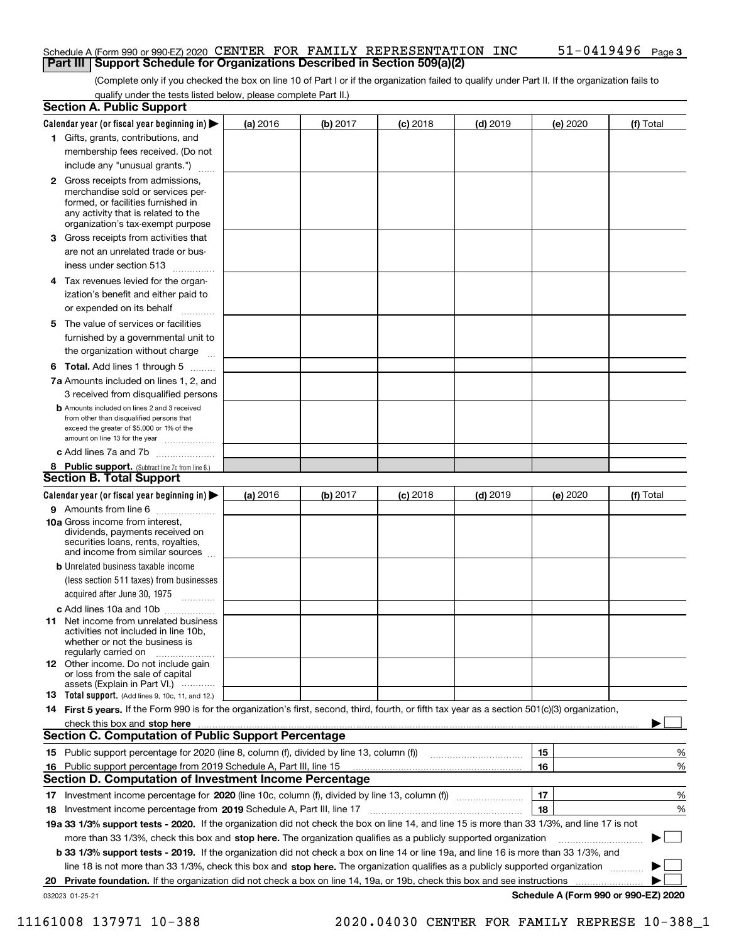#### Schedule A (Form 990 or 990-EZ) 2020 CENTER FOR FAMILY REPRESENTATION INC  $51-0419496$  Page **Part III | Support Schedule for Organizations Described in Section 509(a)(2)**

(Complete only if you checked the box on line 10 of Part I or if the organization failed to qualify under Part II. If the organization fails to qualify under the tests listed below, please complete Part II.)

|     | <b>Section A. Public Support</b>                                                                                                                                                                                               |          |          |            |            |          |                                      |
|-----|--------------------------------------------------------------------------------------------------------------------------------------------------------------------------------------------------------------------------------|----------|----------|------------|------------|----------|--------------------------------------|
|     | Calendar year (or fiscal year beginning in) $\blacktriangleright$                                                                                                                                                              | (a) 2016 | (b) 2017 | $(c)$ 2018 | $(d)$ 2019 | (e) 2020 | (f) Total                            |
|     | 1 Gifts, grants, contributions, and                                                                                                                                                                                            |          |          |            |            |          |                                      |
|     | membership fees received. (Do not                                                                                                                                                                                              |          |          |            |            |          |                                      |
|     | include any "unusual grants.")                                                                                                                                                                                                 |          |          |            |            |          |                                      |
|     | <b>2</b> Gross receipts from admissions,<br>merchandise sold or services per-<br>formed, or facilities furnished in<br>any activity that is related to the<br>organization's tax-exempt purpose                                |          |          |            |            |          |                                      |
|     | <b>3</b> Gross receipts from activities that                                                                                                                                                                                   |          |          |            |            |          |                                      |
|     | are not an unrelated trade or bus-<br>iness under section 513                                                                                                                                                                  |          |          |            |            |          |                                      |
| 4   | Tax revenues levied for the organ-                                                                                                                                                                                             |          |          |            |            |          |                                      |
|     | ization's benefit and either paid to                                                                                                                                                                                           |          |          |            |            |          |                                      |
|     | or expended on its behalf                                                                                                                                                                                                      |          |          |            |            |          |                                      |
|     | 5 The value of services or facilities<br>furnished by a governmental unit to                                                                                                                                                   |          |          |            |            |          |                                      |
|     | the organization without charge                                                                                                                                                                                                |          |          |            |            |          |                                      |
|     | <b>6 Total.</b> Add lines 1 through 5                                                                                                                                                                                          |          |          |            |            |          |                                      |
|     | 7a Amounts included on lines 1, 2, and                                                                                                                                                                                         |          |          |            |            |          |                                      |
|     | 3 received from disqualified persons<br><b>b</b> Amounts included on lines 2 and 3 received<br>from other than disqualified persons that<br>exceed the greater of \$5,000 or 1% of the<br>amount on line 13 for the year       |          |          |            |            |          |                                      |
|     | c Add lines 7a and 7b                                                                                                                                                                                                          |          |          |            |            |          |                                      |
|     | 8 Public support. (Subtract line 7c from line 6.)                                                                                                                                                                              |          |          |            |            |          |                                      |
|     | <b>Section B. Total Support</b>                                                                                                                                                                                                |          |          |            |            |          |                                      |
|     | Calendar year (or fiscal year beginning in) $\blacktriangleright$                                                                                                                                                              | (a) 2016 | (b) 2017 | $(c)$ 2018 | $(d)$ 2019 | (e) 2020 | (f) Total                            |
|     | 9 Amounts from line 6                                                                                                                                                                                                          |          |          |            |            |          |                                      |
|     | 10a Gross income from interest,<br>dividends, payments received on<br>securities loans, rents, royalties,<br>and income from similar sources                                                                                   |          |          |            |            |          |                                      |
|     | <b>b</b> Unrelated business taxable income                                                                                                                                                                                     |          |          |            |            |          |                                      |
|     | (less section 511 taxes) from businesses                                                                                                                                                                                       |          |          |            |            |          |                                      |
|     | acquired after June 30, 1975                                                                                                                                                                                                   |          |          |            |            |          |                                      |
|     | c Add lines 10a and 10b                                                                                                                                                                                                        |          |          |            |            |          |                                      |
| 11. | Net income from unrelated business<br>activities not included in line 10b,<br>whether or not the business is<br>regularly carried on                                                                                           |          |          |            |            |          |                                      |
|     | <b>12</b> Other income. Do not include gain<br>or loss from the sale of capital<br>assets (Explain in Part VI.)                                                                                                                |          |          |            |            |          |                                      |
|     | <b>13 Total support.</b> (Add lines 9, 10c, 11, and 12.)                                                                                                                                                                       |          |          |            |            |          |                                      |
|     | 14 First 5 years. If the Form 990 is for the organization's first, second, third, fourth, or fifth tax year as a section 501(c)(3) organization,                                                                               |          |          |            |            |          |                                      |
|     | check this box and stop here measurements and contact the contract of the contract of the contract of the contract of the contract of the contract of the contract of the contract of the contract of the contract of the cont |          |          |            |            |          |                                      |
|     | <b>Section C. Computation of Public Support Percentage</b>                                                                                                                                                                     |          |          |            |            |          |                                      |
|     |                                                                                                                                                                                                                                |          |          |            |            | 15       | %                                    |
| 16. | Public support percentage from 2019 Schedule A, Part III, line 15                                                                                                                                                              |          |          |            |            | 16       | %                                    |
|     | Section D. Computation of Investment Income Percentage                                                                                                                                                                         |          |          |            |            |          |                                      |
|     |                                                                                                                                                                                                                                |          |          |            |            | 17       | %                                    |
|     | 18 Investment income percentage from 2019 Schedule A, Part III, line 17                                                                                                                                                        |          |          |            |            | 18       | %                                    |
|     | 19a 33 1/3% support tests - 2020. If the organization did not check the box on line 14, and line 15 is more than 33 1/3%, and line 17 is not                                                                                   |          |          |            |            |          |                                      |
|     | more than 33 1/3%, check this box and stop here. The organization qualifies as a publicly supported organization                                                                                                               |          |          |            |            |          |                                      |
|     | b 33 1/3% support tests - 2019. If the organization did not check a box on line 14 or line 19a, and line 16 is more than 33 1/3%, and                                                                                          |          |          |            |            |          |                                      |
|     | line 18 is not more than 33 1/3%, check this box and stop here. The organization qualifies as a publicly supported organization <i>manner</i>                                                                                  |          |          |            |            |          |                                      |
| 20  | Private foundation. If the organization did not check a box on line 14, 19a, or 19b, check this box and see instructions                                                                                                       |          |          |            |            |          |                                      |
|     | 032023 01-25-21                                                                                                                                                                                                                |          |          |            |            |          | Schedule A (Form 990 or 990-EZ) 2020 |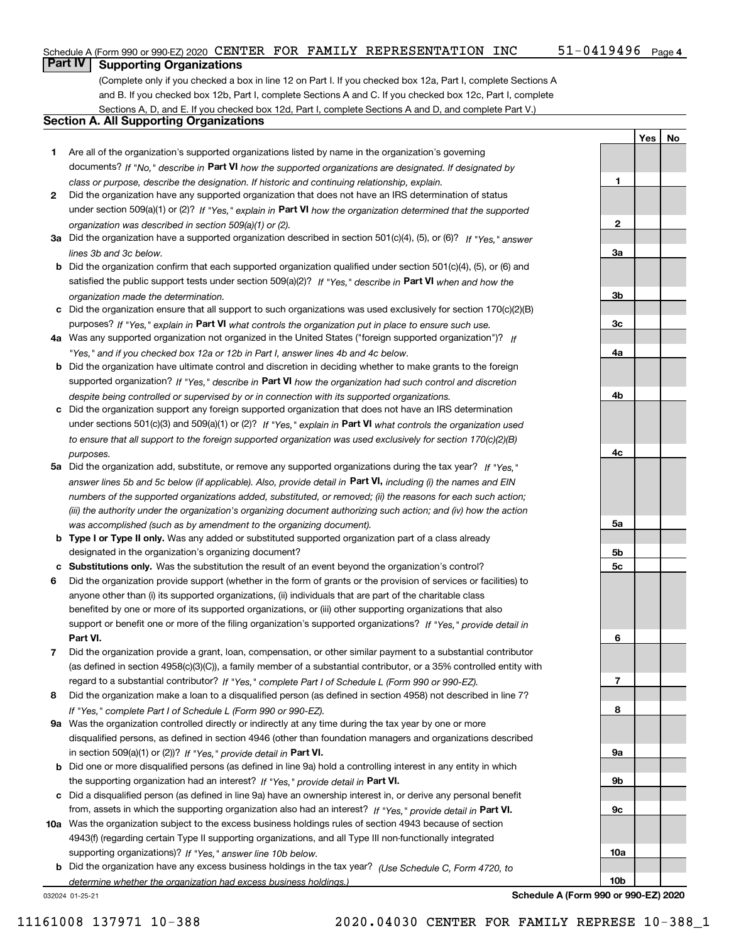### Schedule A (Form 990 or 990-EZ) 2020 CENTER FOR FAMILY REPRESENTATION INC  $51-0419496$  Page

1

2

3a

3b

3c

4a

4b

4c

5a

5b 5c

6

7

8

9a

9b

9c

10a

10b

Yes | No

## **Part IV Supporting Organizations**

(Complete only if you checked a box in line 12 on Part I. If you checked box 12a, Part I, complete Sections A and B. If you checked box 12b, Part I, complete Sections A and C. If you checked box 12c, Part I, complete Sections A, D, and E. If you checked box 12d, Part I, complete Sections A and D, and complete Part V.)

### Section A. All Supporting Organizations

- 1 Are all of the organization's supported organizations listed by name in the organization's governing documents? If "No," describe in Part VI how the supported organizations are designated. If designated by class or purpose, describe the designation. If historic and continuing relationship, explain.
- 2 Did the organization have any supported organization that does not have an IRS determination of status under section 509(a)(1) or (2)? If "Yes," explain in Part VI how the organization determined that the supported organization was described in section 509(a)(1) or (2).
- 3a Did the organization have a supported organization described in section 501(c)(4), (5), or (6)? If "Yes," answer lines 3b and 3c below.
- b Did the organization confirm that each supported organization qualified under section 501(c)(4), (5), or (6) and satisfied the public support tests under section 509(a)(2)? If "Yes," describe in Part VI when and how the organization made the determination.
- c Did the organization ensure that all support to such organizations was used exclusively for section 170(c)(2)(B) purposes? If "Yes," explain in Part VI what controls the organization put in place to ensure such use.
- 4a Was any supported organization not organized in the United States ("foreign supported organization")? If "Yes," and if you checked box 12a or 12b in Part I, answer lines 4b and 4c below.
- b Did the organization have ultimate control and discretion in deciding whether to make grants to the foreign supported organization? If "Yes," describe in Part VI how the organization had such control and discretion despite being controlled or supervised by or in connection with its supported organizations.
- c Did the organization support any foreign supported organization that does not have an IRS determination under sections 501(c)(3) and 509(a)(1) or (2)? If "Yes," explain in Part VI what controls the organization used to ensure that all support to the foreign supported organization was used exclusively for section 170(c)(2)(B) purposes.
- 5a Did the organization add, substitute, or remove any supported organizations during the tax year? If "Yes," answer lines 5b and 5c below (if applicable). Also, provide detail in **Part VI,** including (i) the names and EIN numbers of the supported organizations added, substituted, or removed; (ii) the reasons for each such action; (iii) the authority under the organization's organizing document authorizing such action; and (iv) how the action was accomplished (such as by amendment to the organizing document).
- **b Type I or Type II only.** Was any added or substituted supported organization part of a class already designated in the organization's organizing document?
- c Substitutions only. Was the substitution the result of an event beyond the organization's control?
- 6 Did the organization provide support (whether in the form of grants or the provision of services or facilities) to Part VI. support or benefit one or more of the filing organization's supported organizations? If "Yes," provide detail in anyone other than (i) its supported organizations, (ii) individuals that are part of the charitable class benefited by one or more of its supported organizations, or (iii) other supporting organizations that also
- 7 Did the organization provide a grant, loan, compensation, or other similar payment to a substantial contributor regard to a substantial contributor? If "Yes," complete Part I of Schedule L (Form 990 or 990-EZ). (as defined in section 4958(c)(3)(C)), a family member of a substantial contributor, or a 35% controlled entity with
- 8 Did the organization make a loan to a disqualified person (as defined in section 4958) not described in line 7? If "Yes," complete Part I of Schedule L (Form 990 or 990-EZ).
- **9a** Was the organization controlled directly or indirectly at any time during the tax year by one or more in section 509(a)(1) or (2))? If "Yes," provide detail in Part VI. disqualified persons, as defined in section 4946 (other than foundation managers and organizations described
- b Did one or more disqualified persons (as defined in line 9a) hold a controlling interest in any entity in which the supporting organization had an interest? If "Yes," provide detail in Part VI.
- c Did a disqualified person (as defined in line 9a) have an ownership interest in, or derive any personal benefit from, assets in which the supporting organization also had an interest? If "Yes," provide detail in Part VI.
- 10a Was the organization subject to the excess business holdings rules of section 4943 because of section supporting organizations)? If "Yes," answer line 10b below. 4943(f) (regarding certain Type II supporting organizations, and all Type III non-functionally integrated
	- **b** Did the organization have any excess business holdings in the tax year? (Use Schedule C, Form 4720, to determine whether the organization had excess business holdings.)

032024 01-25-21

Schedule A (Form 990 or 990-EZ) 2020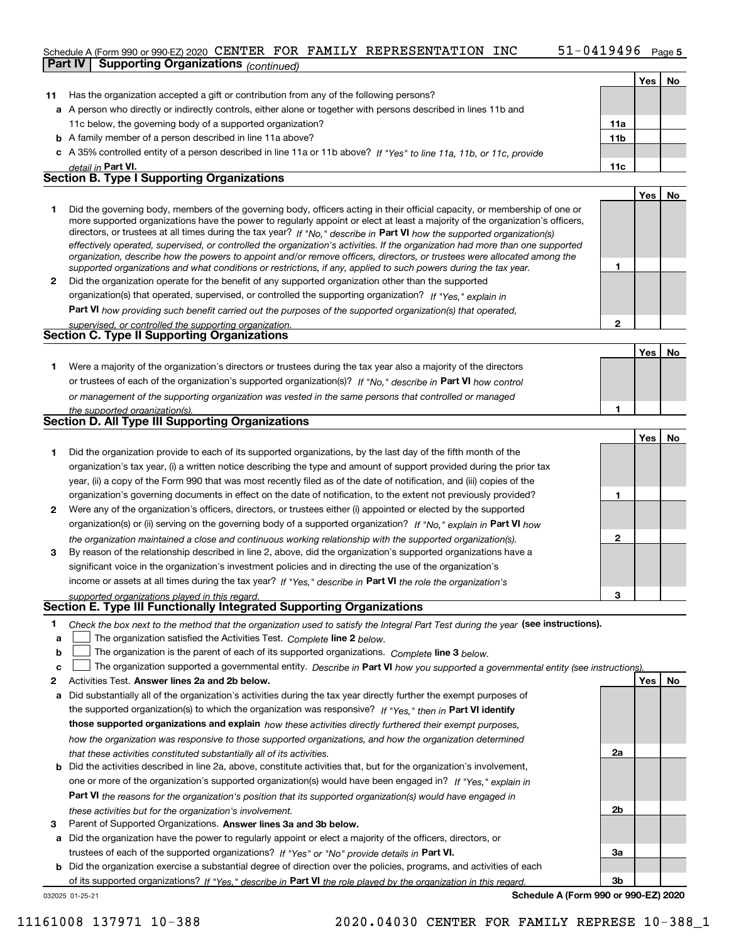### Schedule A (Form 990 or 990-EZ) 2020 CENTER FOR FAMILY REPRESENTATION INC  $51-0419496$  Page

|    | <b>Part IV</b> | <b>Supporting Organizations</b> (continued)                                                                                                                                                                                                                                                                                                                                                                                                                                                                                                                                                                                                          |                 |     |    |
|----|----------------|------------------------------------------------------------------------------------------------------------------------------------------------------------------------------------------------------------------------------------------------------------------------------------------------------------------------------------------------------------------------------------------------------------------------------------------------------------------------------------------------------------------------------------------------------------------------------------------------------------------------------------------------------|-----------------|-----|----|
|    |                |                                                                                                                                                                                                                                                                                                                                                                                                                                                                                                                                                                                                                                                      |                 | Yes | No |
| 11 |                | Has the organization accepted a gift or contribution from any of the following persons?                                                                                                                                                                                                                                                                                                                                                                                                                                                                                                                                                              |                 |     |    |
|    |                | a A person who directly or indirectly controls, either alone or together with persons described in lines 11b and                                                                                                                                                                                                                                                                                                                                                                                                                                                                                                                                     |                 |     |    |
|    |                | 11c below, the governing body of a supported organization?                                                                                                                                                                                                                                                                                                                                                                                                                                                                                                                                                                                           | 11a             |     |    |
|    |                | <b>b</b> A family member of a person described in line 11a above?                                                                                                                                                                                                                                                                                                                                                                                                                                                                                                                                                                                    | 11 <sub>b</sub> |     |    |
|    |                | c A 35% controlled entity of a person described in line 11a or 11b above? If "Yes" to line 11a, 11b, or 11c, provide                                                                                                                                                                                                                                                                                                                                                                                                                                                                                                                                 |                 |     |    |
|    |                | detail in Part VI.                                                                                                                                                                                                                                                                                                                                                                                                                                                                                                                                                                                                                                   | 11c             |     |    |
|    |                | <b>Section B. Type I Supporting Organizations</b>                                                                                                                                                                                                                                                                                                                                                                                                                                                                                                                                                                                                    |                 |     |    |
|    |                |                                                                                                                                                                                                                                                                                                                                                                                                                                                                                                                                                                                                                                                      |                 | Yes | No |
| 1  |                | Did the governing body, members of the governing body, officers acting in their official capacity, or membership of one or<br>more supported organizations have the power to regularly appoint or elect at least a majority of the organization's officers,<br>directors, or trustees at all times during the tax year? If "No," describe in Part VI how the supported organization(s)<br>effectively operated, supervised, or controlled the organization's activities. If the organization had more than one supported<br>organization, describe how the powers to appoint and/or remove officers, directors, or trustees were allocated among the |                 |     |    |
|    |                | supported organizations and what conditions or restrictions, if any, applied to such powers during the tax year.                                                                                                                                                                                                                                                                                                                                                                                                                                                                                                                                     | 1               |     |    |
| 2  |                | Did the organization operate for the benefit of any supported organization other than the supported                                                                                                                                                                                                                                                                                                                                                                                                                                                                                                                                                  |                 |     |    |
|    |                | organization(s) that operated, supervised, or controlled the supporting organization? If "Yes," explain in                                                                                                                                                                                                                                                                                                                                                                                                                                                                                                                                           |                 |     |    |
|    |                | Part VI how providing such benefit carried out the purposes of the supported organization(s) that operated,                                                                                                                                                                                                                                                                                                                                                                                                                                                                                                                                          |                 |     |    |
|    |                | supervised, or controlled the supporting organization.                                                                                                                                                                                                                                                                                                                                                                                                                                                                                                                                                                                               | $\mathbf{2}$    |     |    |
|    |                | <b>Section C. Type II Supporting Organizations</b>                                                                                                                                                                                                                                                                                                                                                                                                                                                                                                                                                                                                   |                 |     |    |
|    |                |                                                                                                                                                                                                                                                                                                                                                                                                                                                                                                                                                                                                                                                      |                 | Yes | No |
| 1. |                | Were a majority of the organization's directors or trustees during the tax year also a majority of the directors                                                                                                                                                                                                                                                                                                                                                                                                                                                                                                                                     |                 |     |    |
|    |                | or trustees of each of the organization's supported organization(s)? If "No." describe in Part VI how control                                                                                                                                                                                                                                                                                                                                                                                                                                                                                                                                        |                 |     |    |
|    |                | or management of the supporting organization was vested in the same persons that controlled or managed                                                                                                                                                                                                                                                                                                                                                                                                                                                                                                                                               |                 |     |    |
|    |                | the supported organization(s).                                                                                                                                                                                                                                                                                                                                                                                                                                                                                                                                                                                                                       | 1               |     |    |
|    |                | <b>Section D. All Type III Supporting Organizations</b>                                                                                                                                                                                                                                                                                                                                                                                                                                                                                                                                                                                              |                 |     |    |
|    |                |                                                                                                                                                                                                                                                                                                                                                                                                                                                                                                                                                                                                                                                      |                 | Yes | No |
| 1  |                | Did the organization provide to each of its supported organizations, by the last day of the fifth month of the                                                                                                                                                                                                                                                                                                                                                                                                                                                                                                                                       |                 |     |    |
|    |                | organization's tax year, (i) a written notice describing the type and amount of support provided during the prior tax                                                                                                                                                                                                                                                                                                                                                                                                                                                                                                                                |                 |     |    |
|    |                | year, (ii) a copy of the Form 990 that was most recently filed as of the date of notification, and (iii) copies of the                                                                                                                                                                                                                                                                                                                                                                                                                                                                                                                               |                 |     |    |
|    |                | organization's governing documents in effect on the date of notification, to the extent not previously provided?                                                                                                                                                                                                                                                                                                                                                                                                                                                                                                                                     | 1               |     |    |
| 2  |                | Were any of the organization's officers, directors, or trustees either (i) appointed or elected by the supported                                                                                                                                                                                                                                                                                                                                                                                                                                                                                                                                     |                 |     |    |
|    |                | organization(s) or (ii) serving on the governing body of a supported organization? If "No," explain in Part VI how                                                                                                                                                                                                                                                                                                                                                                                                                                                                                                                                   |                 |     |    |
|    |                | the organization maintained a close and continuous working relationship with the supported organization(s).                                                                                                                                                                                                                                                                                                                                                                                                                                                                                                                                          | $\mathbf{2}$    |     |    |
| З  |                | By reason of the relationship described in line 2, above, did the organization's supported organizations have a                                                                                                                                                                                                                                                                                                                                                                                                                                                                                                                                      |                 |     |    |
|    |                | significant voice in the organization's investment policies and in directing the use of the organization's                                                                                                                                                                                                                                                                                                                                                                                                                                                                                                                                           |                 |     |    |
|    |                | income or assets at all times during the tax year? If "Yes," describe in Part VI the role the organization's                                                                                                                                                                                                                                                                                                                                                                                                                                                                                                                                         |                 |     |    |
|    |                | supported organizations played in this regard.                                                                                                                                                                                                                                                                                                                                                                                                                                                                                                                                                                                                       | 3               |     |    |
|    |                | Section E. Type III Functionally Integrated Supporting Organizations                                                                                                                                                                                                                                                                                                                                                                                                                                                                                                                                                                                 |                 |     |    |
| 1  |                | Check the box next to the method that the organization used to satisfy the Integral Part Test during the year (see instructions).                                                                                                                                                                                                                                                                                                                                                                                                                                                                                                                    |                 |     |    |
| a  |                | The organization satisfied the Activities Test. Complete line 2 below.                                                                                                                                                                                                                                                                                                                                                                                                                                                                                                                                                                               |                 |     |    |
| b  |                | The organization is the parent of each of its supported organizations. Complete line 3 below.                                                                                                                                                                                                                                                                                                                                                                                                                                                                                                                                                        |                 |     |    |
| c  |                | The organization supported a governmental entity. Describe in Part VI how you supported a governmental entity (see instructions).                                                                                                                                                                                                                                                                                                                                                                                                                                                                                                                    |                 |     |    |
| 2  |                | Activities Test. Answer lines 2a and 2b below.                                                                                                                                                                                                                                                                                                                                                                                                                                                                                                                                                                                                       |                 | Yes | No |
| a  |                | Did substantially all of the organization's activities during the tax year directly further the exempt purposes of                                                                                                                                                                                                                                                                                                                                                                                                                                                                                                                                   |                 |     |    |

the supported organization(s) to which the organization was responsive? If "Yes," then in Part VI identify those supported organizations and explain how these activities directly furthered their exempt purposes, how the organization was responsive to those supported organizations, and how the organization determined that these activities constituted substantially all of its activities.

- b Did the activities described in line 2a, above, constitute activities that, but for the organization's involvement, Part VI the reasons for the organization's position that its supported organization(s) would have engaged in one or more of the organization's supported organization(s) would have been engaged in? If "Yes," explain in these activities but for the organization's involvement.
- 3 Parent of Supported Organizations. Answer lines 3a and 3b below.

a Did the organization have the power to regularly appoint or elect a majority of the officers, directors, or trustees of each of the supported organizations? If "Yes" or "No" provide details in Part VI.

032025 01-25-21 b Did the organization exercise a substantial degree of direction over the policies, programs, and activities of each of its supported organizations? If "Yes," describe in Part VI the role played by the organization in this regard.

Schedule A (Form 990 or 990-EZ) 2020

2a

2b

3a

3b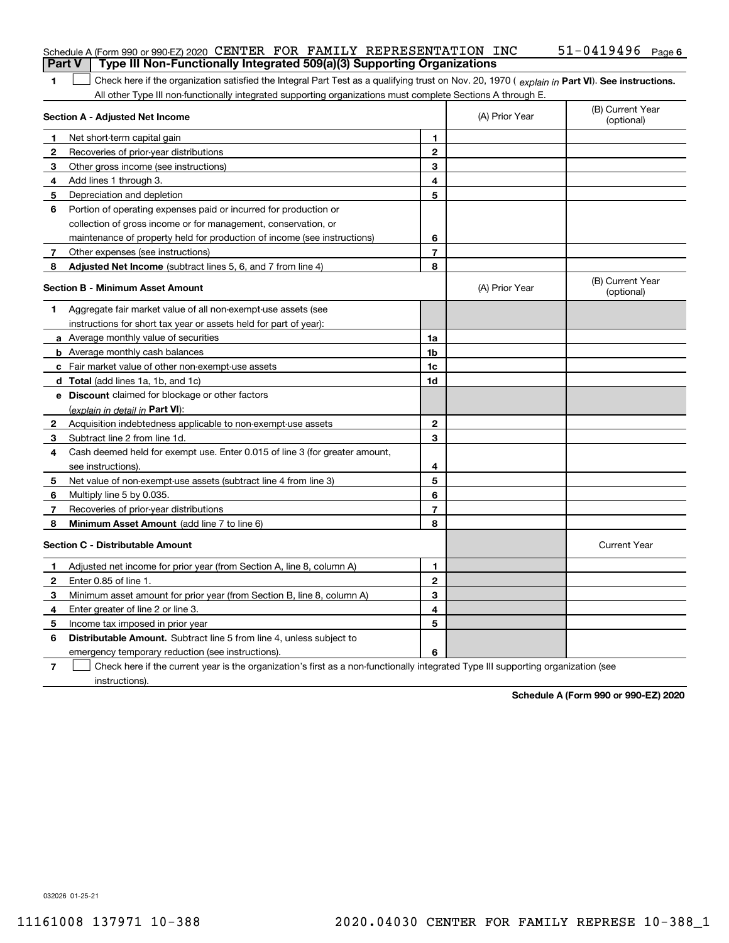| <b>Part V</b> | Schedule A (Form 990 or 990-EZ) 2020 CENTER FOR FAMILY REPRESENTATION INC<br>Type III Non-Functionally Integrated 509(a)(3) Supporting Organizations |                |                | $51 - 0419496$ Page 6          |
|---------------|------------------------------------------------------------------------------------------------------------------------------------------------------|----------------|----------------|--------------------------------|
| 1             | Check here if the organization satisfied the Integral Part Test as a qualifying trust on Nov. 20, 1970 (explain in Part VI). See instructions.       |                |                |                                |
|               | All other Type III non-functionally integrated supporting organizations must complete Sections A through E.                                          |                |                |                                |
|               | <b>Section A - Adjusted Net Income</b>                                                                                                               |                | (A) Prior Year | (B) Current Year<br>(optional) |
| 1             | Net short-term capital gain                                                                                                                          | 1              |                |                                |
| 2             | Recoveries of prior-year distributions                                                                                                               | $\overline{2}$ |                |                                |
| з             | Other gross income (see instructions)                                                                                                                | 3              |                |                                |
| 4             | Add lines 1 through 3.                                                                                                                               | 4              |                |                                |
| 5             | Depreciation and depletion                                                                                                                           | 5              |                |                                |
| 6             | Portion of operating expenses paid or incurred for production or                                                                                     |                |                |                                |
|               | collection of gross income or for management, conservation, or                                                                                       |                |                |                                |
|               | maintenance of property held for production of income (see instructions)                                                                             | 6              |                |                                |
| 7             | Other expenses (see instructions)                                                                                                                    | 7              |                |                                |
| 8             | Adjusted Net Income (subtract lines 5, 6, and 7 from line 4)                                                                                         | 8              |                |                                |
|               | <b>Section B - Minimum Asset Amount</b>                                                                                                              |                | (A) Prior Year | (B) Current Year<br>(optional) |
| 1             | Aggregate fair market value of all non-exempt-use assets (see                                                                                        |                |                |                                |
|               | instructions for short tax year or assets held for part of year):                                                                                    |                |                |                                |
|               | a Average monthly value of securities                                                                                                                | 1a             |                |                                |
|               | <b>b</b> Average monthly cash balances                                                                                                               | 1b             |                |                                |
|               | c Fair market value of other non-exempt-use assets                                                                                                   | 1c             |                |                                |
|               | d Total (add lines 1a, 1b, and 1c)                                                                                                                   | 1d             |                |                                |
|               | e Discount claimed for blockage or other factors                                                                                                     |                |                |                                |
|               | (explain in detail in Part VI):                                                                                                                      |                |                |                                |
| 2             | Acquisition indebtedness applicable to non-exempt-use assets                                                                                         | $\mathbf{2}$   |                |                                |
| 3             | Subtract line 2 from line 1d.                                                                                                                        | 3              |                |                                |
| 4             | Cash deemed held for exempt use. Enter 0.015 of line 3 (for greater amount,                                                                          |                |                |                                |
|               | see instructions).                                                                                                                                   | 4              |                |                                |
| 5             | Net value of non-exempt-use assets (subtract line 4 from line 3)                                                                                     | 5              |                |                                |
| 6             | Multiply line 5 by 0.035.                                                                                                                            | 6              |                |                                |
| 7             | Recoveries of prior-year distributions                                                                                                               | 7              |                |                                |
| 8             | Minimum Asset Amount (add line 7 to line 6)                                                                                                          | 8              |                |                                |
|               | <b>Section C - Distributable Amount</b>                                                                                                              |                |                | <b>Current Year</b>            |
|               | Adjusted net income for prior year (from Section A, line 8, column A)                                                                                | 1              |                |                                |
| 2             | Enter 0.85 of line 1.                                                                                                                                | 2              |                |                                |
| 3             | Minimum asset amount for prior year (from Section B, line 8, column A)                                                                               | 3              |                |                                |
| 4             | Enter greater of line 2 or line 3.                                                                                                                   | 4              |                |                                |
| 5             | Income tax imposed in prior year                                                                                                                     | 5              |                |                                |
| 6             | Distributable Amount. Subtract line 5 from line 4, unless subject to                                                                                 |                |                |                                |
|               | emergency temporary reduction (see instructions).                                                                                                    | 6              |                |                                |
| 7             | Check here if the current year is the organization's first as a non-functionally integrated Type III supporting organization (see                    |                |                |                                |

instructions).

Schedule A (Form 990 or 990-EZ) 2020

032026 01-25-21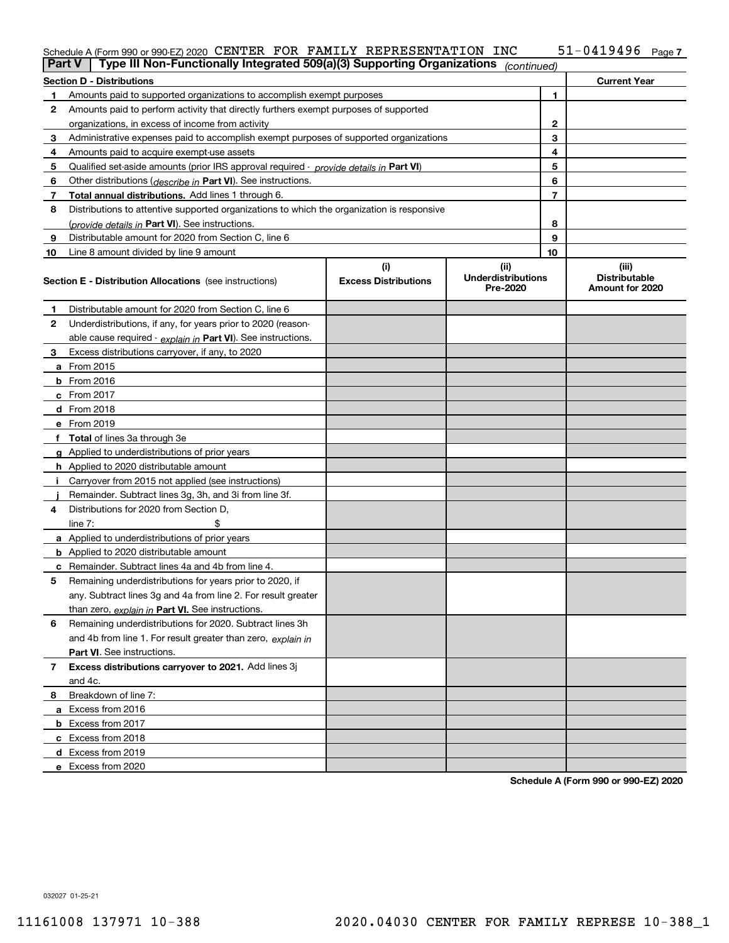#### $51 - 0419496$  Page 7 Schedule A (Form 990 or 990-EZ) 2020 Page CENTER FOR FAMILY REPRESENTATION INC 51-0419496

| Part V | Type III Non-Functionally Integrated 509(a)(3) Supporting Organizations                    |                             | (continued)                           |                |                                         |
|--------|--------------------------------------------------------------------------------------------|-----------------------------|---------------------------------------|----------------|-----------------------------------------|
|        | <b>Section D - Distributions</b>                                                           |                             |                                       |                | <b>Current Year</b>                     |
| 1      | Amounts paid to supported organizations to accomplish exempt purposes                      |                             | 1                                     |                |                                         |
| 2      | Amounts paid to perform activity that directly furthers exempt purposes of supported       |                             |                                       |                |                                         |
|        | organizations, in excess of income from activity                                           |                             | $\mathbf{2}$                          |                |                                         |
| З      | Administrative expenses paid to accomplish exempt purposes of supported organizations      |                             | 3                                     |                |                                         |
| 4      | Amounts paid to acquire exempt-use assets                                                  |                             |                                       | 4              |                                         |
| 5      | Qualified set-aside amounts (prior IRS approval required - provide details in Part VI)     |                             |                                       | 5              |                                         |
| 6      | Other distributions (describe in Part VI). See instructions.                               |                             |                                       | 6              |                                         |
| 7      | <b>Total annual distributions.</b> Add lines 1 through 6.                                  |                             |                                       | $\overline{7}$ |                                         |
| 8      | Distributions to attentive supported organizations to which the organization is responsive |                             |                                       |                |                                         |
|        | (provide details in Part VI). See instructions.                                            |                             |                                       | 8              |                                         |
| 9      | Distributable amount for 2020 from Section C, line 6                                       |                             |                                       | 9              |                                         |
| 10     | Line 8 amount divided by line 9 amount                                                     |                             |                                       | 10             |                                         |
|        |                                                                                            | (i)                         | (ii)                                  |                | (iii)                                   |
|        | <b>Section E - Distribution Allocations</b> (see instructions)                             | <b>Excess Distributions</b> | <b>Underdistributions</b><br>Pre-2020 |                | <b>Distributable</b><br>Amount for 2020 |
| 1      | Distributable amount for 2020 from Section C, line 6                                       |                             |                                       |                |                                         |
| 2      | Underdistributions, if any, for years prior to 2020 (reason-                               |                             |                                       |                |                                         |
|        | able cause required - explain in Part VI). See instructions.                               |                             |                                       |                |                                         |
| З      | Excess distributions carryover, if any, to 2020                                            |                             |                                       |                |                                         |
|        | <b>a</b> From 2015                                                                         |                             |                                       |                |                                         |
|        | <b>b</b> From 2016                                                                         |                             |                                       |                |                                         |
|        | $c$ From 2017                                                                              |                             |                                       |                |                                         |
|        | d From 2018                                                                                |                             |                                       |                |                                         |
|        | e From 2019                                                                                |                             |                                       |                |                                         |
|        | f Total of lines 3a through 3e                                                             |                             |                                       |                |                                         |
|        | <b>g</b> Applied to underdistributions of prior years                                      |                             |                                       |                |                                         |
|        | <b>h</b> Applied to 2020 distributable amount                                              |                             |                                       |                |                                         |
|        | Carryover from 2015 not applied (see instructions)                                         |                             |                                       |                |                                         |
|        | Remainder. Subtract lines 3g, 3h, and 3i from line 3f.                                     |                             |                                       |                |                                         |
| 4      | Distributions for 2020 from Section D,                                                     |                             |                                       |                |                                         |
|        | line $7:$                                                                                  |                             |                                       |                |                                         |
|        | <b>a</b> Applied to underdistributions of prior years                                      |                             |                                       |                |                                         |
|        | <b>b</b> Applied to 2020 distributable amount                                              |                             |                                       |                |                                         |
|        | c Remainder. Subtract lines 4a and 4b from line 4.                                         |                             |                                       |                |                                         |
| 5      | Remaining underdistributions for years prior to 2020, if                                   |                             |                                       |                |                                         |
|        | any. Subtract lines 3g and 4a from line 2. For result greater                              |                             |                                       |                |                                         |
|        | than zero, explain in Part VI. See instructions.                                           |                             |                                       |                |                                         |
| 6      | Remaining underdistributions for 2020. Subtract lines 3h                                   |                             |                                       |                |                                         |
|        | and 4b from line 1. For result greater than zero, explain in                               |                             |                                       |                |                                         |
|        | Part VI. See instructions.                                                                 |                             |                                       |                |                                         |
| 7      | Excess distributions carryover to 2021. Add lines 3j                                       |                             |                                       |                |                                         |
|        | and 4c.                                                                                    |                             |                                       |                |                                         |
| 8      | Breakdown of line 7:                                                                       |                             |                                       |                |                                         |
|        | a Excess from 2016                                                                         |                             |                                       |                |                                         |
|        | <b>b</b> Excess from 2017                                                                  |                             |                                       |                |                                         |
|        |                                                                                            |                             |                                       |                |                                         |
|        | c Excess from 2018                                                                         |                             |                                       |                |                                         |
|        | d Excess from 2019<br>e Excess from 2020                                                   |                             |                                       |                |                                         |
|        |                                                                                            |                             |                                       |                |                                         |

Schedule A (Form 990 or 990-EZ) 2020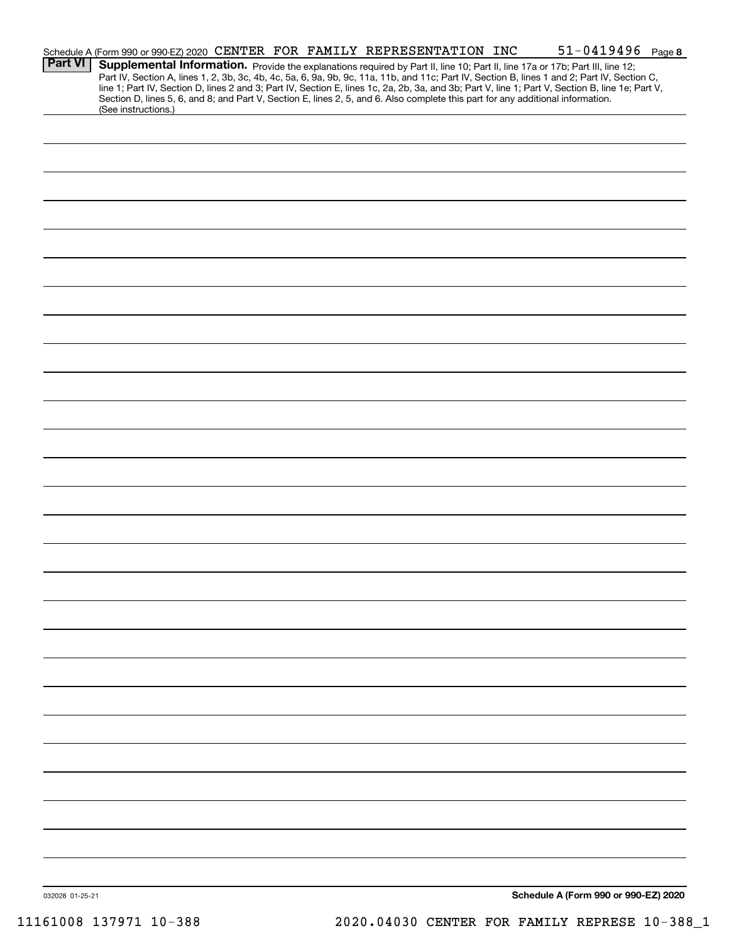|                | Schedule A (Form 990 or 990-EZ) 2020 CENTER FOR FAMILY REPRESENTATION INC                                                                                                                                                                                                           |  |  |  | $51 - 0419496$ Page 8 |  |
|----------------|-------------------------------------------------------------------------------------------------------------------------------------------------------------------------------------------------------------------------------------------------------------------------------------|--|--|--|-----------------------|--|
| <b>Part VI</b> | Supplemental Information. Provide the explanations required by Part II, line 10; Part II, line 17a or 17b; Part III, line 12;                                                                                                                                                       |  |  |  |                       |  |
|                | Part IV, Section A, lines 1, 2, 3b, 3c, 4b, 4c, 5a, 6, 9a, 9b, 9c, 11a, 11b, and 11c; Part IV, Section B, lines 1 and 2; Part IV, Section C,                                                                                                                                        |  |  |  |                       |  |
|                | line 1; Part IV, Section D, lines 2 and 3; Part IV, Section E, lines 1c, 2a, 2b, 3a, and 3b; Part V, line 1; Part V, Section B, line 1e; Part V,<br>Section D, lines 5, 6, and 8; and Part V, Section E, lines 2, 5, and 6. Also complete this part for any additional information. |  |  |  |                       |  |
|                | (See instructions.)                                                                                                                                                                                                                                                                 |  |  |  |                       |  |
|                |                                                                                                                                                                                                                                                                                     |  |  |  |                       |  |
|                |                                                                                                                                                                                                                                                                                     |  |  |  |                       |  |
|                |                                                                                                                                                                                                                                                                                     |  |  |  |                       |  |
|                |                                                                                                                                                                                                                                                                                     |  |  |  |                       |  |
|                |                                                                                                                                                                                                                                                                                     |  |  |  |                       |  |
|                |                                                                                                                                                                                                                                                                                     |  |  |  |                       |  |
|                |                                                                                                                                                                                                                                                                                     |  |  |  |                       |  |
|                |                                                                                                                                                                                                                                                                                     |  |  |  |                       |  |
|                |                                                                                                                                                                                                                                                                                     |  |  |  |                       |  |
|                |                                                                                                                                                                                                                                                                                     |  |  |  |                       |  |
|                |                                                                                                                                                                                                                                                                                     |  |  |  |                       |  |
|                |                                                                                                                                                                                                                                                                                     |  |  |  |                       |  |
|                |                                                                                                                                                                                                                                                                                     |  |  |  |                       |  |
|                |                                                                                                                                                                                                                                                                                     |  |  |  |                       |  |
|                |                                                                                                                                                                                                                                                                                     |  |  |  |                       |  |
|                |                                                                                                                                                                                                                                                                                     |  |  |  |                       |  |
|                |                                                                                                                                                                                                                                                                                     |  |  |  |                       |  |
|                |                                                                                                                                                                                                                                                                                     |  |  |  |                       |  |
|                |                                                                                                                                                                                                                                                                                     |  |  |  |                       |  |
|                |                                                                                                                                                                                                                                                                                     |  |  |  |                       |  |
|                |                                                                                                                                                                                                                                                                                     |  |  |  |                       |  |
|                |                                                                                                                                                                                                                                                                                     |  |  |  |                       |  |
|                |                                                                                                                                                                                                                                                                                     |  |  |  |                       |  |
|                |                                                                                                                                                                                                                                                                                     |  |  |  |                       |  |
|                |                                                                                                                                                                                                                                                                                     |  |  |  |                       |  |
|                |                                                                                                                                                                                                                                                                                     |  |  |  |                       |  |
|                |                                                                                                                                                                                                                                                                                     |  |  |  |                       |  |
|                |                                                                                                                                                                                                                                                                                     |  |  |  |                       |  |
|                |                                                                                                                                                                                                                                                                                     |  |  |  |                       |  |
|                |                                                                                                                                                                                                                                                                                     |  |  |  |                       |  |
|                |                                                                                                                                                                                                                                                                                     |  |  |  |                       |  |
|                |                                                                                                                                                                                                                                                                                     |  |  |  |                       |  |
|                |                                                                                                                                                                                                                                                                                     |  |  |  |                       |  |
|                |                                                                                                                                                                                                                                                                                     |  |  |  |                       |  |
|                |                                                                                                                                                                                                                                                                                     |  |  |  |                       |  |
|                |                                                                                                                                                                                                                                                                                     |  |  |  |                       |  |
|                |                                                                                                                                                                                                                                                                                     |  |  |  |                       |  |
|                |                                                                                                                                                                                                                                                                                     |  |  |  |                       |  |
|                |                                                                                                                                                                                                                                                                                     |  |  |  |                       |  |
|                |                                                                                                                                                                                                                                                                                     |  |  |  |                       |  |
|                |                                                                                                                                                                                                                                                                                     |  |  |  |                       |  |
|                |                                                                                                                                                                                                                                                                                     |  |  |  |                       |  |
|                |                                                                                                                                                                                                                                                                                     |  |  |  |                       |  |
|                |                                                                                                                                                                                                                                                                                     |  |  |  |                       |  |
|                |                                                                                                                                                                                                                                                                                     |  |  |  |                       |  |
|                |                                                                                                                                                                                                                                                                                     |  |  |  |                       |  |
|                |                                                                                                                                                                                                                                                                                     |  |  |  |                       |  |
|                |                                                                                                                                                                                                                                                                                     |  |  |  |                       |  |
|                |                                                                                                                                                                                                                                                                                     |  |  |  |                       |  |
|                |                                                                                                                                                                                                                                                                                     |  |  |  |                       |  |
|                |                                                                                                                                                                                                                                                                                     |  |  |  |                       |  |
|                |                                                                                                                                                                                                                                                                                     |  |  |  |                       |  |

Schedule A (Form 990 or 990-EZ) 2020

032028 01-25-21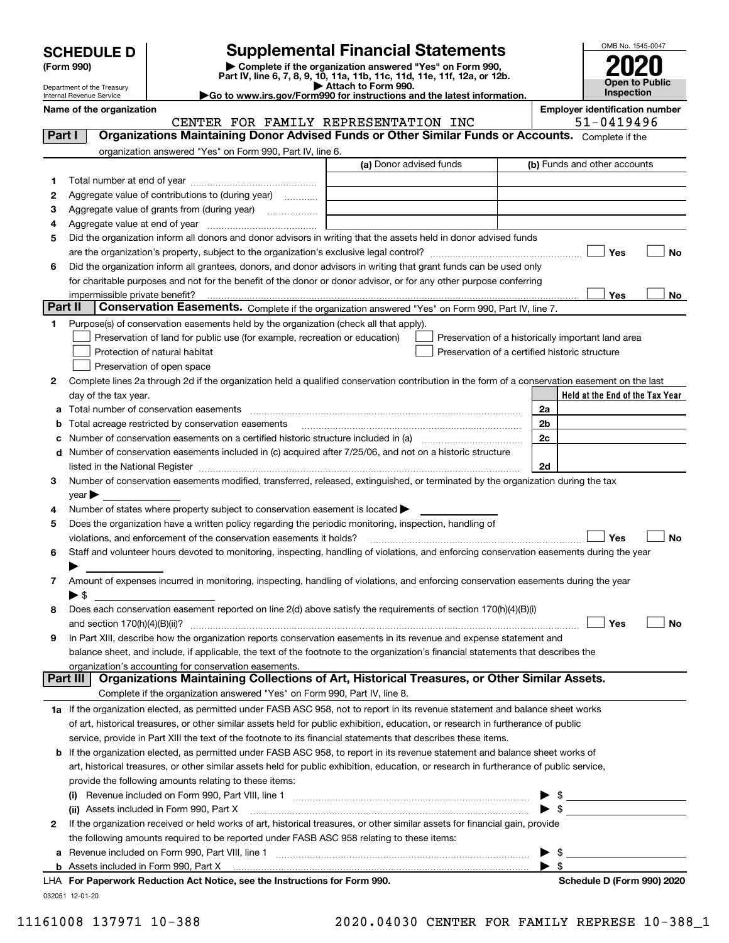| <b>SCHEDULE D</b> |  |
|-------------------|--|
|-------------------|--|

Department of the Treasury Internal Revenue Service

| (Form 990) |  |
|------------|--|
|------------|--|

(Form 990) | Complete if the organization answered "Yes" on Form 990, Part IV, line 6, 7, 8, 9, 10, 11a, 11b, 11c, 11d, 11e, 11f, 12a, or 12b. SCHEDULE D Supplemental Financial Statements<br>
Form 990) Somplete if the organization answered "Yes" on Form 990,<br>
Part IV, line 6, 7, 8, 9, 10, 11a, 11b, 11c, 11d, 11e, 11f, 12a, or 12b.

| Attach to Form 990.                                                                          |  |
|----------------------------------------------------------------------------------------------|--|
| $\blacktriangleright$ Go to www.irs.gov/Form990 for instructions and the latest information. |  |



|          | Name of the organization                                                                                                                       | CENTER FOR FAMILY REPRESENTATION INC | <b>Employer identification number</b><br>51-0419496 |
|----------|------------------------------------------------------------------------------------------------------------------------------------------------|--------------------------------------|-----------------------------------------------------|
| Part I   | Organizations Maintaining Donor Advised Funds or Other Similar Funds or Accounts. Complete if the                                              |                                      |                                                     |
|          | organization answered "Yes" on Form 990, Part IV, line 6.                                                                                      |                                      |                                                     |
|          |                                                                                                                                                | (a) Donor advised funds              | (b) Funds and other accounts                        |
|          |                                                                                                                                                |                                      |                                                     |
| 1        |                                                                                                                                                |                                      |                                                     |
| 2        | Aggregate value of contributions to (during year)                                                                                              |                                      |                                                     |
| з        | Aggregate value of grants from (during year)                                                                                                   |                                      |                                                     |
| 4        |                                                                                                                                                |                                      |                                                     |
| 5        | Did the organization inform all donors and donor advisors in writing that the assets held in donor advised funds                               |                                      |                                                     |
|          |                                                                                                                                                |                                      | Yes<br><b>No</b>                                    |
| 6        | Did the organization inform all grantees, donors, and donor advisors in writing that grant funds can be used only                              |                                      |                                                     |
|          | for charitable purposes and not for the benefit of the donor or donor advisor, or for any other purpose conferring                             |                                      |                                                     |
|          |                                                                                                                                                |                                      | Yes<br>No                                           |
| Part II  | Conservation Easements. Complete if the organization answered "Yes" on Form 990, Part IV, line 7.                                              |                                      |                                                     |
| 1.       | Purpose(s) of conservation easements held by the organization (check all that apply).                                                          |                                      |                                                     |
|          | Preservation of land for public use (for example, recreation or education)                                                                     |                                      | Preservation of a historically important land area  |
|          | Protection of natural habitat                                                                                                                  |                                      | Preservation of a certified historic structure      |
|          | Preservation of open space                                                                                                                     |                                      |                                                     |
| 2        | Complete lines 2a through 2d if the organization held a qualified conservation contribution in the form of a conservation easement on the last |                                      |                                                     |
|          | day of the tax year.                                                                                                                           |                                      | Held at the End of the Tax Year                     |
| а        | Total number of conservation easements                                                                                                         |                                      | 2a                                                  |
| b        | Total acreage restricted by conservation easements                                                                                             |                                      | 2b                                                  |
| c        |                                                                                                                                                |                                      | 2c                                                  |
| d        | Number of conservation easements included in (c) acquired after 7/25/06, and not on a historic structure                                       |                                      |                                                     |
|          |                                                                                                                                                |                                      | 2d                                                  |
| 3        | Number of conservation easements modified, transferred, released, extinguished, or terminated by the organization during the tax               |                                      |                                                     |
|          | $\gamma$ ear $\blacktriangleright$                                                                                                             |                                      |                                                     |
| 4        | Number of states where property subject to conservation easement is located >                                                                  |                                      |                                                     |
| 5        | Does the organization have a written policy regarding the periodic monitoring, inspection, handling of                                         |                                      |                                                     |
|          | violations, and enforcement of the conservation easements it holds?                                                                            |                                      | Yes<br><b>No</b>                                    |
| 6        | Staff and volunteer hours devoted to monitoring, inspecting, handling of violations, and enforcing conservation easements during the year      |                                      |                                                     |
|          |                                                                                                                                                |                                      |                                                     |
| 7        | Amount of expenses incurred in monitoring, inspecting, handling of violations, and enforcing conservation easements during the year            |                                      |                                                     |
|          | $\blacktriangleright$ \$                                                                                                                       |                                      |                                                     |
| 8        | Does each conservation easement reported on line 2(d) above satisfy the requirements of section 170(h)(4)(B)(i)                                |                                      |                                                     |
|          |                                                                                                                                                |                                      | Yes<br>No                                           |
|          | In Part XIII, describe how the organization reports conservation easements in its revenue and expense statement and                            |                                      |                                                     |
|          | balance sheet, and include, if applicable, the text of the footnote to the organization's financial statements that describes the              |                                      |                                                     |
|          | organization's accounting for conservation easements.                                                                                          |                                      |                                                     |
| Part III | Organizations Maintaining Collections of Art, Historical Treasures, or Other Similar Assets.                                                   |                                      |                                                     |
|          | Complete if the organization answered "Yes" on Form 990, Part IV, line 8.                                                                      |                                      |                                                     |
|          | 1a If the organization elected, as permitted under FASB ASC 958, not to report in its revenue statement and balance sheet works                |                                      |                                                     |
|          | of art, historical treasures, or other similar assets held for public exhibition, education, or research in furtherance of public              |                                      |                                                     |
|          | service, provide in Part XIII the text of the footnote to its financial statements that describes these items.                                 |                                      |                                                     |
| b        | If the organization elected, as permitted under FASB ASC 958, to report in its revenue statement and balance sheet works of                    |                                      |                                                     |
|          | art, historical treasures, or other similar assets held for public exhibition, education, or research in furtherance of public service,        |                                      |                                                     |
|          | provide the following amounts relating to these items:                                                                                         |                                      |                                                     |
|          | (i)                                                                                                                                            |                                      |                                                     |
|          | (ii) Assets included in Form 990, Part X                                                                                                       |                                      | $\blacktriangleright$ \$                            |
| 2        | If the organization received or held works of art, historical treasures, or other similar assets for financial gain, provide                   |                                      |                                                     |
|          | the following amounts required to be reported under FASB ASC 958 relating to these items:                                                      |                                      |                                                     |
| а        |                                                                                                                                                |                                      | $\triangleright$ \$                                 |
|          |                                                                                                                                                |                                      | $\blacktriangleright$ \$                            |

032051 12-01-20 LHA For Paperwork Reduction Act Notice, see the Instructions for Form 990. Shank the Schedule D (Form 990) 2020 L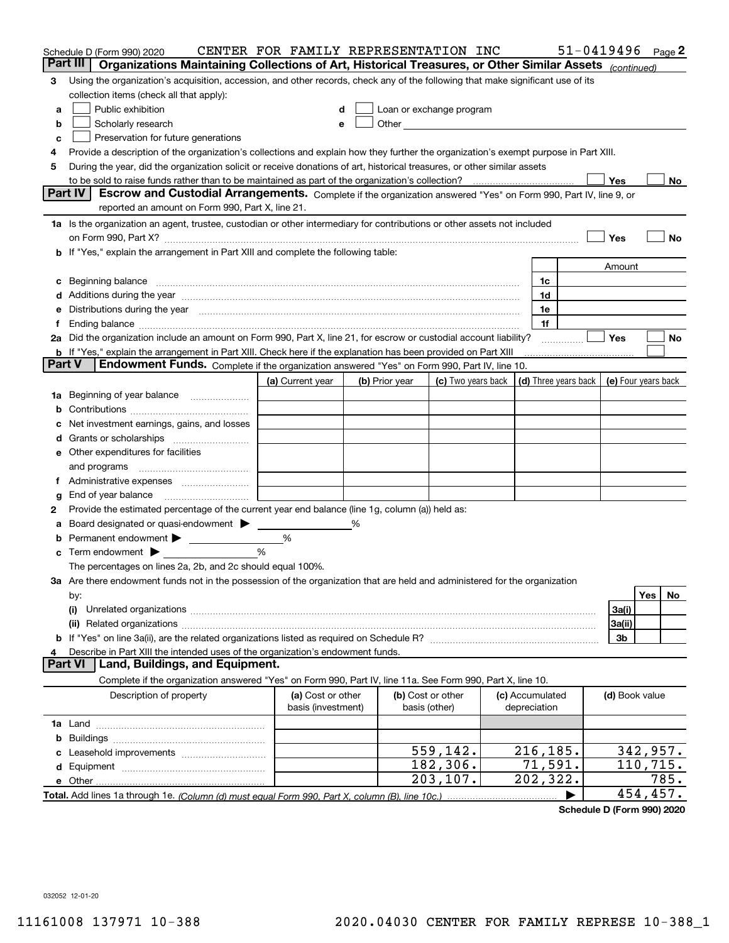|        | Schedule D (Form 990) 2020                                                                                                                                                                                                     | CENTER FOR FAMILY REPRESENTATION INC |   |                   |                                                                                                                                                                                                                                |                 | $51 - 0419496$ Page 2                      |                |          |      |
|--------|--------------------------------------------------------------------------------------------------------------------------------------------------------------------------------------------------------------------------------|--------------------------------------|---|-------------------|--------------------------------------------------------------------------------------------------------------------------------------------------------------------------------------------------------------------------------|-----------------|--------------------------------------------|----------------|----------|------|
|        | Part III<br>Organizations Maintaining Collections of Art, Historical Treasures, or Other Similar Assets (continued)                                                                                                            |                                      |   |                   |                                                                                                                                                                                                                                |                 |                                            |                |          |      |
| З      | Using the organization's acquisition, accession, and other records, check any of the following that make significant use of its                                                                                                |                                      |   |                   |                                                                                                                                                                                                                                |                 |                                            |                |          |      |
|        | collection items (check all that apply):                                                                                                                                                                                       |                                      |   |                   |                                                                                                                                                                                                                                |                 |                                            |                |          |      |
| a      | Public exhibition                                                                                                                                                                                                              |                                      |   |                   | Loan or exchange program                                                                                                                                                                                                       |                 |                                            |                |          |      |
| b      | Scholarly research                                                                                                                                                                                                             |                                      |   |                   | Other and the control of the control of the control of the control of the control of the control of the control of the control of the control of the control of the control of the control of the control of the control of th |                 |                                            |                |          |      |
| c      | Preservation for future generations                                                                                                                                                                                            |                                      |   |                   |                                                                                                                                                                                                                                |                 |                                            |                |          |      |
| 4      | Provide a description of the organization's collections and explain how they further the organization's exempt purpose in Part XIII.                                                                                           |                                      |   |                   |                                                                                                                                                                                                                                |                 |                                            |                |          |      |
| 5      | During the year, did the organization solicit or receive donations of art, historical treasures, or other similar assets                                                                                                       |                                      |   |                   |                                                                                                                                                                                                                                |                 |                                            |                |          |      |
|        | to be sold to raise funds rather than to be maintained as part of the organization's collection?                                                                                                                               |                                      |   |                   |                                                                                                                                                                                                                                |                 |                                            | Yes            |          | No.  |
|        | <b>Part IV</b><br>Escrow and Custodial Arrangements. Complete if the organization answered "Yes" on Form 990, Part IV, line 9, or<br>reported an amount on Form 990, Part X, line 21.                                          |                                      |   |                   |                                                                                                                                                                                                                                |                 |                                            |                |          |      |
|        |                                                                                                                                                                                                                                |                                      |   |                   |                                                                                                                                                                                                                                |                 |                                            |                |          |      |
|        | 1a Is the organization an agent, trustee, custodian or other intermediary for contributions or other assets not included                                                                                                       |                                      |   |                   |                                                                                                                                                                                                                                |                 |                                            |                |          |      |
|        |                                                                                                                                                                                                                                |                                      |   |                   |                                                                                                                                                                                                                                |                 |                                            | Yes            |          | No   |
|        | <b>b</b> If "Yes," explain the arrangement in Part XIII and complete the following table:                                                                                                                                      |                                      |   |                   |                                                                                                                                                                                                                                |                 |                                            | Amount         |          |      |
|        |                                                                                                                                                                                                                                |                                      |   |                   |                                                                                                                                                                                                                                | 1c              |                                            |                |          |      |
|        | Additions during the year manufactured and an annual contract of the year manufactured and a set of the year manufactured and a set of the year manufactured and a set of the year manufactured and a set of the year manufact |                                      |   |                   |                                                                                                                                                                                                                                | 1d              |                                            |                |          |      |
|        | Distributions during the year manufactured and continuum and the year manufactured and the year manufactured and the year manufactured and the year manufactured and the year manufactured and the year manufactured and the y |                                      |   |                   |                                                                                                                                                                                                                                | 1e              |                                            |                |          |      |
|        |                                                                                                                                                                                                                                |                                      |   |                   |                                                                                                                                                                                                                                | 1f              |                                            |                |          |      |
|        | 2a Did the organization include an amount on Form 990, Part X, line 21, for escrow or custodial account liability?                                                                                                             |                                      |   |                   |                                                                                                                                                                                                                                |                 |                                            | Yes            |          | No   |
|        | <b>b</b> If "Yes," explain the arrangement in Part XIII. Check here if the explanation has been provided on Part XIII                                                                                                          |                                      |   |                   |                                                                                                                                                                                                                                |                 |                                            |                |          |      |
| Part V | Endowment Funds. Complete if the organization answered "Yes" on Form 990, Part IV, line 10.                                                                                                                                    |                                      |   |                   |                                                                                                                                                                                                                                |                 |                                            |                |          |      |
|        |                                                                                                                                                                                                                                | (a) Current year                     |   | (b) Prior year    | (c) Two years back                                                                                                                                                                                                             |                 | (d) Three years back   (e) Four years back |                |          |      |
| 1a     | Beginning of year balance                                                                                                                                                                                                      |                                      |   |                   |                                                                                                                                                                                                                                |                 |                                            |                |          |      |
|        |                                                                                                                                                                                                                                |                                      |   |                   |                                                                                                                                                                                                                                |                 |                                            |                |          |      |
|        | Net investment earnings, gains, and losses                                                                                                                                                                                     |                                      |   |                   |                                                                                                                                                                                                                                |                 |                                            |                |          |      |
|        |                                                                                                                                                                                                                                |                                      |   |                   |                                                                                                                                                                                                                                |                 |                                            |                |          |      |
| е      | Other expenditures for facilities                                                                                                                                                                                              |                                      |   |                   |                                                                                                                                                                                                                                |                 |                                            |                |          |      |
|        | and programs                                                                                                                                                                                                                   |                                      |   |                   |                                                                                                                                                                                                                                |                 |                                            |                |          |      |
|        | Administrative expenses                                                                                                                                                                                                        |                                      |   |                   |                                                                                                                                                                                                                                |                 |                                            |                |          |      |
| g      | End of year balance                                                                                                                                                                                                            |                                      |   |                   |                                                                                                                                                                                                                                |                 |                                            |                |          |      |
| 2      | Provide the estimated percentage of the current year end balance (line 1g, column (a)) held as:                                                                                                                                |                                      |   |                   |                                                                                                                                                                                                                                |                 |                                            |                |          |      |
|        | Board designated or quasi-endowment                                                                                                                                                                                            |                                      | % |                   |                                                                                                                                                                                                                                |                 |                                            |                |          |      |
|        | Permanent endowment                                                                                                                                                                                                            | %                                    |   |                   |                                                                                                                                                                                                                                |                 |                                            |                |          |      |
| с      | Term endowment $\blacktriangleright$                                                                                                                                                                                           | %                                    |   |                   |                                                                                                                                                                                                                                |                 |                                            |                |          |      |
|        | The percentages on lines 2a, 2b, and 2c should equal 100%.                                                                                                                                                                     |                                      |   |                   |                                                                                                                                                                                                                                |                 |                                            |                |          |      |
|        | 3a Are there endowment funds not in the possession of the organization that are held and administered for the organization                                                                                                     |                                      |   |                   |                                                                                                                                                                                                                                |                 |                                            |                |          |      |
|        | by:                                                                                                                                                                                                                            |                                      |   |                   |                                                                                                                                                                                                                                |                 |                                            |                | Yes      | No   |
|        | (i)                                                                                                                                                                                                                            |                                      |   |                   |                                                                                                                                                                                                                                |                 |                                            | 3a(i)          |          |      |
|        |                                                                                                                                                                                                                                |                                      |   |                   |                                                                                                                                                                                                                                |                 |                                            | 3a(ii)         |          |      |
|        | Describe in Part XIII the intended uses of the organization's endowment funds.                                                                                                                                                 |                                      |   |                   |                                                                                                                                                                                                                                |                 |                                            | 3b             |          |      |
|        | Land, Buildings, and Equipment.<br>Part VI                                                                                                                                                                                     |                                      |   |                   |                                                                                                                                                                                                                                |                 |                                            |                |          |      |
|        | Complete if the organization answered "Yes" on Form 990, Part IV, line 11a. See Form 990, Part X, line 10.                                                                                                                     |                                      |   |                   |                                                                                                                                                                                                                                |                 |                                            |                |          |      |
|        | Description of property                                                                                                                                                                                                        | (a) Cost or other                    |   | (b) Cost or other |                                                                                                                                                                                                                                | (c) Accumulated |                                            | (d) Book value |          |      |
|        |                                                                                                                                                                                                                                | basis (investment)                   |   | basis (other)     |                                                                                                                                                                                                                                | depreciation    |                                            |                |          |      |
|        |                                                                                                                                                                                                                                |                                      |   |                   |                                                                                                                                                                                                                                |                 |                                            |                |          |      |
| b      |                                                                                                                                                                                                                                |                                      |   |                   |                                                                                                                                                                                                                                |                 |                                            |                |          |      |
|        |                                                                                                                                                                                                                                |                                      |   |                   | 559,142.                                                                                                                                                                                                                       | 216,185.        |                                            |                | 342,957. |      |
| d      |                                                                                                                                                                                                                                |                                      |   |                   | 182,306.                                                                                                                                                                                                                       | 71,591.         |                                            |                | 110,715. |      |
|        |                                                                                                                                                                                                                                |                                      |   |                   | 203, 107.                                                                                                                                                                                                                      | 202,322.        |                                            |                |          | 785. |
|        |                                                                                                                                                                                                                                |                                      |   |                   |                                                                                                                                                                                                                                |                 |                                            |                | 454,457. |      |

Schedule D (Form 990) 2020

032052 12-01-20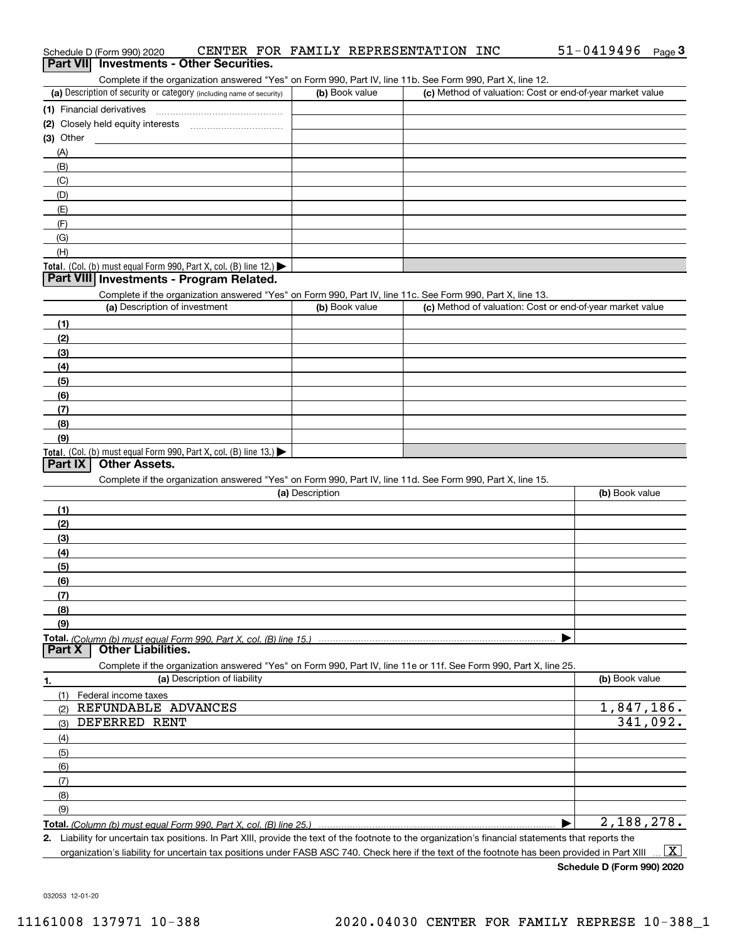|                  | Schedule D (Form 990) 2020                                                                                                                           |                              |                 |                | CENTER FOR FAMILY REPRESENTATION INC |                                                           | $51 - 0419496$ | Page $3$ |
|------------------|------------------------------------------------------------------------------------------------------------------------------------------------------|------------------------------|-----------------|----------------|--------------------------------------|-----------------------------------------------------------|----------------|----------|
| <b>Part VIII</b> | <b>Investments - Other Securities.</b>                                                                                                               |                              |                 |                |                                      |                                                           |                |          |
|                  | Complete if the organization answered "Yes" on Form 990, Part IV, line 11b. See Form 990, Part X, line 12.                                           |                              |                 |                |                                      |                                                           |                |          |
|                  | (a) Description of security or category (including name of security)                                                                                 |                              |                 | (b) Book value |                                      | (c) Method of valuation: Cost or end-of-year market value |                |          |
|                  | (1) Financial derivatives                                                                                                                            |                              |                 |                |                                      |                                                           |                |          |
|                  |                                                                                                                                                      |                              |                 |                |                                      |                                                           |                |          |
| $(3)$ Other      |                                                                                                                                                      |                              |                 |                |                                      |                                                           |                |          |
| (A)              |                                                                                                                                                      |                              |                 |                |                                      |                                                           |                |          |
| (B)              |                                                                                                                                                      |                              |                 |                |                                      |                                                           |                |          |
| (C)              |                                                                                                                                                      |                              |                 |                |                                      |                                                           |                |          |
| (D)              |                                                                                                                                                      |                              |                 |                |                                      |                                                           |                |          |
| (E)              |                                                                                                                                                      |                              |                 |                |                                      |                                                           |                |          |
| (F)              |                                                                                                                                                      |                              |                 |                |                                      |                                                           |                |          |
| (G)              |                                                                                                                                                      |                              |                 |                |                                      |                                                           |                |          |
| (H)              |                                                                                                                                                      |                              |                 |                |                                      |                                                           |                |          |
|                  | Total. (Col. (b) must equal Form 990, Part X, col. (B) line 12.)                                                                                     |                              |                 |                |                                      |                                                           |                |          |
|                  | Part VIII Investments - Program Related.                                                                                                             |                              |                 |                |                                      |                                                           |                |          |
|                  | Complete if the organization answered "Yes" on Form 990, Part IV, line 11c. See Form 990, Part X, line 13.                                           |                              |                 |                |                                      |                                                           |                |          |
|                  | (a) Description of investment                                                                                                                        |                              |                 | (b) Book value |                                      | (c) Method of valuation: Cost or end-of-year market value |                |          |
| (1)              |                                                                                                                                                      |                              |                 |                |                                      |                                                           |                |          |
| (2)              |                                                                                                                                                      |                              |                 |                |                                      |                                                           |                |          |
| (3)              |                                                                                                                                                      |                              |                 |                |                                      |                                                           |                |          |
| (4)              |                                                                                                                                                      |                              |                 |                |                                      |                                                           |                |          |
| (5)              |                                                                                                                                                      |                              |                 |                |                                      |                                                           |                |          |
| (6)              |                                                                                                                                                      |                              |                 |                |                                      |                                                           |                |          |
| (7)              |                                                                                                                                                      |                              |                 |                |                                      |                                                           |                |          |
| (8)              |                                                                                                                                                      |                              |                 |                |                                      |                                                           |                |          |
| (9)              |                                                                                                                                                      |                              |                 |                |                                      |                                                           |                |          |
|                  | <b>Total.</b> (Col. (b) must equal Form 990, Part X, col. (B) line $13.$                                                                             |                              |                 |                |                                      |                                                           |                |          |
| Part IX          | <b>Other Assets.</b>                                                                                                                                 |                              |                 |                |                                      |                                                           |                |          |
|                  | Complete if the organization answered "Yes" on Form 990, Part IV, line 11d. See Form 990, Part X, line 15.                                           |                              |                 |                |                                      |                                                           |                |          |
|                  |                                                                                                                                                      |                              | (a) Description |                |                                      |                                                           | (b) Book value |          |
| (1)              |                                                                                                                                                      |                              |                 |                |                                      |                                                           |                |          |
| (2)              |                                                                                                                                                      |                              |                 |                |                                      |                                                           |                |          |
| (3)              |                                                                                                                                                      |                              |                 |                |                                      |                                                           |                |          |
| (4)              |                                                                                                                                                      |                              |                 |                |                                      |                                                           |                |          |
| (5)              |                                                                                                                                                      |                              |                 |                |                                      |                                                           |                |          |
| (6)              |                                                                                                                                                      |                              |                 |                |                                      |                                                           |                |          |
| (7)              |                                                                                                                                                      |                              |                 |                |                                      |                                                           |                |          |
| (8)              |                                                                                                                                                      |                              |                 |                |                                      |                                                           |                |          |
| (9)              |                                                                                                                                                      |                              |                 |                |                                      |                                                           |                |          |
|                  |                                                                                                                                                      |                              |                 |                |                                      |                                                           |                |          |
| Part X           | <b>Other Liabilities.</b>                                                                                                                            |                              |                 |                |                                      |                                                           |                |          |
|                  | Complete if the organization answered "Yes" on Form 990, Part IV, line 11e or 11f. See Form 990, Part X, line 25.                                    |                              |                 |                |                                      |                                                           |                |          |
| 1.               |                                                                                                                                                      | (a) Description of liability |                 |                |                                      |                                                           | (b) Book value |          |
| (1)              | Federal income taxes                                                                                                                                 |                              |                 |                |                                      |                                                           |                |          |
| (2)              | REFUNDABLE ADVANCES                                                                                                                                  |                              |                 |                |                                      |                                                           | 1,847,186.     |          |
| (3)              | DEFERRED RENT                                                                                                                                        |                              |                 |                |                                      |                                                           |                | 341,092. |
| (4)              |                                                                                                                                                      |                              |                 |                |                                      |                                                           |                |          |
| (5)              |                                                                                                                                                      |                              |                 |                |                                      |                                                           |                |          |
| (6)              |                                                                                                                                                      |                              |                 |                |                                      |                                                           |                |          |
| (7)              |                                                                                                                                                      |                              |                 |                |                                      |                                                           |                |          |
| (8)              |                                                                                                                                                      |                              |                 |                |                                      |                                                           |                |          |
| (9)              |                                                                                                                                                      |                              |                 |                |                                      |                                                           |                |          |
|                  |                                                                                                                                                      |                              |                 |                |                                      |                                                           | 2,188,278.     |          |
|                  | 2. Liability for uncertain tax positions. In Part XIII, provide the text of the footnote to the organization's financial statements that reports the |                              |                 |                |                                      |                                                           |                |          |

organization's liability for uncertain tax positions under FASB ASC 740. Check here if the text of the footnote has been provided in Part XIII  $\boxed{\text{X}}$ 

Schedule D (Form 990) 2020

032053 12-01-20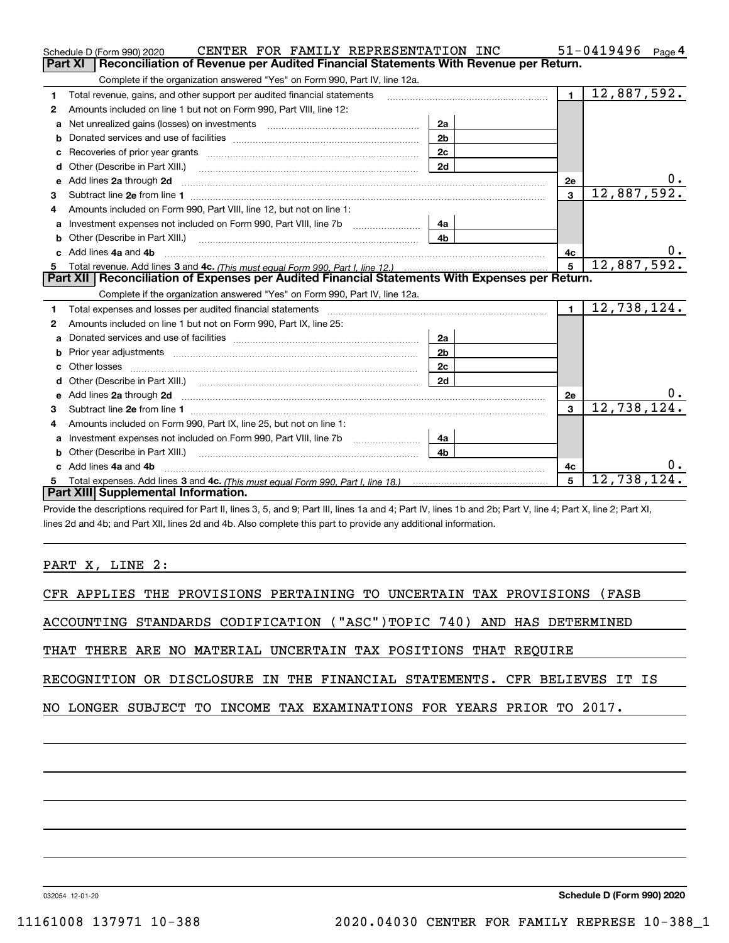|    | CENTER FOR FAMILY REPRESENTATION INC<br>Schedule D (Form 990) 2020                                                                                                                                      |                |                | 51-0419496<br>Page 4 |
|----|---------------------------------------------------------------------------------------------------------------------------------------------------------------------------------------------------------|----------------|----------------|----------------------|
|    | Reconciliation of Revenue per Audited Financial Statements With Revenue per Return.<br>Part XI                                                                                                          |                |                |                      |
|    | Complete if the organization answered "Yes" on Form 990, Part IV, line 12a.                                                                                                                             |                |                |                      |
| 1  | Total revenue, gains, and other support per audited financial statements                                                                                                                                |                | $\blacksquare$ | 12,887,592.          |
| 2  | Amounts included on line 1 but not on Form 990, Part VIII, line 12:                                                                                                                                     |                |                |                      |
| a  |                                                                                                                                                                                                         | 2a             |                |                      |
|    |                                                                                                                                                                                                         | 2 <sub>b</sub> |                |                      |
|    |                                                                                                                                                                                                         | 2c             |                |                      |
| d  | Other (Describe in Part XIII.) <b>Construction Contract Construction</b> Chern Construction Construction Construction                                                                                   | 2d             |                |                      |
| е  | Add lines 2a through 2d                                                                                                                                                                                 |                | 2e             | υ.                   |
| з  |                                                                                                                                                                                                         |                | $\overline{3}$ | 12,887,592.          |
| 4  | Amounts included on Form 990, Part VIII, line 12, but not on line 1:                                                                                                                                    |                |                |                      |
|    | Investment expenses not included on Form 990, Part VIII, line 7b [1000000000000000000000000000000000                                                                                                    | 4a             |                |                      |
| b  |                                                                                                                                                                                                         | 4 <sub>b</sub> |                |                      |
| C. | Add lines 4a and 4b                                                                                                                                                                                     |                | 4с             |                      |
|    |                                                                                                                                                                                                         | $5^{\circ}$    | 12,887,592.    |                      |
|    |                                                                                                                                                                                                         |                |                |                      |
|    | Part XII   Reconciliation of Expenses per Audited Financial Statements With Expenses per Return.                                                                                                        |                |                |                      |
|    | Complete if the organization answered "Yes" on Form 990, Part IV, line 12a.                                                                                                                             |                |                |                      |
| 1  | Total expenses and losses per audited financial statements [11,11] [11] Total expenses and losses per audited financial statements [11] [11] Total expenses and losses per audited financial statements |                | $\blacksquare$ | 12,738,124.          |
| 2  | Amounts included on line 1 but not on Form 990, Part IX, line 25:                                                                                                                                       |                |                |                      |
| a  |                                                                                                                                                                                                         | 2a             |                |                      |
| b  |                                                                                                                                                                                                         | 2 <sub>b</sub> |                |                      |
|    |                                                                                                                                                                                                         | 2c             |                |                      |
| d  |                                                                                                                                                                                                         | 2d             |                |                      |
|    |                                                                                                                                                                                                         |                | 2e             | $0$ .                |
| з  |                                                                                                                                                                                                         |                | 3              | 12,738,124.          |
| 4  | Amounts included on Form 990, Part IX, line 25, but not on line 1:                                                                                                                                      |                |                |                      |
| a  |                                                                                                                                                                                                         | 4а             |                |                      |
| b  | Other (Describe in Part XIII.)                                                                                                                                                                          | 4 <sub>b</sub> |                |                      |
| c. | Add lines 4a and 4b                                                                                                                                                                                     |                | 4с             | 0.                   |
|    | Part XIII Supplemental Information.                                                                                                                                                                     |                | 5              | 12,738,124           |

Provide the descriptions required for Part II, lines 3, 5, and 9; Part III, lines 1a and 4; Part IV, lines 1b and 2b; Part V, line 4; Part X, line 2; Part XI, lines 2d and 4b; and Part XII, lines 2d and 4b. Also complete this part to provide any additional information.

PART X, LINE 2:

|  |  |  |  |  |  |  |  | CFR APPLIES THE PROVISIONS PERTAINING TO UNCERTAIN TAX PROVISIONS (FASB |  |
|--|--|--|--|--|--|--|--|-------------------------------------------------------------------------|--|
|--|--|--|--|--|--|--|--|-------------------------------------------------------------------------|--|

ACCOUNTING STANDARDS CODIFICATION ("ASC")TOPIC 740) AND HAS DETERMINED

THAT THERE ARE NO MATERIAL UNCERTAIN TAX POSITIONS THAT REQUIRE

RECOGNITION OR DISCLOSURE IN THE FINANCIAL STATEMENTS. CFR BELIEVES IT IS

NO LONGER SUBJECT TO INCOME TAX EXAMINATIONS FOR YEARS PRIOR TO 2017.

032054 12-01-20

Schedule D (Form 990) 2020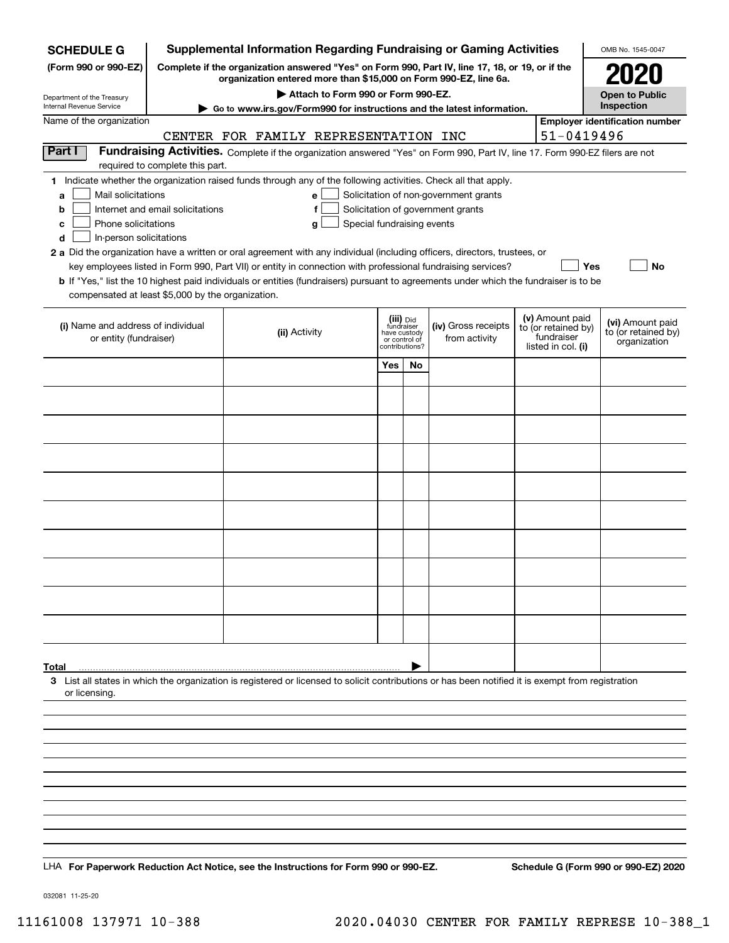| <b>SCHEDULE G</b>                                                                        |                                                                                                                                                                     | <b>Supplemental Information Regarding Fundraising or Gaming Activities</b>                                                                                                                                                                                                                                                                                                                           |                                                                            |    |                                                                            |  |                                                                            | OMB No. 1545-0047                                       |  |  |
|------------------------------------------------------------------------------------------|---------------------------------------------------------------------------------------------------------------------------------------------------------------------|------------------------------------------------------------------------------------------------------------------------------------------------------------------------------------------------------------------------------------------------------------------------------------------------------------------------------------------------------------------------------------------------------|----------------------------------------------------------------------------|----|----------------------------------------------------------------------------|--|----------------------------------------------------------------------------|---------------------------------------------------------|--|--|
| (Form 990 or 990-EZ)                                                                     | Complete if the organization answered "Yes" on Form 990, Part IV, line 17, 18, or 19, or if the<br>organization entered more than \$15,000 on Form 990-EZ, line 6a. |                                                                                                                                                                                                                                                                                                                                                                                                      |                                                                            |    |                                                                            |  |                                                                            |                                                         |  |  |
|                                                                                          |                                                                                                                                                                     | Attach to Form 990 or Form 990-EZ.                                                                                                                                                                                                                                                                                                                                                                   |                                                                            |    |                                                                            |  |                                                                            | <b>Open to Public</b>                                   |  |  |
| Department of the Treasury<br>Internal Revenue Service                                   |                                                                                                                                                                     | Go to www.irs.gov/Form990 for instructions and the latest information.                                                                                                                                                                                                                                                                                                                               |                                                                            |    |                                                                            |  |                                                                            | Inspection                                              |  |  |
| Name of the organization                                                                 |                                                                                                                                                                     |                                                                                                                                                                                                                                                                                                                                                                                                      |                                                                            |    |                                                                            |  |                                                                            | <b>Employer identification number</b>                   |  |  |
| Part I                                                                                   |                                                                                                                                                                     | CENTER FOR FAMILY REPRESENTATION INC                                                                                                                                                                                                                                                                                                                                                                 |                                                                            |    |                                                                            |  | 51-0419496                                                                 |                                                         |  |  |
|                                                                                          | required to complete this part.                                                                                                                                     | Fundraising Activities. Complete if the organization answered "Yes" on Form 990, Part IV, line 17. Form 990-EZ filers are not                                                                                                                                                                                                                                                                        |                                                                            |    |                                                                            |  |                                                                            |                                                         |  |  |
| Mail solicitations<br>a<br>b<br>Phone solicitations<br>c<br>In-person solicitations<br>d | Internet and email solicitations                                                                                                                                    | 1 Indicate whether the organization raised funds through any of the following activities. Check all that apply.<br>e<br>Special fundraising events<br>g<br>2 a Did the organization have a written or oral agreement with any individual (including officers, directors, trustees, or<br>key employees listed in Form 990, Part VII) or entity in connection with professional fundraising services? |                                                                            |    | Solicitation of non-government grants<br>Solicitation of government grants |  | Yes                                                                        | <b>No</b>                                               |  |  |
| compensated at least \$5,000 by the organization.                                        |                                                                                                                                                                     | <b>b</b> If "Yes," list the 10 highest paid individuals or entities (fundraisers) pursuant to agreements under which the fundraiser is to be                                                                                                                                                                                                                                                         |                                                                            |    |                                                                            |  |                                                                            |                                                         |  |  |
| (i) Name and address of individual<br>or entity (fundraiser)                             |                                                                                                                                                                     | (ii) Activity                                                                                                                                                                                                                                                                                                                                                                                        | (iii) Did<br>fundraiser<br>have custody<br>or control of<br>contributions? |    | (iv) Gross receipts<br>from activity                                       |  | (v) Amount paid<br>to (or retained by)<br>fundraiser<br>listed in col. (i) | (vi) Amount paid<br>to (or retained by)<br>organization |  |  |
|                                                                                          |                                                                                                                                                                     |                                                                                                                                                                                                                                                                                                                                                                                                      | Yes                                                                        | No |                                                                            |  |                                                                            |                                                         |  |  |
|                                                                                          |                                                                                                                                                                     |                                                                                                                                                                                                                                                                                                                                                                                                      |                                                                            |    |                                                                            |  |                                                                            |                                                         |  |  |
|                                                                                          |                                                                                                                                                                     |                                                                                                                                                                                                                                                                                                                                                                                                      |                                                                            |    |                                                                            |  |                                                                            |                                                         |  |  |
|                                                                                          |                                                                                                                                                                     |                                                                                                                                                                                                                                                                                                                                                                                                      |                                                                            |    |                                                                            |  |                                                                            |                                                         |  |  |
|                                                                                          |                                                                                                                                                                     |                                                                                                                                                                                                                                                                                                                                                                                                      |                                                                            |    |                                                                            |  |                                                                            |                                                         |  |  |
|                                                                                          |                                                                                                                                                                     |                                                                                                                                                                                                                                                                                                                                                                                                      |                                                                            |    |                                                                            |  |                                                                            |                                                         |  |  |
|                                                                                          |                                                                                                                                                                     |                                                                                                                                                                                                                                                                                                                                                                                                      |                                                                            |    |                                                                            |  |                                                                            |                                                         |  |  |
|                                                                                          |                                                                                                                                                                     |                                                                                                                                                                                                                                                                                                                                                                                                      |                                                                            |    |                                                                            |  |                                                                            |                                                         |  |  |
|                                                                                          |                                                                                                                                                                     |                                                                                                                                                                                                                                                                                                                                                                                                      |                                                                            |    |                                                                            |  |                                                                            |                                                         |  |  |
|                                                                                          |                                                                                                                                                                     |                                                                                                                                                                                                                                                                                                                                                                                                      |                                                                            |    |                                                                            |  |                                                                            |                                                         |  |  |
|                                                                                          |                                                                                                                                                                     |                                                                                                                                                                                                                                                                                                                                                                                                      |                                                                            |    |                                                                            |  |                                                                            |                                                         |  |  |
|                                                                                          |                                                                                                                                                                     |                                                                                                                                                                                                                                                                                                                                                                                                      |                                                                            |    |                                                                            |  |                                                                            |                                                         |  |  |
|                                                                                          |                                                                                                                                                                     |                                                                                                                                                                                                                                                                                                                                                                                                      |                                                                            |    |                                                                            |  |                                                                            |                                                         |  |  |
|                                                                                          |                                                                                                                                                                     |                                                                                                                                                                                                                                                                                                                                                                                                      |                                                                            |    |                                                                            |  |                                                                            |                                                         |  |  |
|                                                                                          |                                                                                                                                                                     |                                                                                                                                                                                                                                                                                                                                                                                                      |                                                                            |    |                                                                            |  |                                                                            |                                                         |  |  |
|                                                                                          |                                                                                                                                                                     |                                                                                                                                                                                                                                                                                                                                                                                                      |                                                                            |    |                                                                            |  |                                                                            |                                                         |  |  |
| Total                                                                                    |                                                                                                                                                                     |                                                                                                                                                                                                                                                                                                                                                                                                      |                                                                            |    |                                                                            |  |                                                                            |                                                         |  |  |
| or licensing.                                                                            |                                                                                                                                                                     | 3 List all states in which the organization is registered or licensed to solicit contributions or has been notified it is exempt from registration                                                                                                                                                                                                                                                   |                                                                            |    |                                                                            |  |                                                                            |                                                         |  |  |
|                                                                                          |                                                                                                                                                                     |                                                                                                                                                                                                                                                                                                                                                                                                      |                                                                            |    |                                                                            |  |                                                                            |                                                         |  |  |
|                                                                                          |                                                                                                                                                                     |                                                                                                                                                                                                                                                                                                                                                                                                      |                                                                            |    |                                                                            |  |                                                                            |                                                         |  |  |
|                                                                                          |                                                                                                                                                                     |                                                                                                                                                                                                                                                                                                                                                                                                      |                                                                            |    |                                                                            |  |                                                                            |                                                         |  |  |
|                                                                                          |                                                                                                                                                                     |                                                                                                                                                                                                                                                                                                                                                                                                      |                                                                            |    |                                                                            |  |                                                                            |                                                         |  |  |
|                                                                                          |                                                                                                                                                                     |                                                                                                                                                                                                                                                                                                                                                                                                      |                                                                            |    |                                                                            |  |                                                                            |                                                         |  |  |
|                                                                                          |                                                                                                                                                                     |                                                                                                                                                                                                                                                                                                                                                                                                      |                                                                            |    |                                                                            |  |                                                                            |                                                         |  |  |
|                                                                                          |                                                                                                                                                                     |                                                                                                                                                                                                                                                                                                                                                                                                      |                                                                            |    |                                                                            |  |                                                                            |                                                         |  |  |
|                                                                                          |                                                                                                                                                                     |                                                                                                                                                                                                                                                                                                                                                                                                      |                                                                            |    |                                                                            |  |                                                                            |                                                         |  |  |
|                                                                                          |                                                                                                                                                                     | LHA For Paperwork Reduction Act Notice, see the Instructions for Form 990 or 990-EZ.                                                                                                                                                                                                                                                                                                                 |                                                                            |    |                                                                            |  |                                                                            | Schedule G (Form 990 or 990-EZ) 2020                    |  |  |

032081 11-25-20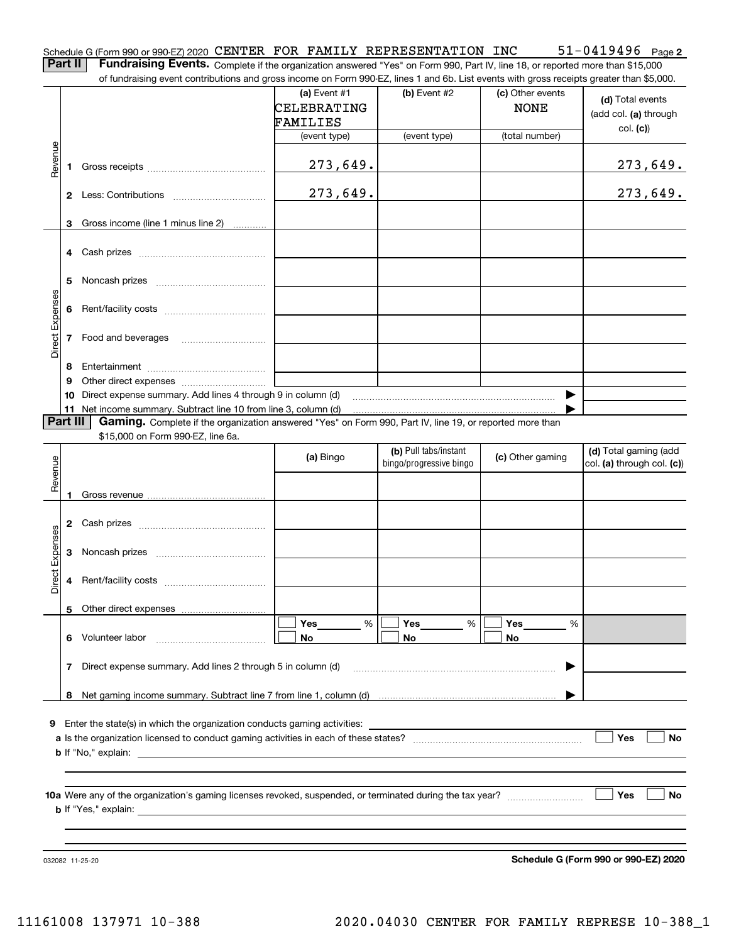|                                               |  | Schedule G (Form 990 or 990-EZ) 2020 CENTER FOR FAMILY REPRESENTATION INC | $51 - 0419496$ Page 2 |  |
|-----------------------------------------------|--|---------------------------------------------------------------------------|-----------------------|--|
| <b>Deal II. Francisco Frante</b> de la Consta |  |                                                                           |                       |  |

Part II | Fundraising Events. Complete if the organization answered "Yes" on Form 990, Part IV, line 18, or reported more than \$15,000 of fundraising event contributions and gross income on Form 990-EZ, lines 1 and 6b. List events with gross receipts greater than \$5,000.

|                 |          |                                                                                                          |                |                         |                  | 01 Turiluraising event continuutions and gross income on Form 990-LL, inies T and OD. List events with gross receipts greater than \$0,000. |
|-----------------|----------|----------------------------------------------------------------------------------------------------------|----------------|-------------------------|------------------|---------------------------------------------------------------------------------------------------------------------------------------------|
|                 |          |                                                                                                          | (a) Event $#1$ | $(b)$ Event #2          | (c) Other events |                                                                                                                                             |
|                 |          |                                                                                                          | CELEBRATING    |                         | <b>NONE</b>      | (d) Total events                                                                                                                            |
|                 |          |                                                                                                          | FAMILIES       |                         |                  | (add col. (a) through                                                                                                                       |
|                 |          |                                                                                                          |                |                         |                  | col. (c)                                                                                                                                    |
|                 |          |                                                                                                          | (event type)   | (event type)            | (total number)   |                                                                                                                                             |
| Revenue         |          |                                                                                                          |                |                         |                  |                                                                                                                                             |
|                 | 1.       |                                                                                                          | 273, 649.      |                         |                  | 273,649.                                                                                                                                    |
|                 |          |                                                                                                          |                |                         |                  |                                                                                                                                             |
|                 |          |                                                                                                          | 273,649.       |                         |                  | 273,649.                                                                                                                                    |
|                 |          |                                                                                                          |                |                         |                  |                                                                                                                                             |
|                 |          |                                                                                                          |                |                         |                  |                                                                                                                                             |
|                 |          | 3 Gross income (line 1 minus line 2)                                                                     |                |                         |                  |                                                                                                                                             |
|                 |          |                                                                                                          |                |                         |                  |                                                                                                                                             |
|                 |          |                                                                                                          |                |                         |                  |                                                                                                                                             |
|                 |          |                                                                                                          |                |                         |                  |                                                                                                                                             |
|                 | 5        |                                                                                                          |                |                         |                  |                                                                                                                                             |
|                 |          |                                                                                                          |                |                         |                  |                                                                                                                                             |
|                 |          |                                                                                                          |                |                         |                  |                                                                                                                                             |
|                 |          |                                                                                                          |                |                         |                  |                                                                                                                                             |
| Direct Expenses |          |                                                                                                          |                |                         |                  |                                                                                                                                             |
|                 |          | 7 Food and beverages                                                                                     |                |                         |                  |                                                                                                                                             |
|                 |          |                                                                                                          |                |                         |                  |                                                                                                                                             |
|                 | 8        |                                                                                                          |                |                         |                  |                                                                                                                                             |
|                 | 9        |                                                                                                          |                |                         |                  |                                                                                                                                             |
|                 |          | 10 Direct expense summary. Add lines 4 through 9 in column (d)                                           |                |                         |                  |                                                                                                                                             |
|                 |          | 11 Net income summary. Subtract line 10 from line 3, column (d)                                          |                |                         |                  |                                                                                                                                             |
|                 | Part III | Gaming. Complete if the organization answered "Yes" on Form 990, Part IV, line 19, or reported more than |                |                         |                  |                                                                                                                                             |
|                 |          | \$15,000 on Form 990-EZ, line 6a.                                                                        |                |                         |                  |                                                                                                                                             |
|                 |          |                                                                                                          |                | (b) Pull tabs/instant   |                  | (d) Total gaming (add                                                                                                                       |
|                 |          |                                                                                                          | (a) Bingo      | bingo/progressive bingo | (c) Other gaming | col. (a) through col. (c))                                                                                                                  |
| Revenue         |          |                                                                                                          |                |                         |                  |                                                                                                                                             |
|                 |          |                                                                                                          |                |                         |                  |                                                                                                                                             |
|                 |          |                                                                                                          |                |                         |                  |                                                                                                                                             |
|                 |          |                                                                                                          |                |                         |                  |                                                                                                                                             |
|                 |          |                                                                                                          |                |                         |                  |                                                                                                                                             |
|                 |          |                                                                                                          |                |                         |                  |                                                                                                                                             |
| Direct Expenses |          |                                                                                                          |                |                         |                  |                                                                                                                                             |
|                 |          |                                                                                                          |                |                         |                  |                                                                                                                                             |
|                 |          |                                                                                                          |                |                         |                  |                                                                                                                                             |
|                 |          |                                                                                                          |                |                         |                  |                                                                                                                                             |
|                 |          |                                                                                                          |                |                         |                  |                                                                                                                                             |
|                 |          |                                                                                                          |                |                         |                  |                                                                                                                                             |
|                 |          | 5 Other direct expenses                                                                                  |                |                         |                  |                                                                                                                                             |
|                 |          |                                                                                                          | Yes<br>%       | Yes<br>$\%$             | Yes<br>%         |                                                                                                                                             |
|                 | 6        | Volunteer labor                                                                                          | No             | No                      | No               |                                                                                                                                             |
|                 |          |                                                                                                          |                |                         |                  |                                                                                                                                             |
|                 | 7        | Direct expense summary. Add lines 2 through 5 in column (d)                                              |                |                         |                  |                                                                                                                                             |
|                 |          |                                                                                                          |                |                         |                  |                                                                                                                                             |
|                 | 8        |                                                                                                          |                |                         |                  |                                                                                                                                             |
|                 |          |                                                                                                          |                |                         |                  |                                                                                                                                             |
|                 |          |                                                                                                          |                |                         |                  |                                                                                                                                             |
|                 |          | 9 Enter the state(s) in which the organization conducts gaming activities:                               |                |                         |                  |                                                                                                                                             |
|                 |          |                                                                                                          |                |                         |                  | Yes<br><b>No</b>                                                                                                                            |
|                 |          | <b>b</b> If "No," explain:                                                                               |                |                         |                  |                                                                                                                                             |
|                 |          |                                                                                                          |                |                         |                  |                                                                                                                                             |
|                 |          |                                                                                                          |                |                         |                  |                                                                                                                                             |
|                 |          |                                                                                                          |                |                         |                  | Yes<br>No                                                                                                                                   |
|                 |          |                                                                                                          |                |                         |                  |                                                                                                                                             |
|                 |          |                                                                                                          |                |                         |                  |                                                                                                                                             |

032082 11-25-20

Schedule G (Form 990 or 990-EZ) 2020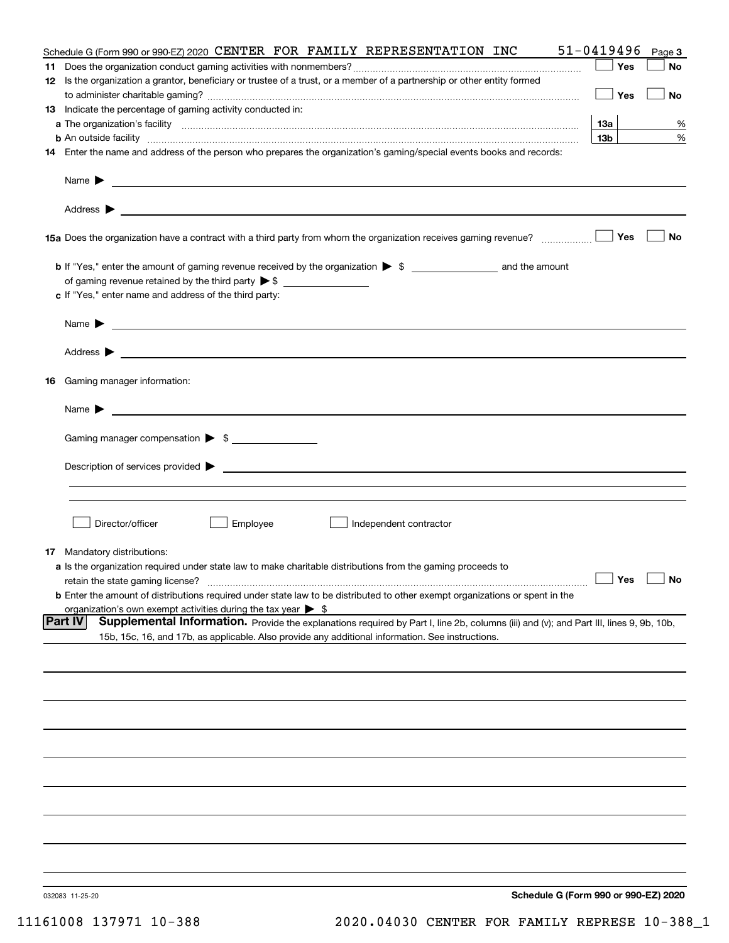|    | Schedule G (Form 990 or 990-EZ) 2020 CENTER FOR FAMILY REPRESENTATION INC                                                                                                                                                                  | 51-0419496      | Page 3 |
|----|--------------------------------------------------------------------------------------------------------------------------------------------------------------------------------------------------------------------------------------------|-----------------|--------|
|    |                                                                                                                                                                                                                                            | Yes             | No     |
|    | 12 Is the organization a grantor, beneficiary or trustee of a trust, or a member of a partnership or other entity formed                                                                                                                   | Yes             | No     |
|    | 13 Indicate the percentage of gaming activity conducted in:                                                                                                                                                                                |                 |        |
|    |                                                                                                                                                                                                                                            | 13а             | %      |
|    | <b>b</b> An outside facility <b>contract and the contract of the contract of the contract of the contract of the contract of the contract of the contract of the contract of the contract of the contract of the contract of the cont</b>  | 13 <sub>b</sub> | %      |
|    | 14 Enter the name and address of the person who prepares the organization's gaming/special events books and records:                                                                                                                       |                 |        |
|    | Name $\blacktriangleright$<br><u> 1990 - Johann Stoff, amerikansk politiker (d. 1980)</u>                                                                                                                                                  |                 |        |
|    |                                                                                                                                                                                                                                            |                 |        |
|    | 15a Does the organization have a contract with a third party from whom the organization receives gaming revenue?                                                                                                                           | Yes             | No     |
|    |                                                                                                                                                                                                                                            |                 |        |
|    | c If "Yes," enter name and address of the third party:                                                                                                                                                                                     |                 |        |
|    | Name $\blacktriangleright$<br><u> 1989 - Andrea State Barbara, amerikan personal di sebagai personal di sebagai personal di sebagai personal di</u>                                                                                        |                 |        |
|    | Address $\blacktriangleright$                                                                                                                                                                                                              |                 |        |
| 16 | Gaming manager information:                                                                                                                                                                                                                |                 |        |
|    | Name $\blacktriangleright$                                                                                                                                                                                                                 |                 |        |
|    | Gaming manager compensation > \$                                                                                                                                                                                                           |                 |        |
|    | Description of services provided $\blacktriangleright$<br><u> 1989 - Andrea Aonaichte ann an Comhan ann an Comhan ann an t-</u>                                                                                                            |                 |        |
|    |                                                                                                                                                                                                                                            |                 |        |
|    | Director/officer<br>Employee<br>Independent contractor                                                                                                                                                                                     |                 |        |
|    | <b>17</b> Mandatory distributions:                                                                                                                                                                                                         |                 |        |
|    | a Is the organization required under state law to make charitable distributions from the gaming proceeds to                                                                                                                                |                 |        |
|    | retain the state gaming license?                                                                                                                                                                                                           | $\Box$ Yes      |        |
|    | <b>b</b> Enter the amount of distributions required under state law to be distributed to other exempt organizations or spent in the                                                                                                        |                 |        |
|    | organization's own exempt activities during the tax year $\triangleright$ \$<br><b>Part IV</b>                                                                                                                                             |                 |        |
|    | Supplemental Information. Provide the explanations required by Part I, line 2b, columns (iii) and (v); and Part III, lines 9, 9b, 10b,<br>15b, 15c, 16, and 17b, as applicable. Also provide any additional information. See instructions. |                 |        |
|    |                                                                                                                                                                                                                                            |                 |        |
|    |                                                                                                                                                                                                                                            |                 |        |
|    |                                                                                                                                                                                                                                            |                 |        |
|    |                                                                                                                                                                                                                                            |                 |        |
|    |                                                                                                                                                                                                                                            |                 |        |
|    |                                                                                                                                                                                                                                            |                 |        |
|    |                                                                                                                                                                                                                                            |                 |        |
|    |                                                                                                                                                                                                                                            |                 |        |
|    |                                                                                                                                                                                                                                            |                 |        |
|    | Schodule C (Form 000 or 000 F7) 2020                                                                                                                                                                                                       |                 |        |

032083 11-25-20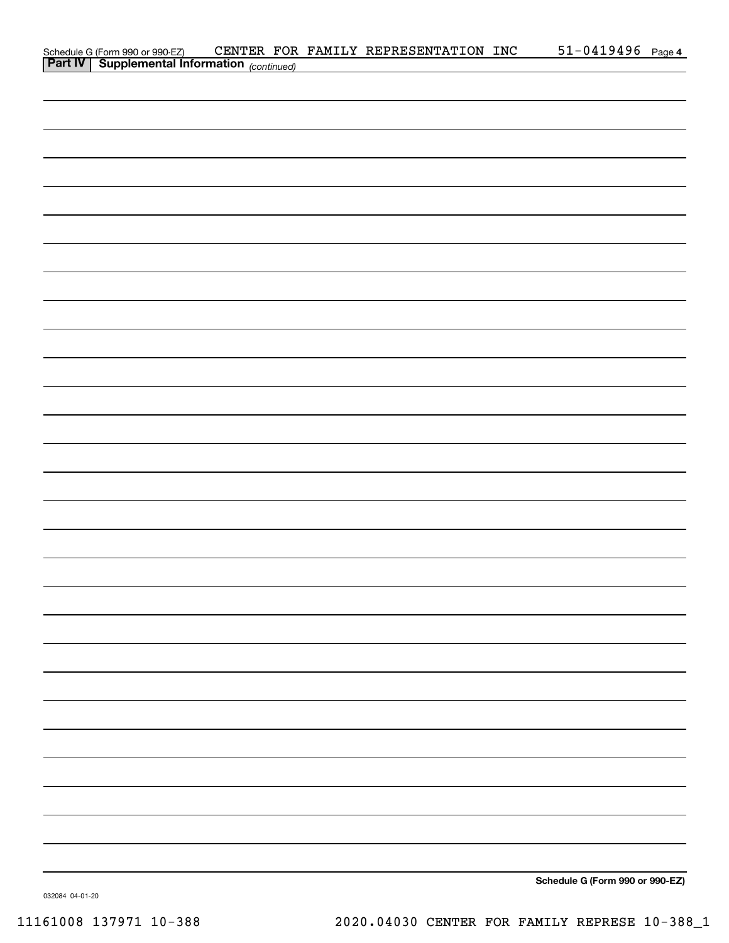| Schedule G (Form 990 or 990-EZ) CENTER FOR<br><b>Part IV</b> Supplemental Information (continued) |  | CENTER FOR FAMILY REPRESENTATION INC | $51 - 0419496$ Page 4 |  |
|---------------------------------------------------------------------------------------------------|--|--------------------------------------|-----------------------|--|
|                                                                                                   |  |                                      |                       |  |
|                                                                                                   |  |                                      |                       |  |
|                                                                                                   |  |                                      |                       |  |
|                                                                                                   |  |                                      |                       |  |
|                                                                                                   |  |                                      |                       |  |
|                                                                                                   |  |                                      |                       |  |
|                                                                                                   |  |                                      |                       |  |
|                                                                                                   |  |                                      |                       |  |
|                                                                                                   |  |                                      |                       |  |
|                                                                                                   |  |                                      |                       |  |
|                                                                                                   |  |                                      |                       |  |
|                                                                                                   |  |                                      |                       |  |
|                                                                                                   |  |                                      |                       |  |
|                                                                                                   |  |                                      |                       |  |
|                                                                                                   |  |                                      |                       |  |
|                                                                                                   |  |                                      |                       |  |
|                                                                                                   |  |                                      |                       |  |
|                                                                                                   |  |                                      |                       |  |
|                                                                                                   |  |                                      |                       |  |
|                                                                                                   |  |                                      |                       |  |
|                                                                                                   |  |                                      |                       |  |
|                                                                                                   |  |                                      |                       |  |
|                                                                                                   |  |                                      |                       |  |
|                                                                                                   |  |                                      |                       |  |
|                                                                                                   |  |                                      |                       |  |
|                                                                                                   |  |                                      |                       |  |
|                                                                                                   |  |                                      |                       |  |
|                                                                                                   |  |                                      |                       |  |
|                                                                                                   |  |                                      |                       |  |
|                                                                                                   |  |                                      |                       |  |
|                                                                                                   |  |                                      |                       |  |
|                                                                                                   |  |                                      |                       |  |
|                                                                                                   |  |                                      |                       |  |
|                                                                                                   |  |                                      |                       |  |
|                                                                                                   |  |                                      |                       |  |
|                                                                                                   |  |                                      |                       |  |
|                                                                                                   |  |                                      |                       |  |
|                                                                                                   |  |                                      |                       |  |
|                                                                                                   |  |                                      |                       |  |
|                                                                                                   |  |                                      |                       |  |
|                                                                                                   |  |                                      |                       |  |
|                                                                                                   |  |                                      |                       |  |
|                                                                                                   |  |                                      |                       |  |
|                                                                                                   |  |                                      |                       |  |
|                                                                                                   |  |                                      |                       |  |

Schedule G (Form 990 or 990-EZ)

032084 04-01-20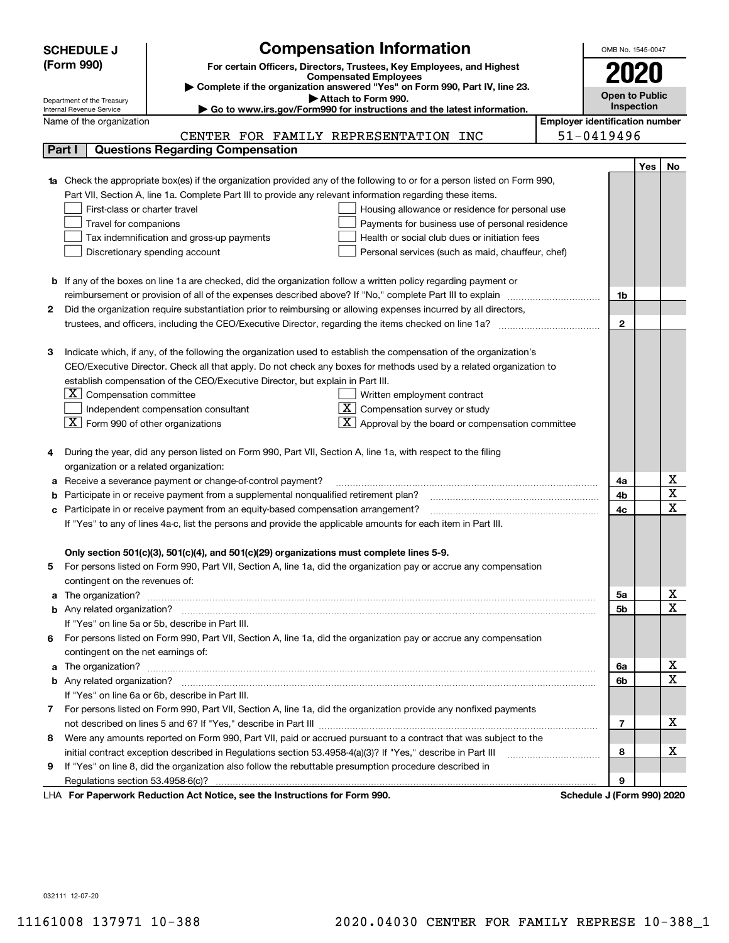|    | <b>Compensation Information</b><br><b>SCHEDULE J</b>                                                                                                    |                                       | OMB No. 1545-0047     |            |                         |
|----|---------------------------------------------------------------------------------------------------------------------------------------------------------|---------------------------------------|-----------------------|------------|-------------------------|
|    | (Form 990)<br>For certain Officers, Directors, Trustees, Key Employees, and Highest                                                                     |                                       |                       |            |                         |
|    | <b>Compensated Employees</b>                                                                                                                            |                                       |                       |            |                         |
|    | Complete if the organization answered "Yes" on Form 990, Part IV, line 23.                                                                              |                                       | <b>Open to Public</b> |            |                         |
|    | Attach to Form 990.<br>Department of the Treasury<br>Go to www.irs.gov/Form990 for instructions and the latest information.<br>Internal Revenue Service |                                       | Inspection            |            |                         |
|    | Name of the organization                                                                                                                                | <b>Employer identification number</b> |                       |            |                         |
|    | CENTER FOR FAMILY REPRESENTATION INC                                                                                                                    | 51-0419496                            |                       |            |                         |
|    | <b>Questions Regarding Compensation</b><br>Part I                                                                                                       |                                       |                       |            |                         |
|    |                                                                                                                                                         |                                       |                       | <b>Yes</b> | No                      |
|    | 1a Check the appropriate box(es) if the organization provided any of the following to or for a person listed on Form 990,                               |                                       |                       |            |                         |
|    | Part VII, Section A, line 1a. Complete Part III to provide any relevant information regarding these items.                                              |                                       |                       |            |                         |
|    | First-class or charter travel<br>Housing allowance or residence for personal use                                                                        |                                       |                       |            |                         |
|    | Travel for companions<br>Payments for business use of personal residence                                                                                |                                       |                       |            |                         |
|    | Tax indemnification and gross-up payments<br>Health or social club dues or initiation fees                                                              |                                       |                       |            |                         |
|    | Discretionary spending account<br>Personal services (such as maid, chauffeur, chef)                                                                     |                                       |                       |            |                         |
|    |                                                                                                                                                         |                                       |                       |            |                         |
|    | <b>b</b> If any of the boxes on line 1a are checked, did the organization follow a written policy regarding payment or                                  |                                       |                       |            |                         |
|    | reimbursement or provision of all of the expenses described above? If "No," complete Part III to explain                                                |                                       | 1b                    |            |                         |
| 2  | Did the organization require substantiation prior to reimbursing or allowing expenses incurred by all directors,                                        |                                       |                       |            |                         |
|    | trustees, and officers, including the CEO/Executive Director, regarding the items checked on line 1a?                                                   |                                       | $\mathbf{2}$          |            |                         |
|    |                                                                                                                                                         |                                       |                       |            |                         |
| З  | Indicate which, if any, of the following the organization used to establish the compensation of the organization's                                      |                                       |                       |            |                         |
|    | CEO/Executive Director. Check all that apply. Do not check any boxes for methods used by a related organization to                                      |                                       |                       |            |                         |
|    | establish compensation of the CEO/Executive Director, but explain in Part III.                                                                          |                                       |                       |            |                         |
|    | $ \mathbf{X} $ Compensation committee<br>Written employment contract                                                                                    |                                       |                       |            |                         |
|    | $X$ Compensation survey or study<br>Independent compensation consultant                                                                                 |                                       |                       |            |                         |
|    | $\boxed{\textbf{X}}$ Form 990 of other organizations<br>$\mathbf{X}$ Approval by the board or compensation committee                                    |                                       |                       |            |                         |
|    |                                                                                                                                                         |                                       |                       |            |                         |
|    | During the year, did any person listed on Form 990, Part VII, Section A, line 1a, with respect to the filing                                            |                                       |                       |            |                         |
|    | organization or a related organization:                                                                                                                 |                                       |                       |            |                         |
| а  | Receive a severance payment or change-of-control payment?                                                                                               |                                       | 4a                    |            | х                       |
| b  | Participate in or receive payment from a supplemental nonqualified retirement plan?                                                                     |                                       | 4b                    |            | $\overline{\mathbf{x}}$ |
| с  | Participate in or receive payment from an equity-based compensation arrangement?                                                                        |                                       | 4c                    |            | $\overline{\mathbf{x}}$ |
|    | If "Yes" to any of lines 4a-c, list the persons and provide the applicable amounts for each item in Part III.                                           |                                       |                       |            |                         |
|    |                                                                                                                                                         |                                       |                       |            |                         |
|    | Only section 501(c)(3), 501(c)(4), and 501(c)(29) organizations must complete lines 5-9.                                                                |                                       |                       |            |                         |
|    | For persons listed on Form 990, Part VII, Section A, line 1a, did the organization pay or accrue any compensation                                       |                                       |                       |            |                         |
|    | contingent on the revenues of:                                                                                                                          |                                       |                       |            |                         |
| a  |                                                                                                                                                         |                                       | 5а                    |            | x                       |
|    |                                                                                                                                                         |                                       | 5b                    |            | $\overline{\mathbf{x}}$ |
|    | If "Yes" on line 5a or 5b, describe in Part III.                                                                                                        |                                       |                       |            |                         |
| 6. | For persons listed on Form 990, Part VII, Section A, line 1a, did the organization pay or accrue any compensation                                       |                                       |                       |            |                         |
|    | contingent on the net earnings of:                                                                                                                      |                                       |                       |            |                         |
| a  |                                                                                                                                                         |                                       | 6a                    |            | х                       |
|    |                                                                                                                                                         |                                       | 6b                    |            | $\overline{\mathbf{x}}$ |
|    | If "Yes" on line 6a or 6b, describe in Part III.                                                                                                        |                                       |                       |            |                         |
|    | 7 For persons listed on Form 990, Part VII, Section A, line 1a, did the organization provide any nonfixed payments                                      |                                       |                       |            |                         |
|    |                                                                                                                                                         |                                       | $\overline{7}$        |            | х                       |
| 8  | Were any amounts reported on Form 990, Part VII, paid or accrued pursuant to a contract that was subject to the                                         |                                       |                       |            |                         |
|    | initial contract exception described in Regulations section 53.4958-4(a)(3)? If "Yes," describe in Part III                                             |                                       | 8                     |            | х                       |
| 9  | If "Yes" on line 8, did the organization also follow the rebuttable presumption procedure described in                                                  |                                       |                       |            |                         |
|    |                                                                                                                                                         |                                       | 9                     |            |                         |
|    | duction Act Notice, and the Instructions for Form 000.                                                                                                  | Calcadola 17Pa                        |                       |            |                         |

LHA For Paperwork Reduction Act Notice, see the Instructions for Form 990. Schedule J (Form 990) 2020

032111 12-07-20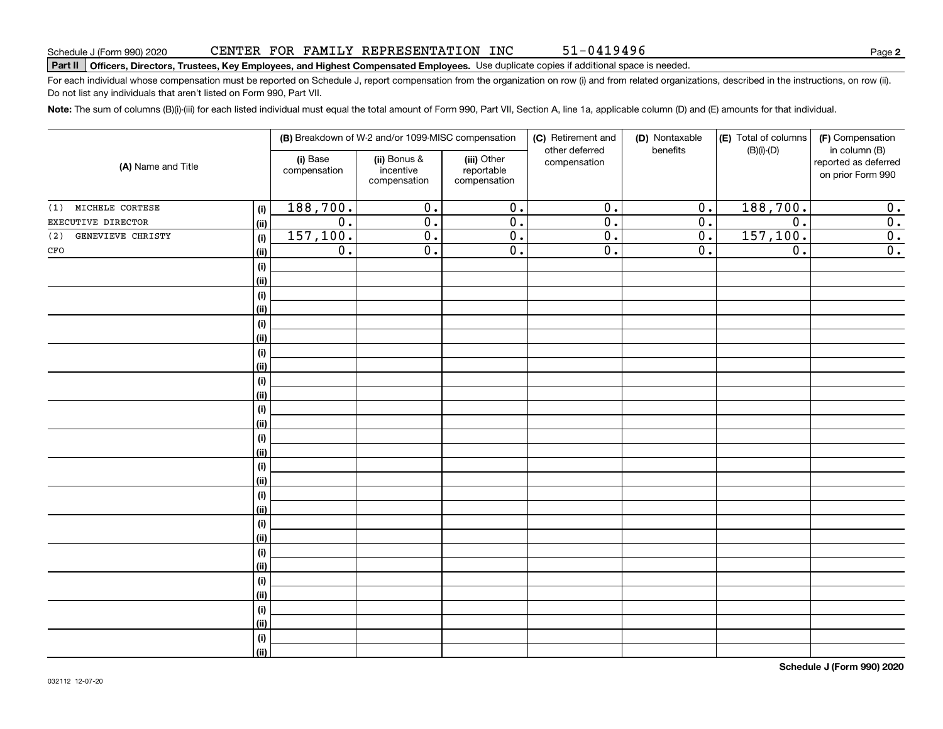#### Schedule J (Form 990) 2020 CENTER FOR FAMILY REPRESENTATION INC 51-0419496 Page

#### Part II | Officers, Directors, Trustees, Key Employees, and Highest Compensated Employees. Use duplicate copies if additional space is needed.

For each individual whose compensation must be reported on Schedule J, report compensation from the organization on row (i) and from related organizations, described in the instructions, on row (ii). Do not list any individuals that aren't listed on Form 990, Part VII.

51-0419496

Note: The sum of columns (B)(i)-(iii) for each listed individual must equal the total amount of Form 990, Part VII, Section A, line 1a, applicable column (D) and (E) amounts for that individual.

| (A) Name and Title       |                    | (B) Breakdown of W-2 and/or 1099-MISC compensation |                                                                                                        |                  | (C) Retirement and<br>other deferred | (D) Nontaxable<br>benefits                | (E) Total of columns<br>$(B)(i)-(D)$ | (F) Compensation<br>in column (B) |
|--------------------------|--------------------|----------------------------------------------------|--------------------------------------------------------------------------------------------------------|------------------|--------------------------------------|-------------------------------------------|--------------------------------------|-----------------------------------|
|                          |                    | (i) Base<br>compensation                           | (ii) Bonus &<br>(iii) Other<br>compensation<br>incentive<br>reportable<br>compensation<br>compensation |                  |                                      | reported as deferred<br>on prior Form 990 |                                      |                                   |
| (1) MICHELE CORTESE      | (i)                | 188,700.                                           | $\overline{0}$ .                                                                                       | $\overline{0}$ . | $\overline{0}$ .                     | $\overline{0}$ .                          | 188,700.                             | 0.                                |
| EXECUTIVE DIRECTOR       | <u>(ii)</u>        | $\overline{0}$ .                                   | $\overline{0}$ .                                                                                       | $\overline{0}$ . | $\overline{0}$ .                     | $\overline{0}$ .                          | $\overline{0}$ .                     | $\overline{\mathbf{0}}$ .         |
| GENEVIEVE CHRISTY<br>(2) | (i)                | 157, 100.                                          | $\overline{0}$ .                                                                                       | $\overline{0}$ . | $\overline{0}$ .                     | $\overline{0}$ .                          | 157, 100.                            | $\overline{\mathbf{0}}$ .         |
| $_{\mbox{\tiny CFO}}$    | <u>(ii)</u>        | $\overline{0}$ .                                   | $\overline{0}$ .                                                                                       | $\overline{0}$ . | $\overline{0}$ .                     | $\overline{0}$ .                          | $\overline{0}$ .                     | $\overline{0}$ .                  |
|                          | (i)                |                                                    |                                                                                                        |                  |                                      |                                           |                                      |                                   |
|                          | <u>(ii)</u>        |                                                    |                                                                                                        |                  |                                      |                                           |                                      |                                   |
|                          | (i)                |                                                    |                                                                                                        |                  |                                      |                                           |                                      |                                   |
|                          | (ii)               |                                                    |                                                                                                        |                  |                                      |                                           |                                      |                                   |
|                          | (i)                |                                                    |                                                                                                        |                  |                                      |                                           |                                      |                                   |
|                          | (ii)               |                                                    |                                                                                                        |                  |                                      |                                           |                                      |                                   |
|                          | (i)                |                                                    |                                                                                                        |                  |                                      |                                           |                                      |                                   |
|                          | (ii)               |                                                    |                                                                                                        |                  |                                      |                                           |                                      |                                   |
|                          | $(\sf{i})$<br>(ii) |                                                    |                                                                                                        |                  |                                      |                                           |                                      |                                   |
|                          | $(\sf{i})$         |                                                    |                                                                                                        |                  |                                      |                                           |                                      |                                   |
|                          | <u>(ii)</u>        |                                                    |                                                                                                        |                  |                                      |                                           |                                      |                                   |
|                          | $(\sf{i})$         |                                                    |                                                                                                        |                  |                                      |                                           |                                      |                                   |
|                          | <u>(ii)</u>        |                                                    |                                                                                                        |                  |                                      |                                           |                                      |                                   |
|                          | (i)                |                                                    |                                                                                                        |                  |                                      |                                           |                                      |                                   |
|                          | (ii)               |                                                    |                                                                                                        |                  |                                      |                                           |                                      |                                   |
|                          | (i)                |                                                    |                                                                                                        |                  |                                      |                                           |                                      |                                   |
|                          | (ii)               |                                                    |                                                                                                        |                  |                                      |                                           |                                      |                                   |
|                          | (i)                |                                                    |                                                                                                        |                  |                                      |                                           |                                      |                                   |
|                          | (ii)               |                                                    |                                                                                                        |                  |                                      |                                           |                                      |                                   |
|                          | (i)                |                                                    |                                                                                                        |                  |                                      |                                           |                                      |                                   |
|                          | (ii)               |                                                    |                                                                                                        |                  |                                      |                                           |                                      |                                   |
|                          | (i)                |                                                    |                                                                                                        |                  |                                      |                                           |                                      |                                   |
|                          | (ii)               |                                                    |                                                                                                        |                  |                                      |                                           |                                      |                                   |
|                          | (i)                |                                                    |                                                                                                        |                  |                                      |                                           |                                      |                                   |
|                          | (ii)               |                                                    |                                                                                                        |                  |                                      |                                           |                                      |                                   |
|                          | (i)                |                                                    |                                                                                                        |                  |                                      |                                           |                                      |                                   |
|                          | $\overline{}}$     |                                                    |                                                                                                        |                  |                                      |                                           |                                      |                                   |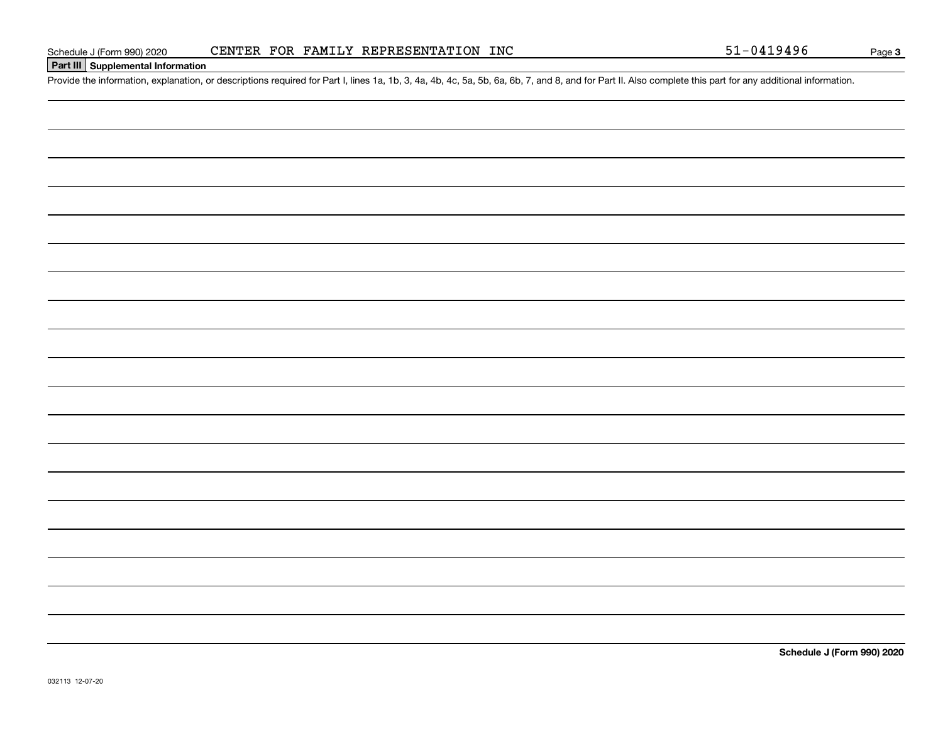### Part III Supplemental Information

Provide the information, explanation, or descriptions required for Part I, lines 1a, 1b, 3, 4a, 4b, 4c, 5a, 5b, 6a, 6b, 7, and 8, and for Part II. Also complete this part for any additional information.

Schedule J (Form 990) 2020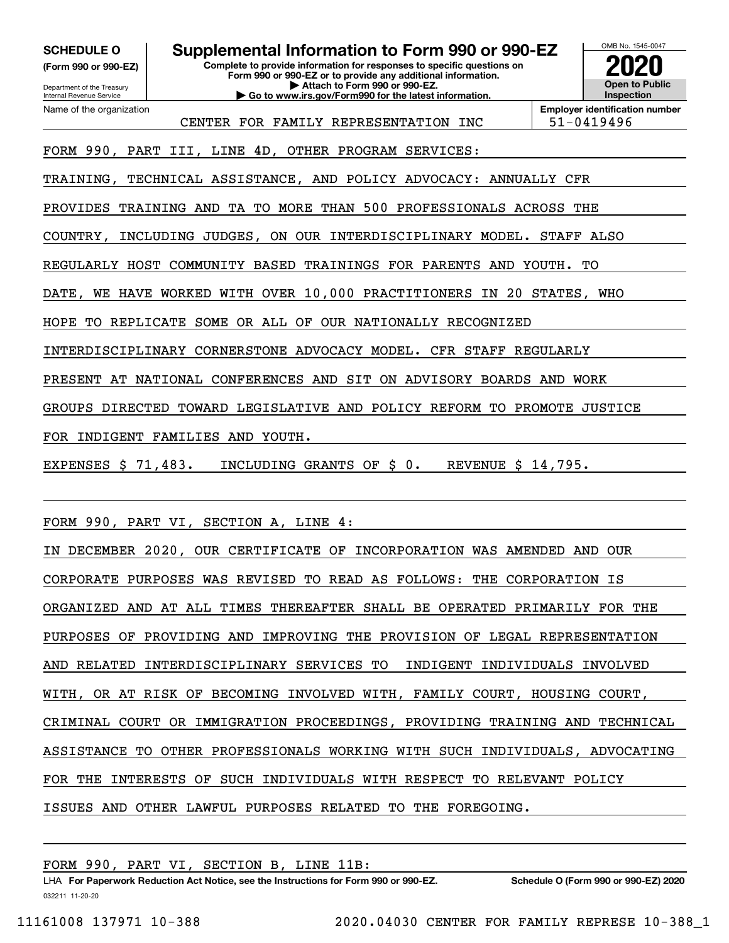(Form 990 or 990-EZ)

Department of the Treasury Internal Revenue Service Name of the organization

SCHEDULE 0 | Supplemental Information to Form 990 or 990-EZ

Complete to provide information for responses to specific questions on Form 990 or 990-EZ or to provide any additional information. | Attach to Form 990 or 990-EZ. | Go to www.irs.gov/Form990 for the latest information.



CENTER FOR FAMILY REPRESENTATION INC 51-0419496

Employer identification number

FORM 990, PART III, LINE 4D, OTHER PROGRAM SERVICES:

TRAINING, TECHNICAL ASSISTANCE, AND POLICY ADVOCACY: ANNUALLY CFR

PROVIDES TRAINING AND TA TO MORE THAN 500 PROFESSIONALS ACROSS THE

COUNTRY, INCLUDING JUDGES, ON OUR INTERDISCIPLINARY MODEL. STAFF ALSO

REGULARLY HOST COMMUNITY BASED TRAININGS FOR PARENTS AND YOUTH. TO

DATE, WE HAVE WORKED WITH OVER 10,000 PRACTITIONERS IN 20 STATES, WHO

HOPE TO REPLICATE SOME OR ALL OF OUR NATIONALLY RECOGNIZED

INTERDISCIPLINARY CORNERSTONE ADVOCACY MODEL. CFR STAFF REGULARLY

PRESENT AT NATIONAL CONFERENCES AND SIT ON ADVISORY BOARDS AND WORK

GROUPS DIRECTED TOWARD LEGISLATIVE AND POLICY REFORM TO PROMOTE JUSTICE

FOR INDIGENT FAMILIES AND YOUTH.

EXPENSES \$ 71,483. INCLUDING GRANTS OF \$ 0. REVENUE \$ 14,795.

FORM 990, PART VI, SECTION A, LINE 4:

IN DECEMBER 2020, OUR CERTIFICATE OF INCORPORATION WAS AMENDED AND OUR CORPORATE PURPOSES WAS REVISED TO READ AS FOLLOWS: THE CORPORATION IS ORGANIZED AND AT ALL TIMES THEREAFTER SHALL BE OPERATED PRIMARILY FOR THE PURPOSES OF PROVIDING AND IMPROVING THE PROVISION OF LEGAL REPRESENTATION AND RELATED INTERDISCIPLINARY SERVICES TO INDIGENT INDIVIDUALS INVOLVED WITH, OR AT RISK OF BECOMING INVOLVED WITH, FAMILY COURT, HOUSING COURT, CRIMINAL COURT OR IMMIGRATION PROCEEDINGS, PROVIDING TRAINING AND TECHNICAL ASSISTANCE TO OTHER PROFESSIONALS WORKING WITH SUCH INDIVIDUALS, ADVOCATING FOR THE INTERESTS OF SUCH INDIVIDUALS WITH RESPECT TO RELEVANT POLICY ISSUES AND OTHER LAWFUL PURPOSES RELATED TO THE FOREGOING.

FORM 990, PART VI, SECTION B, LINE 11B:

032211 11-20-20 LHA For Paperwork Reduction Act Notice, see the Instructions for Form 990 or 990-EZ. Schedule O (Form 990 or 990-EZ) 2020